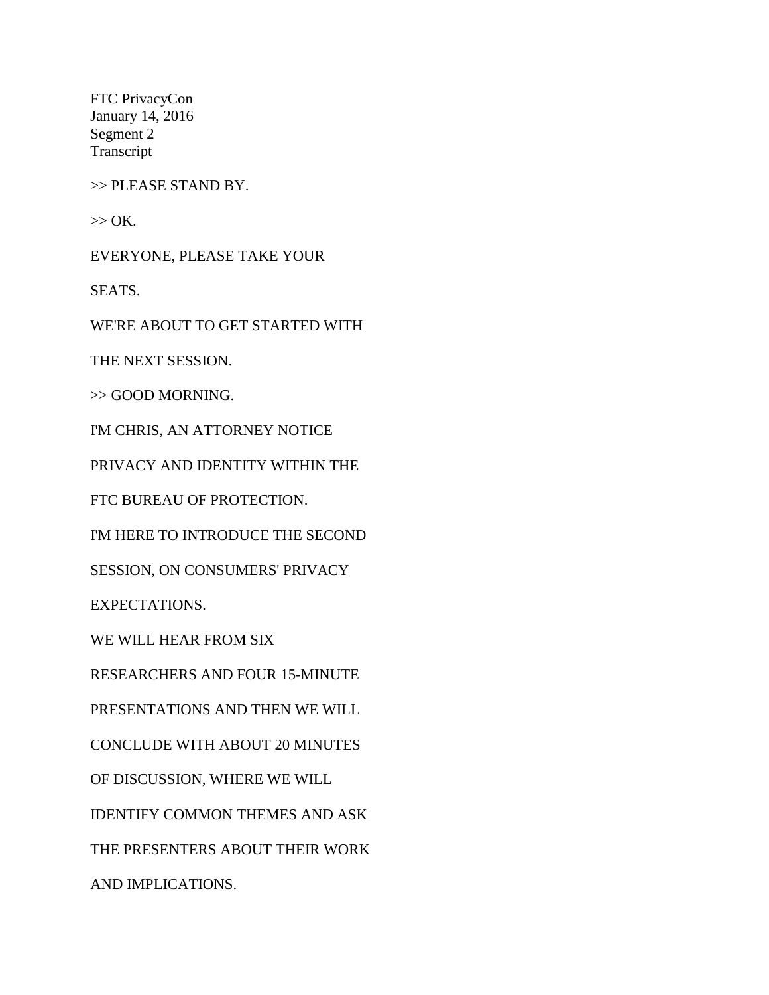FTC PrivacyCon January 14, 2016 Segment 2 Transcript

>> PLEASE STAND BY.

 $>>$  OK.

EVERYONE, PLEASE TAKE YOUR

SEATS.

WE'RE ABOUT TO GET STARTED WITH

THE NEXT SESSION.

>> GOOD MORNING.

I'M CHRIS, AN ATTORNEY NOTICE

PRIVACY AND IDENTITY WITHIN THE

FTC BUREAU OF PROTECTION.

I'M HERE TO INTRODUCE THE SECOND

SESSION, ON CONSUMERS' PRIVACY

EXPECTATIONS.

WE WILL HEAR FROM SIX

RESEARCHERS AND FOUR 15-MINUTE

PRESENTATIONS AND THEN WE WILL

CONCLUDE WITH ABOUT 20 MINUTES

OF DISCUSSION, WHERE WE WILL

IDENTIFY COMMON THEMES AND ASK

THE PRESENTERS ABOUT THEIR WORK

AND IMPLICATIONS.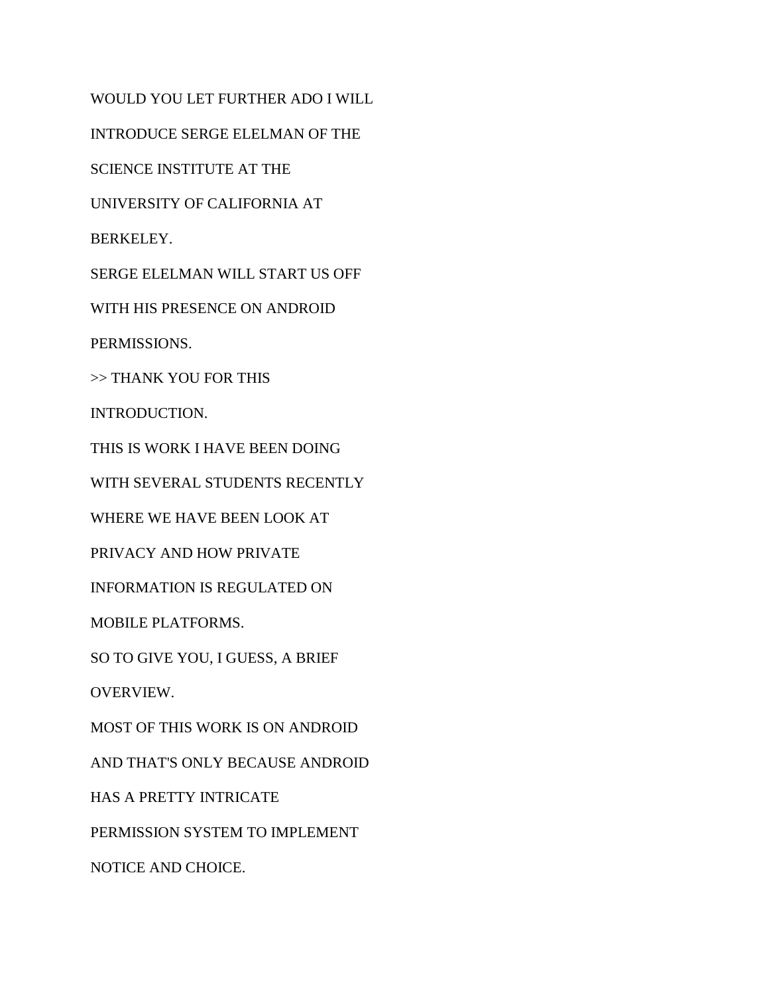WOULD YOU LET FURTHER ADO I WILL INTRODUCE SERGE ELELMAN OF THE SCIENCE INSTITUTE AT THE UNIVERSITY OF CALIFORNIA AT BERKELEY. SERGE ELELMAN WILL START US OFF WITH HIS PRESENCE ON ANDROID PERMISSIONS. >> THANK YOU FOR THIS INTRODUCTION. THIS IS WORK I HAVE BEEN DOING WITH SEVERAL STUDENTS RECENTLY WHERE WE HAVE BEEN LOOK AT PRIVACY AND HOW PRIVATE INFORMATION IS REGULATED ON MOBILE PLATFORMS. SO TO GIVE YOU, I GUESS, A BRIEF OVERVIEW. MOST OF THIS WORK IS ON ANDROID AND THAT'S ONLY BECAUSE ANDROID HAS A PRETTY INTRICATE PERMISSION SYSTEM TO IMPLEMENT NOTICE AND CHOICE.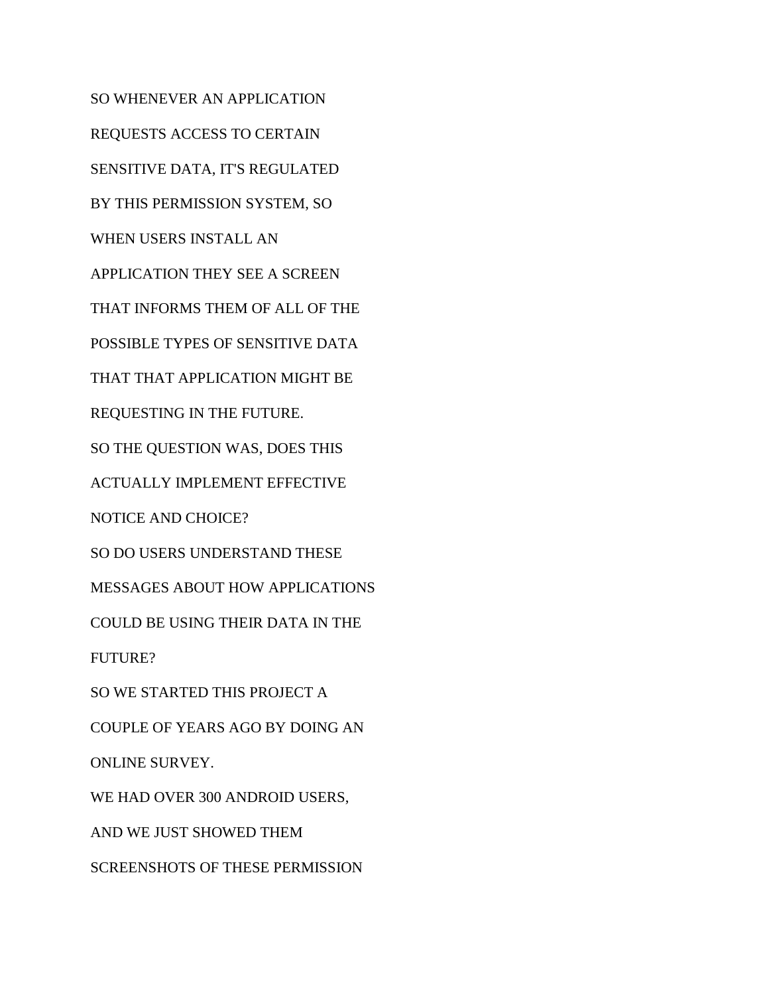SO WHENEVER AN APPLICATION REQUESTS ACCESS TO CERTAIN SENSITIVE DATA, IT'S REGULATED BY THIS PERMISSION SYSTEM, SO WHEN USERS INSTALL AN APPLICATION THEY SEE A SCREEN THAT INFORMS THEM OF ALL OF THE POSSIBLE TYPES OF SENSITIVE DATA THAT THAT APPLICATION MIGHT BE REQUESTING IN THE FUTURE. SO THE QUESTION WAS, DOES THIS ACTUALLY IMPLEMENT EFFECTIVE NOTICE AND CHOICE? SO DO USERS UNDERSTAND THESE MESSAGES ABOUT HOW APPLICATIONS COULD BE USING THEIR DATA IN THE FUTURE? SO WE STARTED THIS PROJECT A COUPLE OF YEARS AGO BY DOING AN ONLINE SURVEY. WE HAD OVER 300 ANDROID USERS, AND WE JUST SHOWED THEM SCREENSHOTS OF THESE PERMISSION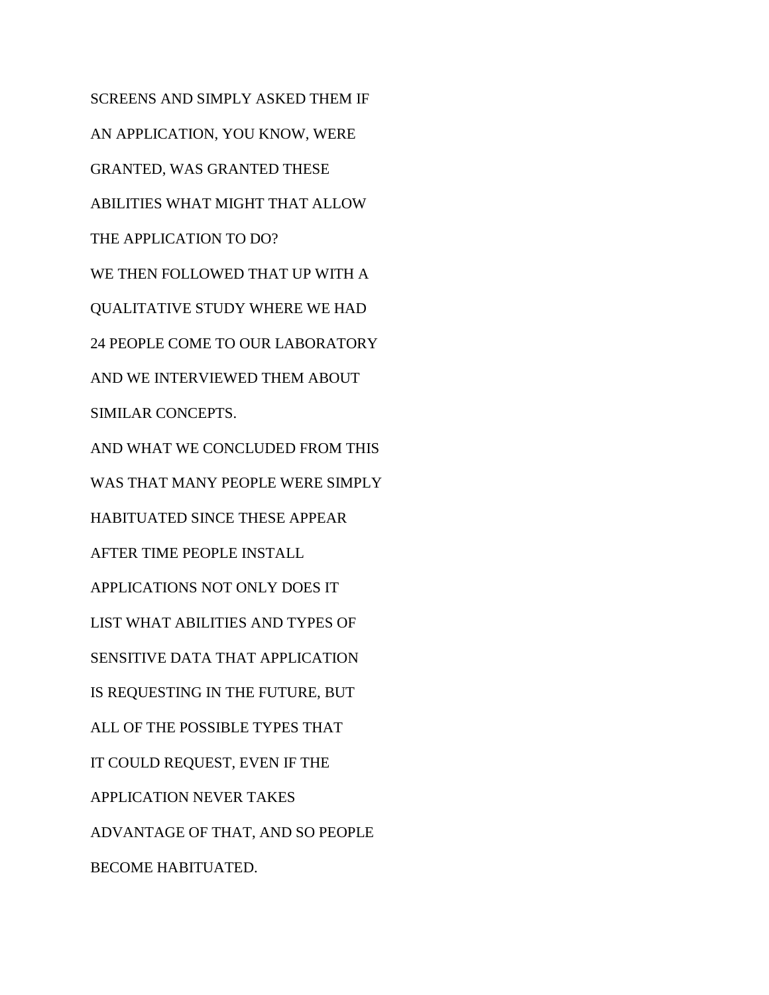SCREENS AND SIMPLY ASKED THEM IF AN APPLICATION, YOU KNOW, WERE GRANTED, WAS GRANTED THESE ABILITIES WHAT MIGHT THAT ALLOW THE APPLICATION TO DO? WE THEN FOLLOWED THAT UP WITH A QUALITATIVE STUDY WHERE WE HAD 24 PEOPLE COME TO OUR LABORATORY AND WE INTERVIEWED THEM ABOUT SIMILAR CONCEPTS. AND WHAT WE CONCLUDED FROM THIS WAS THAT MANY PEOPLE WERE SIMPLY HABITUATED SINCE THESE APPEAR AFTER TIME PEOPLE INSTALL APPLICATIONS NOT ONLY DOES IT LIST WHAT ABILITIES AND TYPES OF SENSITIVE DATA THAT APPLICATION IS REQUESTING IN THE FUTURE, BUT ALL OF THE POSSIBLE TYPES THAT IT COULD REQUEST, EVEN IF THE APPLICATION NEVER TAKES ADVANTAGE OF THAT, AND SO PEOPLE BECOME HABITUATED.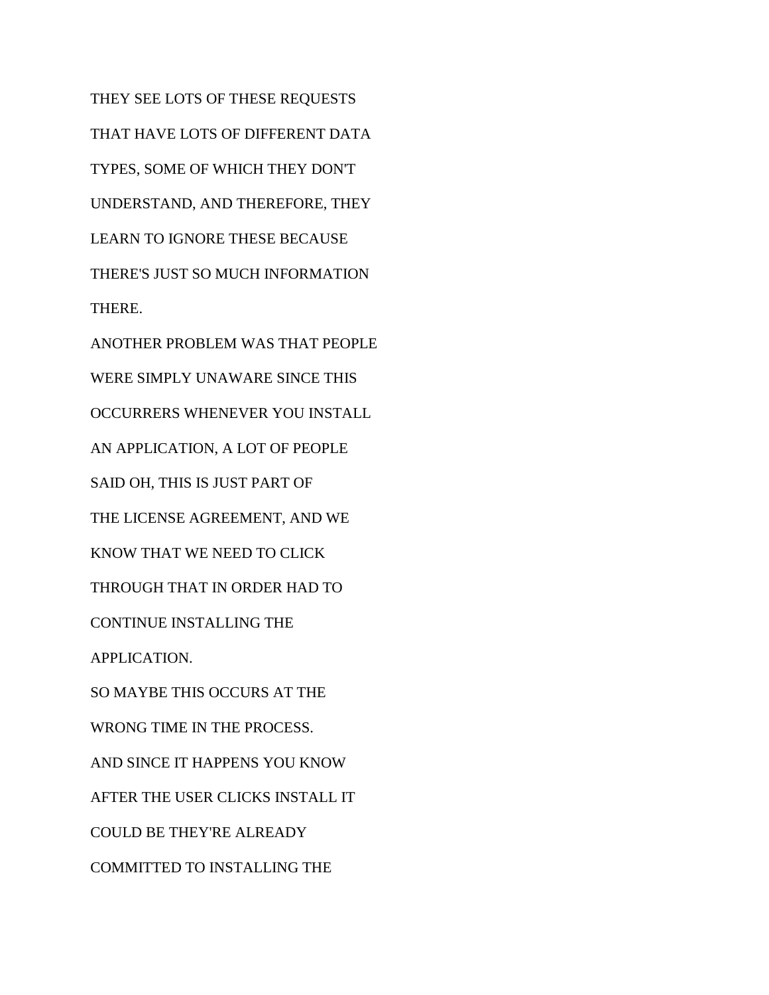THEY SEE LOTS OF THESE REQUESTS THAT HAVE LOTS OF DIFFERENT DATA TYPES, SOME OF WHICH THEY DON'T UNDERSTAND, AND THEREFORE, THEY LEARN TO IGNORE THESE BECAUSE THERE'S JUST SO MUCH INFORMATION THERE. ANOTHER PROBLEM WAS THAT PEOPLE WERE SIMPLY UNAWARE SINCE THIS OCCURRERS WHENEVER YOU INSTALL AN APPLICATION, A LOT OF PEOPLE SAID OH, THIS IS JUST PART OF THE LICENSE AGREEMENT, AND WE KNOW THAT WE NEED TO CLICK THROUGH THAT IN ORDER HAD TO CONTINUE INSTALLING THE APPLICATION. SO MAYBE THIS OCCURS AT THE WRONG TIME IN THE PROCESS. AND SINCE IT HAPPENS YOU KNOW AFTER THE USER CLICKS INSTALL IT COULD BE THEY'RE ALREADY COMMITTED TO INSTALLING THE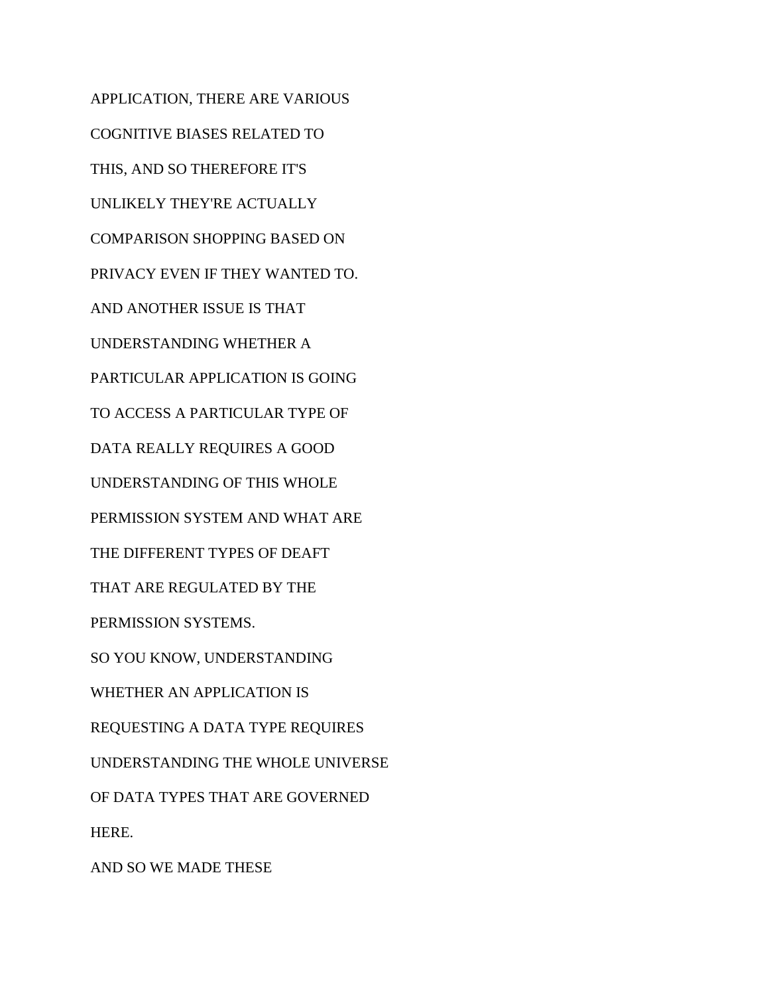APPLICATION, THERE ARE VARIOUS COGNITIVE BIASES RELATED TO THIS, AND SO THEREFORE IT'S UNLIKELY THEY'RE ACTUALLY COMPARISON SHOPPING BASED ON PRIVACY EVEN IF THEY WANTED TO. AND ANOTHER ISSUE IS THAT UNDERSTANDING WHETHER A PARTICULAR APPLICATION IS GOING TO ACCESS A PARTICULAR TYPE OF DATA REALLY REQUIRES A GOOD UNDERSTANDING OF THIS WHOLE PERMISSION SYSTEM AND WHAT ARE THE DIFFERENT TYPES OF DEAFT THAT ARE REGULATED BY THE PERMISSION SYSTEMS. SO YOU KNOW, UNDERSTANDING WHETHER AN APPLICATION IS REQUESTING A DATA TYPE REQUIRES UNDERSTANDING THE WHOLE UNIVERSE OF DATA TYPES THAT ARE GOVERNED HERE.

AND SO WE MADE THESE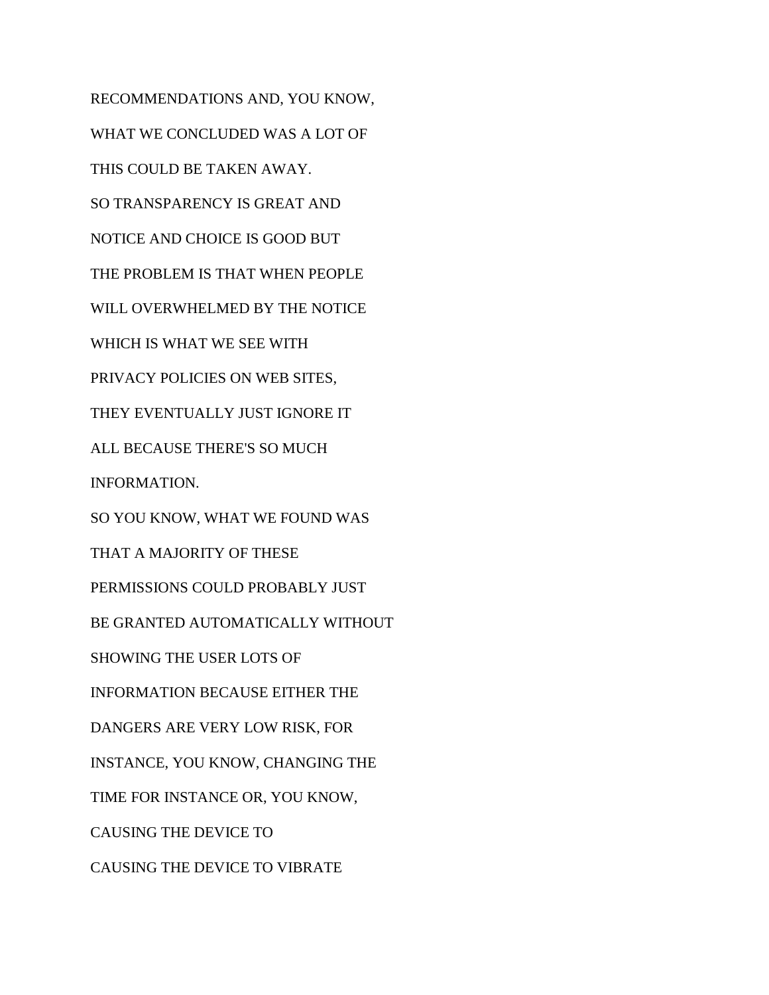RECOMMENDATIONS AND, YOU KNOW, WHAT WE CONCLUDED WAS A LOT OF THIS COULD BE TAKEN AWAY. SO TRANSPARENCY IS GREAT AND NOTICE AND CHOICE IS GOOD BUT THE PROBLEM IS THAT WHEN PEOPLE WILL OVERWHELMED BY THE NOTICE WHICH IS WHAT WE SEE WITH PRIVACY POLICIES ON WEB SITES, THEY EVENTUALLY JUST IGNORE IT ALL BECAUSE THERE'S SO MUCH INFORMATION. SO YOU KNOW, WHAT WE FOUND WAS THAT A MAJORITY OF THESE PERMISSIONS COULD PROBABLY JUST BE GRANTED AUTOMATICALLY WITHOUT SHOWING THE USER LOTS OF INFORMATION BECAUSE EITHER THE DANGERS ARE VERY LOW RISK, FOR INSTANCE, YOU KNOW, CHANGING THE TIME FOR INSTANCE OR, YOU KNOW, CAUSING THE DEVICE TO CAUSING THE DEVICE TO VIBRATE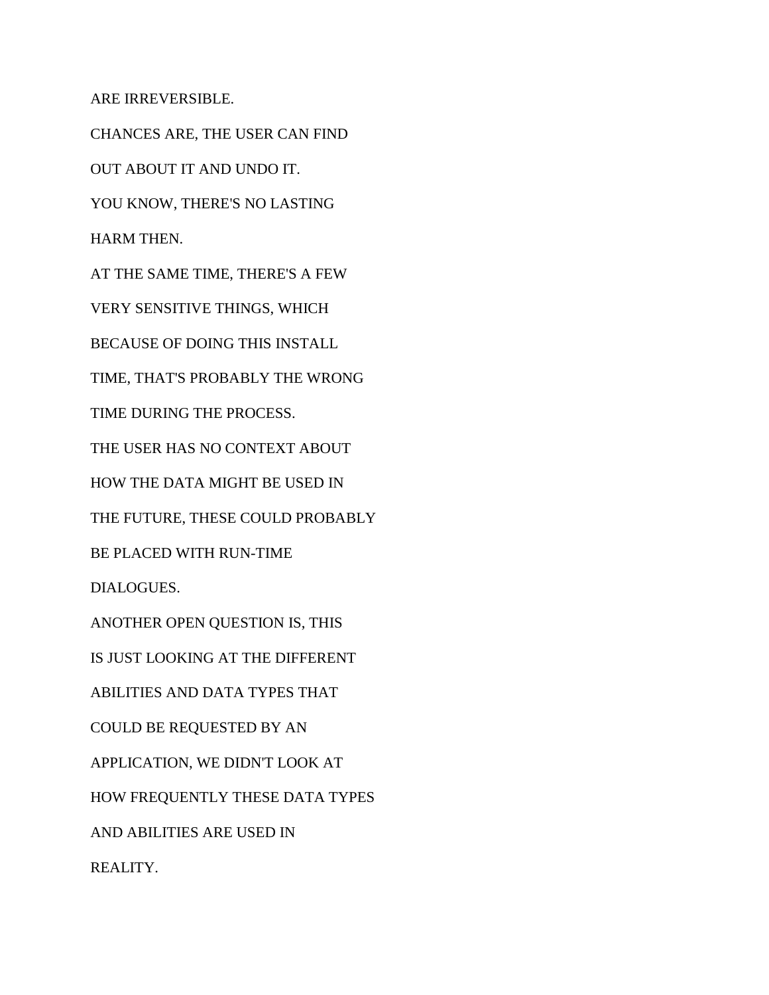ARE IRREVERSIBLE.

CHANCES ARE, THE USER CAN FIND OUT ABOUT IT AND UNDO IT. YOU KNOW, THERE'S NO LASTING HARM THEN. AT THE SAME TIME, THERE'S A FEW VERY SENSITIVE THINGS, WHICH BECAUSE OF DOING THIS INSTALL TIME, THAT'S PROBABLY THE WRONG TIME DURING THE PROCESS. THE USER HAS NO CONTEXT ABOUT HOW THE DATA MIGHT BE USED IN THE FUTURE, THESE COULD PROBABLY BE PLACED WITH RUN-TIME DIALOGUES. ANOTHER OPEN QUESTION IS, THIS IS JUST LOOKING AT THE DIFFERENT ABILITIES AND DATA TYPES THAT COULD BE REQUESTED BY AN APPLICATION, WE DIDN'T LOOK AT HOW FREQUENTLY THESE DATA TYPES AND ABILITIES ARE USED IN REALITY.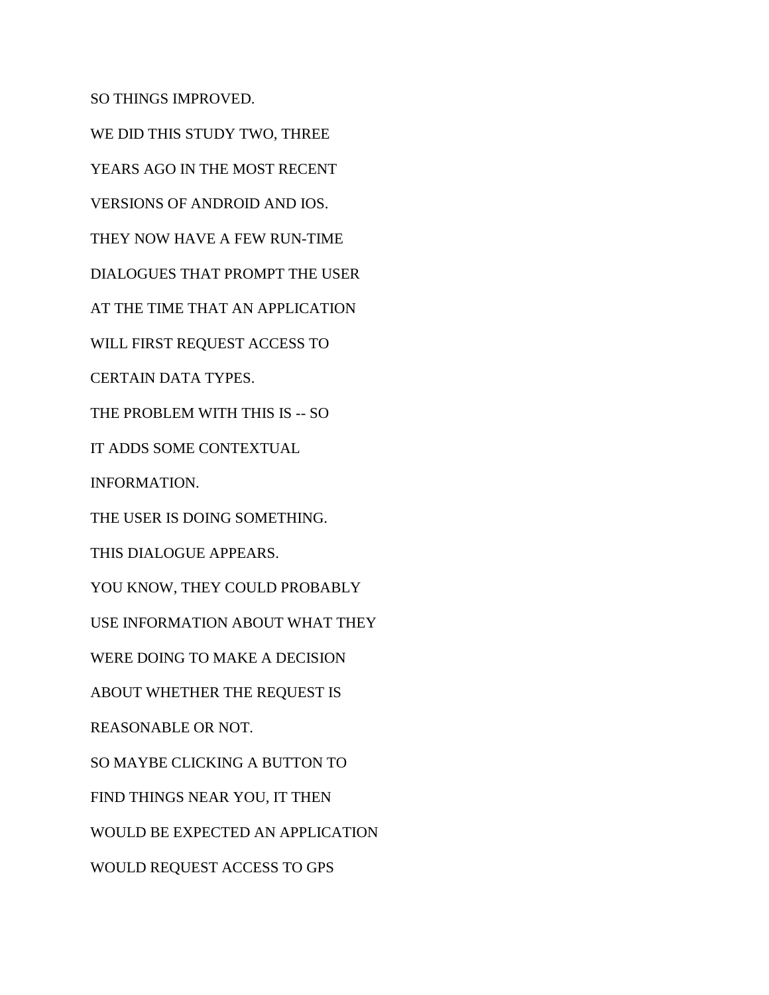SO THINGS IMPROVED.

WE DID THIS STUDY TWO, THREE YEARS AGO IN THE MOST RECENT VERSIONS OF ANDROID AND IOS. THEY NOW HAVE A FEW RUN-TIME DIALOGUES THAT PROMPT THE USER AT THE TIME THAT AN APPLICATION WILL FIRST REQUEST ACCESS TO CERTAIN DATA TYPES. THE PROBLEM WITH THIS IS -- SO IT ADDS SOME CONTEXTUAL INFORMATION. THE USER IS DOING SOMETHING. THIS DIALOGUE APPEARS. YOU KNOW, THEY COULD PROBABLY USE INFORMATION ABOUT WHAT THEY WERE DOING TO MAKE A DECISION ABOUT WHETHER THE REQUEST IS REASONABLE OR NOT. SO MAYBE CLICKING A BUTTON TO FIND THINGS NEAR YOU, IT THEN WOULD BE EXPECTED AN APPLICATION WOULD REQUEST ACCESS TO GPS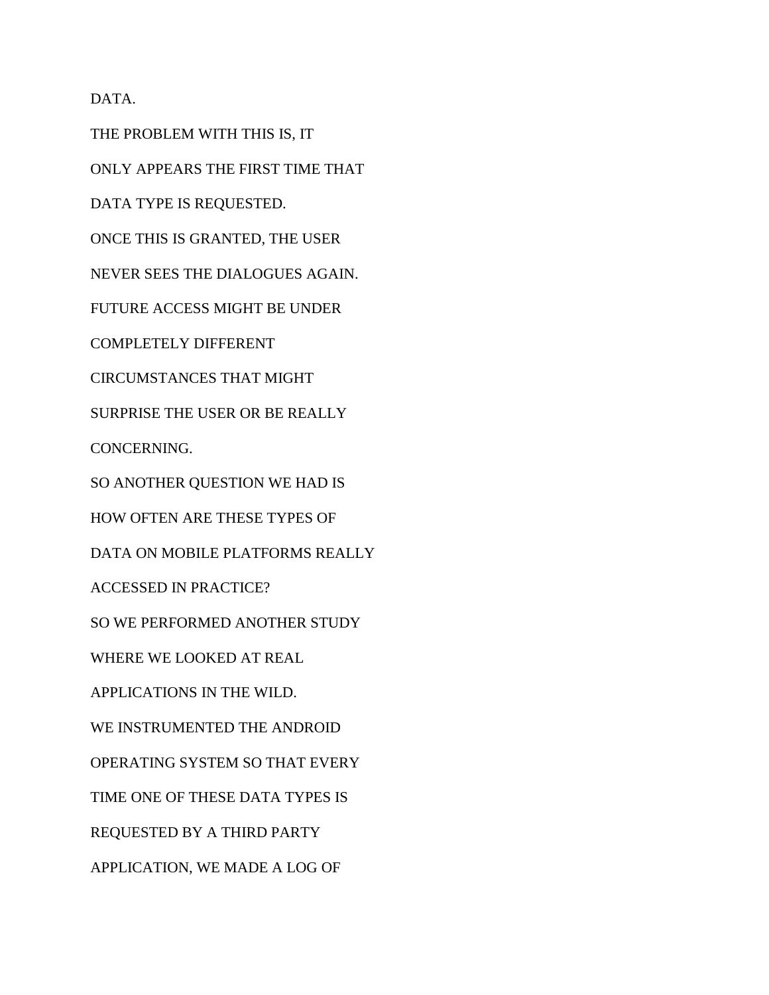DATA.

THE PROBLEM WITH THIS IS, IT ONLY APPEARS THE FIRST TIME THAT DATA TYPE IS REQUESTED. ONCE THIS IS GRANTED, THE USER NEVER SEES THE DIALOGUES AGAIN. FUTURE ACCESS MIGHT BE UNDER COMPLETELY DIFFERENT CIRCUMSTANCES THAT MIGHT SURPRISE THE USER OR BE REALLY CONCERNING. SO ANOTHER QUESTION WE HAD IS HOW OFTEN ARE THESE TYPES OF DATA ON MOBILE PLATFORMS REALLY ACCESSED IN PRACTICE? SO WE PERFORMED ANOTHER STUDY WHERE WE LOOKED AT REAL APPLICATIONS IN THE WILD. WE INSTRUMENTED THE ANDROID OPERATING SYSTEM SO THAT EVERY TIME ONE OF THESE DATA TYPES IS REQUESTED BY A THIRD PARTY APPLICATION, WE MADE A LOG OF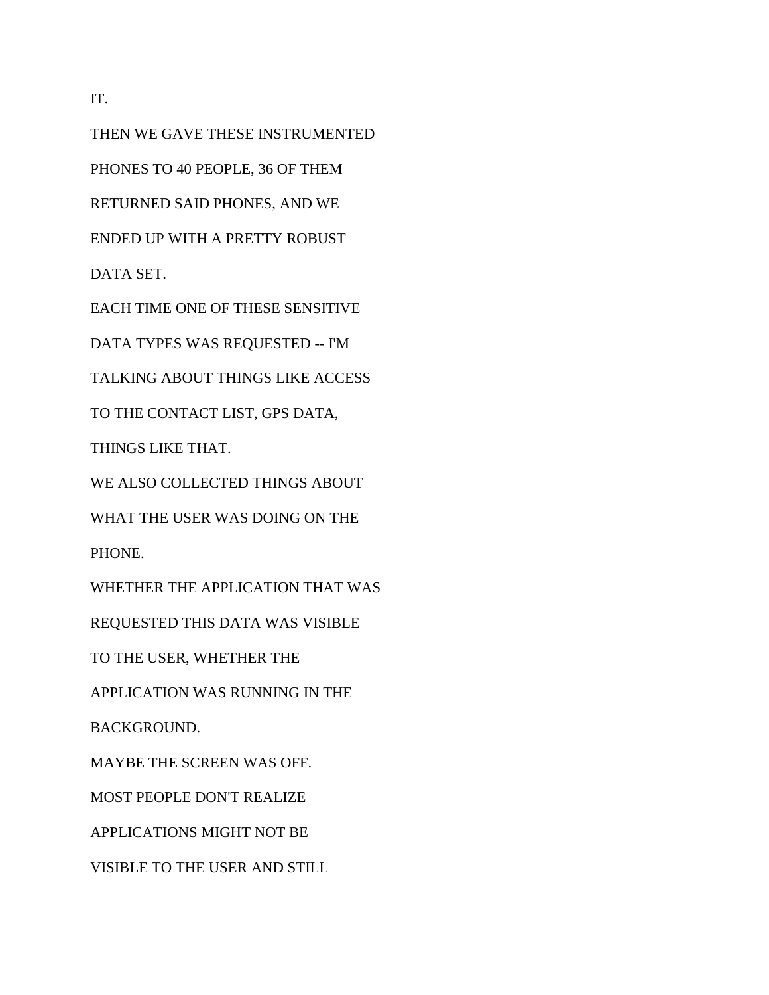IT.

THEN WE GAVE THESE INSTRUMENTED PHONES TO 40 PEOPLE, 36 OF THEM RETURNED SAID PHONES, AND WE ENDED UP WITH A PRETTY ROBUST DATA SET. EACH TIME ONE OF THESE SENSITIVE

DATA TYPES WAS REQUESTED -- I'M

TALKING ABOUT THINGS LIKE ACCESS

TO THE CONTACT LIST, GPS DATA,

THINGS LIKE THAT.

WE ALSO COLLECTED THINGS ABOUT

WHAT THE USER WAS DOING ON THE

PHONE.

WHETHER THE APPLICATION THAT WAS

REQUESTED THIS DATA WAS VISIBLE

TO THE USER, WHETHER THE

APPLICATION WAS RUNNING IN THE

BACKGROUND.

MAYBE THE SCREEN WAS OFF.

MOST PEOPLE DON'T REALIZE

APPLICATIONS MIGHT NOT BE

VISIBLE TO THE USER AND STILL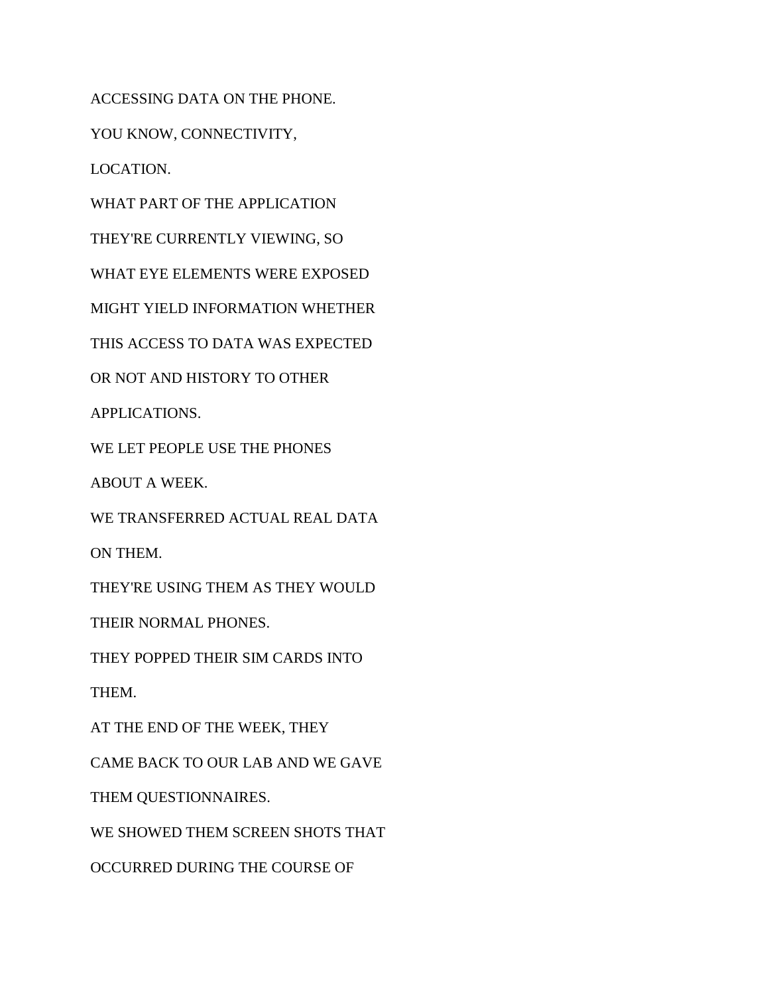ACCESSING DATA ON THE PHONE.

YOU KNOW, CONNECTIVITY,

LOCATION.

WHAT PART OF THE APPLICATION

THEY'RE CURRENTLY VIEWING, SO

WHAT EYE ELEMENTS WERE EXPOSED

MIGHT YIELD INFORMATION WHETHER

THIS ACCESS TO DATA WAS EXPECTED

OR NOT AND HISTORY TO OTHER

APPLICATIONS.

WE LET PEOPLE USE THE PHONES

ABOUT A WEEK.

WE TRANSFERRED ACTUAL REAL DATA

ON THEM.

THEY'RE USING THEM AS THEY WOULD

THEIR NORMAL PHONES.

THEY POPPED THEIR SIM CARDS INTO

THEM.

AT THE END OF THE WEEK, THEY

CAME BACK TO OUR LAB AND WE GAVE

THEM QUESTIONNAIRES.

WE SHOWED THEM SCREEN SHOTS THAT

OCCURRED DURING THE COURSE OF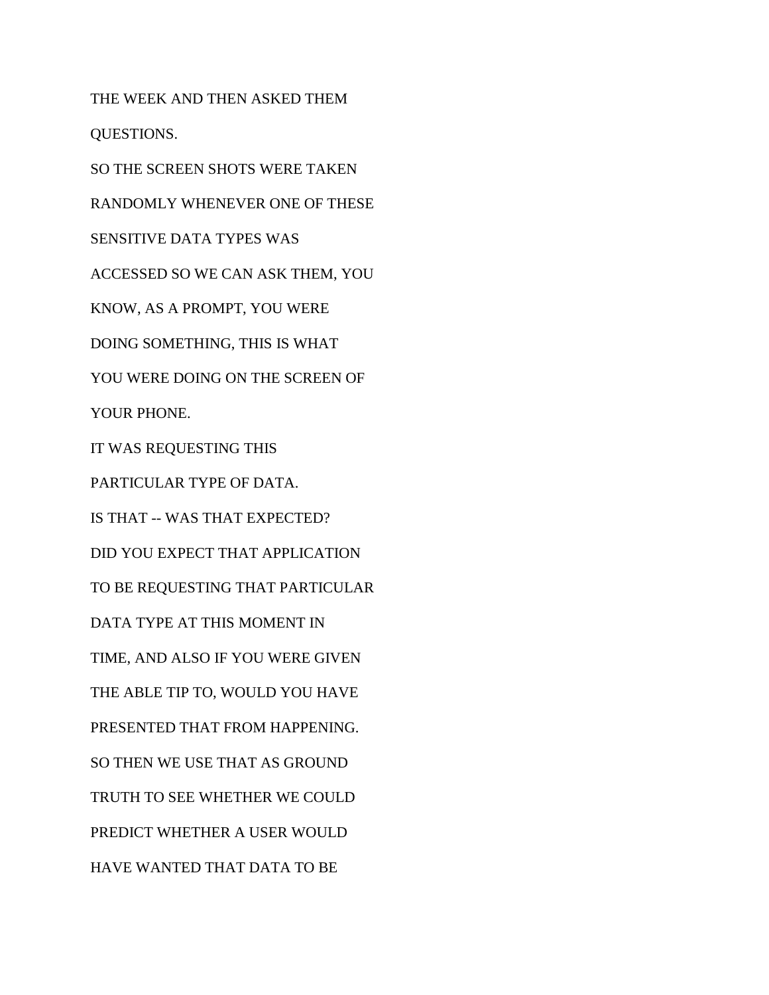THE WEEK AND THEN ASKED THEM QUESTIONS. SO THE SCREEN SHOTS WERE TAKEN RANDOMLY WHENEVER ONE OF THESE SENSITIVE DATA TYPES WAS ACCESSED SO WE CAN ASK THEM, YOU KNOW, AS A PROMPT, YOU WERE DOING SOMETHING, THIS IS WHAT YOU WERE DOING ON THE SCREEN OF YOUR PHONE. IT WAS REQUESTING THIS PARTICULAR TYPE OF DATA. IS THAT -- WAS THAT EXPECTED? DID YOU EXPECT THAT APPLICATION TO BE REQUESTING THAT PARTICULAR DATA TYPE AT THIS MOMENT IN TIME, AND ALSO IF YOU WERE GIVEN THE ABLE TIP TO, WOULD YOU HAVE PRESENTED THAT FROM HAPPENING. SO THEN WE USE THAT AS GROUND TRUTH TO SEE WHETHER WE COULD PREDICT WHETHER A USER WOULD HAVE WANTED THAT DATA TO BE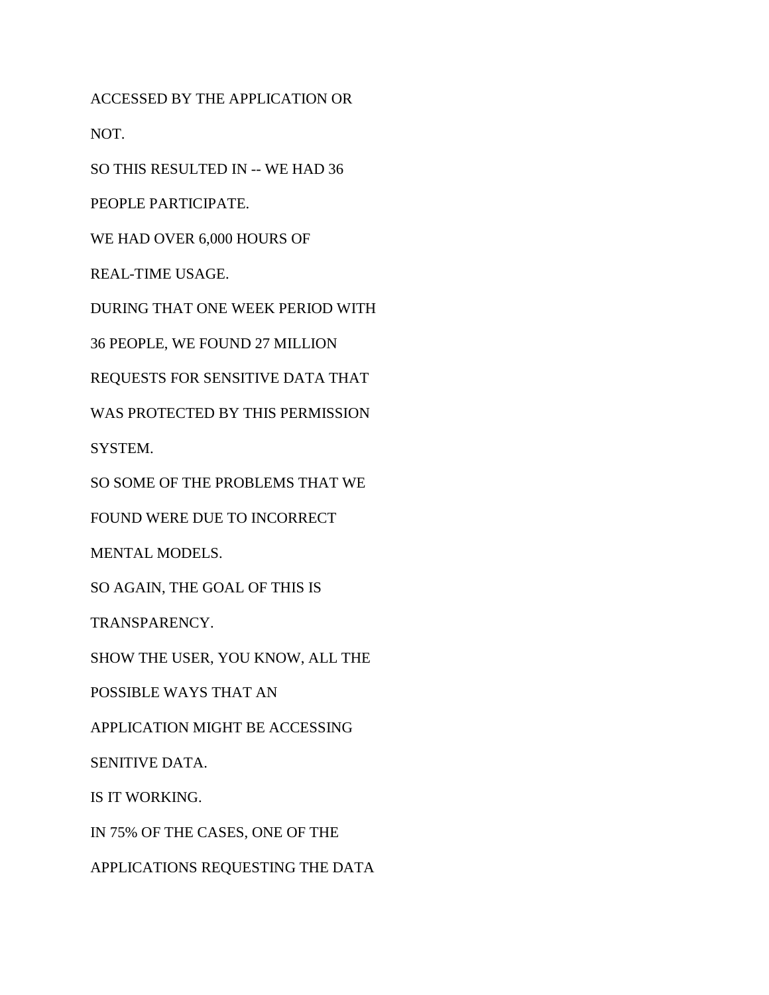ACCESSED BY THE APPLICATION OR

NOT.

SO THIS RESULTED IN -- WE HAD 36

PEOPLE PARTICIPATE.

WE HAD OVER 6,000 HOURS OF

REAL-TIME USAGE.

DURING THAT ONE WEEK PERIOD WITH

36 PEOPLE, WE FOUND 27 MILLION

REQUESTS FOR SENSITIVE DATA THAT

WAS PROTECTED BY THIS PERMISSION

SYSTEM.

SO SOME OF THE PROBLEMS THAT WE

FOUND WERE DUE TO INCORRECT

MENTAL MODELS.

SO AGAIN, THE GOAL OF THIS IS

TRANSPARENCY.

SHOW THE USER, YOU KNOW, ALL THE

POSSIBLE WAYS THAT AN

APPLICATION MIGHT BE ACCESSING

SENITIVE DATA.

IS IT WORKING.

IN 75% OF THE CASES, ONE OF THE

APPLICATIONS REQUESTING THE DATA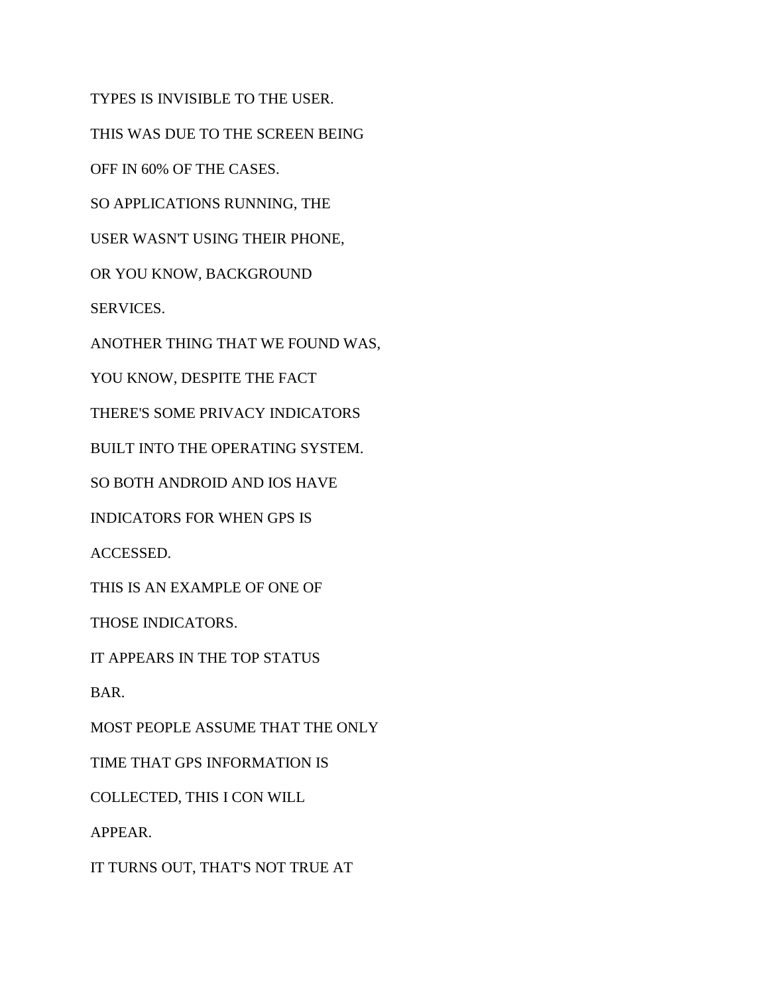TYPES IS INVISIBLE TO THE USER. THIS WAS DUE TO THE SCREEN BEING OFF IN 60% OF THE CASES. SO APPLICATIONS RUNNING, THE USER WASN'T USING THEIR PHONE, OR YOU KNOW, BACKGROUND SERVICES. ANOTHER THING THAT WE FOUND WAS, YOU KNOW, DESPITE THE FACT THERE'S SOME PRIVACY INDICATORS BUILT INTO THE OPERATING SYSTEM. SO BOTH ANDROID AND IOS HAVE INDICATORS FOR WHEN GPS IS ACCESSED. THIS IS AN EXAMPLE OF ONE OF THOSE INDICATORS. IT APPEARS IN THE TOP STATUS BAR. MOST PEOPLE ASSUME THAT THE ONLY TIME THAT GPS INFORMATION IS COLLECTED, THIS I CON WILL APPEAR.

IT TURNS OUT, THAT'S NOT TRUE AT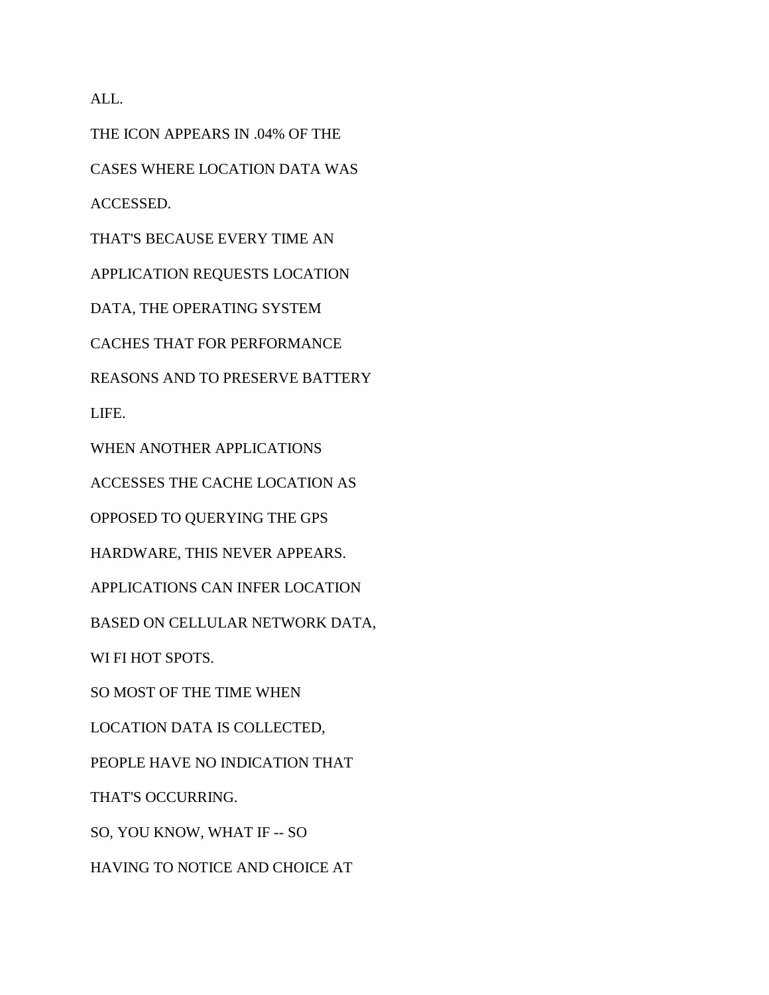ALL.

THE ICON APPEARS IN .04% OF THE CASES WHERE LOCATION DATA WAS ACCESSED. THAT'S BECAUSE EVERY TIME AN APPLICATION REQUESTS LOCATION DATA, THE OPERATING SYSTEM CACHES THAT FOR PERFORMANCE REASONS AND TO PRESERVE BATTERY LIFE. WHEN ANOTHER APPLICATIONS ACCESSES THE CACHE LOCATION AS OPPOSED TO QUERYING THE GPS HARDWARE, THIS NEVER APPEARS. APPLICATIONS CAN INFER LOCATION BASED ON CELLULAR NETWORK DATA, WI FI HOT SPOTS. SO MOST OF THE TIME WHEN LOCATION DATA IS COLLECTED, PEOPLE HAVE NO INDICATION THAT THAT'S OCCURRING. SO, YOU KNOW, WHAT IF -- SO HAVING TO NOTICE AND CHOICE AT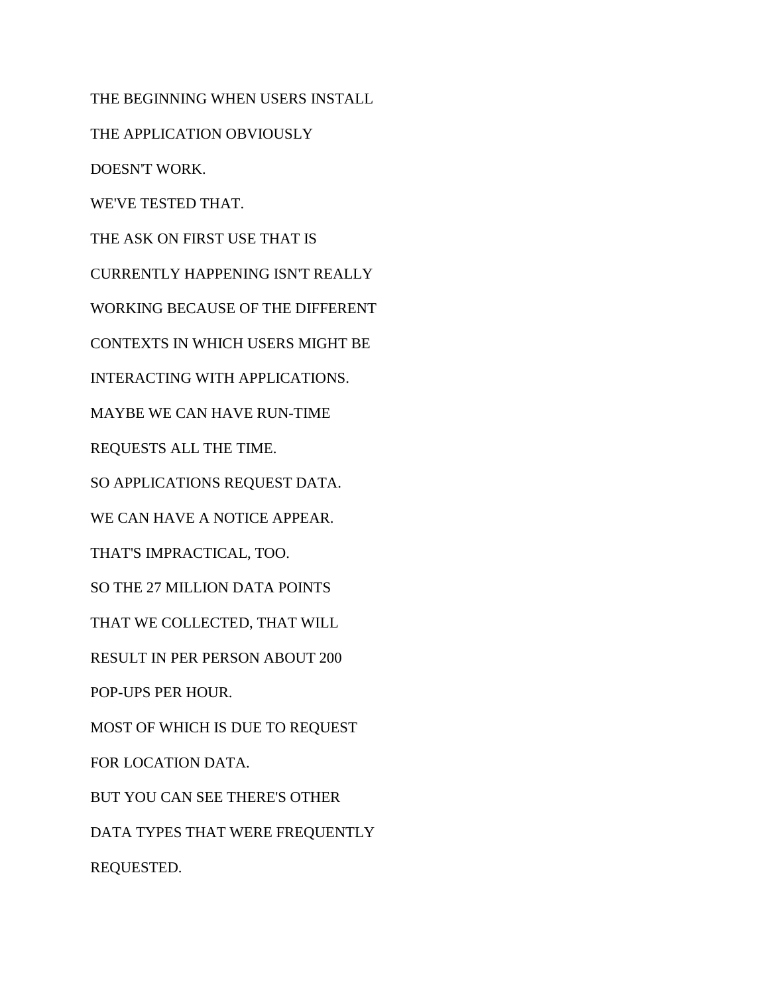THE BEGINNING WHEN USERS INSTALL THE APPLICATION OBVIOUSLY DOESN'T WORK. WE'VE TESTED THAT. THE ASK ON FIRST USE THAT IS CURRENTLY HAPPENING ISN'T REALLY WORKING BECAUSE OF THE DIFFERENT CONTEXTS IN WHICH USERS MIGHT BE INTERACTING WITH APPLICATIONS. MAYBE WE CAN HAVE RUN-TIME REQUESTS ALL THE TIME. SO APPLICATIONS REQUEST DATA. WE CAN HAVE A NOTICE APPEAR. THAT'S IMPRACTICAL, TOO. SO THE 27 MILLION DATA POINTS THAT WE COLLECTED, THAT WILL RESULT IN PER PERSON ABOUT 200 POP-UPS PER HOUR. MOST OF WHICH IS DUE TO REQUEST FOR LOCATION DATA. BUT YOU CAN SEE THERE'S OTHER DATA TYPES THAT WERE FREQUENTLY REQUESTED.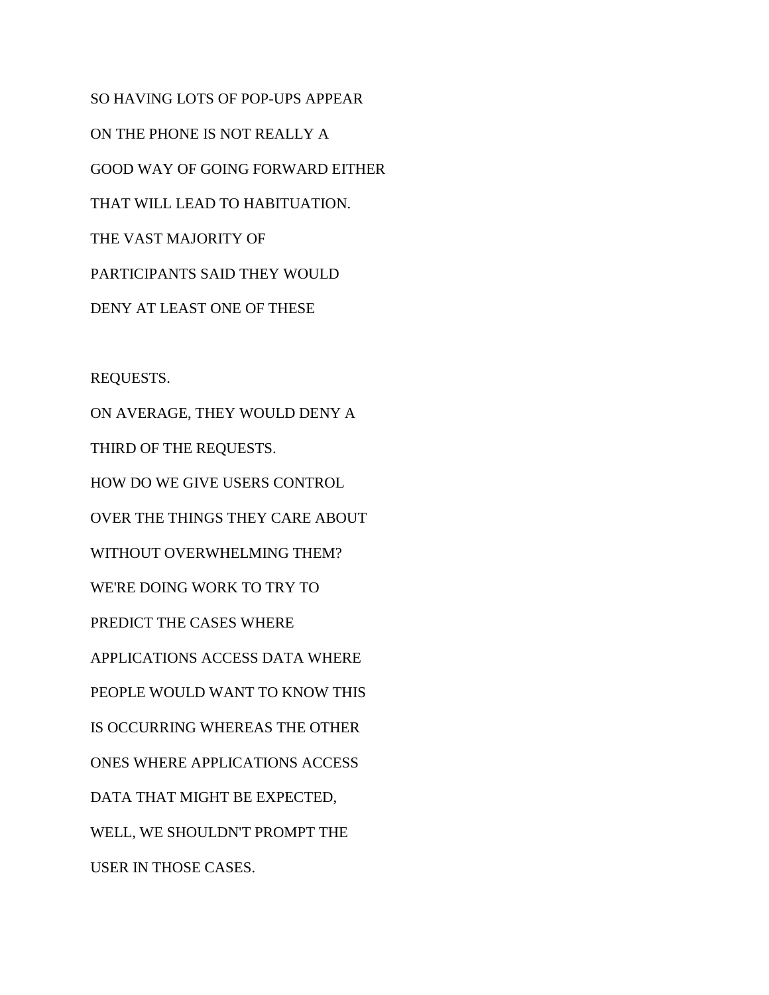SO HAVING LOTS OF POP-UPS APPEAR ON THE PHONE IS NOT REALLY A GOOD WAY OF GOING FORWARD EITHER THAT WILL LEAD TO HABITUATION. THE VAST MAJORITY OF PARTICIPANTS SAID THEY WOULD DENY AT LEAST ONE OF THESE

REQUESTS.

ON AVERAGE, THEY WOULD DENY A THIRD OF THE REQUESTS. HOW DO WE GIVE USERS CONTROL OVER THE THINGS THEY CARE ABOUT WITHOUT OVERWHELMING THEM? WE'RE DOING WORK TO TRY TO PREDICT THE CASES WHERE APPLICATIONS ACCESS DATA WHERE PEOPLE WOULD WANT TO KNOW THIS IS OCCURRING WHEREAS THE OTHER ONES WHERE APPLICATIONS ACCESS DATA THAT MIGHT BE EXPECTED, WELL, WE SHOULDN'T PROMPT THE USER IN THOSE CASES.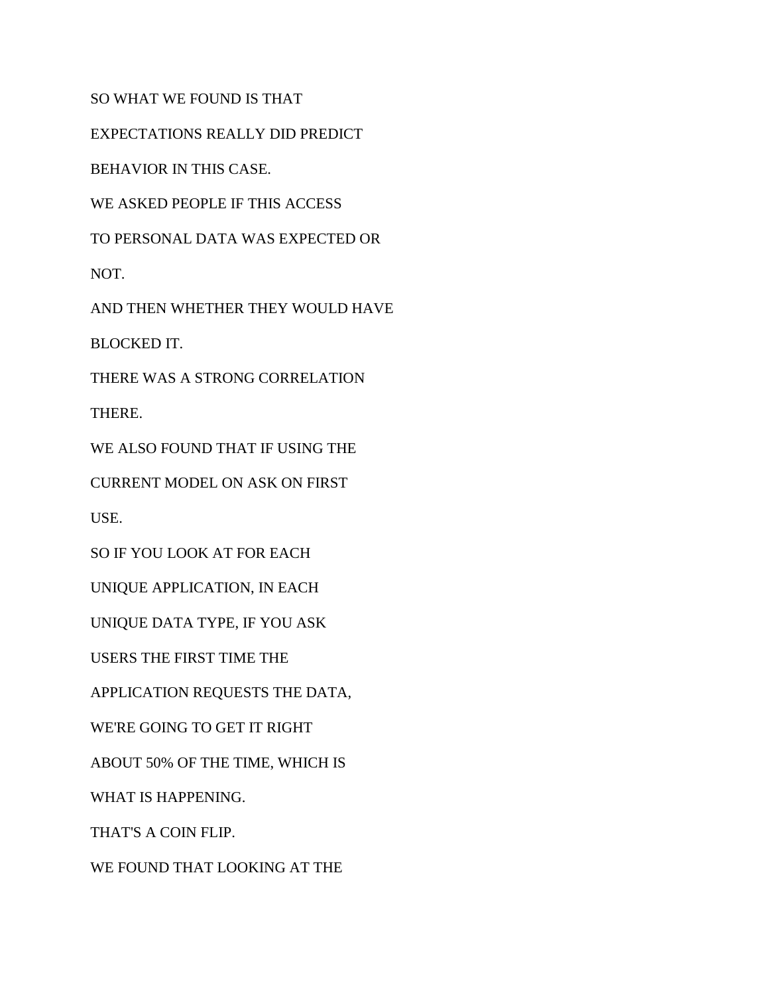SO WHAT WE FOUND IS THAT

EXPECTATIONS REALLY DID PREDICT

BEHAVIOR IN THIS CASE.

WE ASKED PEOPLE IF THIS ACCESS

TO PERSONAL DATA WAS EXPECTED OR

NOT.

AND THEN WHETHER THEY WOULD HAVE

BLOCKED IT.

THERE WAS A STRONG CORRELATION

THERE.

WE ALSO FOUND THAT IF USING THE

CURRENT MODEL ON ASK ON FIRST

USE.

SO IF YOU LOOK AT FOR EACH

UNIQUE APPLICATION, IN EACH

UNIQUE DATA TYPE, IF YOU ASK

USERS THE FIRST TIME THE

APPLICATION REQUESTS THE DATA,

WE'RE GOING TO GET IT RIGHT

ABOUT 50% OF THE TIME, WHICH IS

WHAT IS HAPPENING.

THAT'S A COIN FLIP.

WE FOUND THAT LOOKING AT THE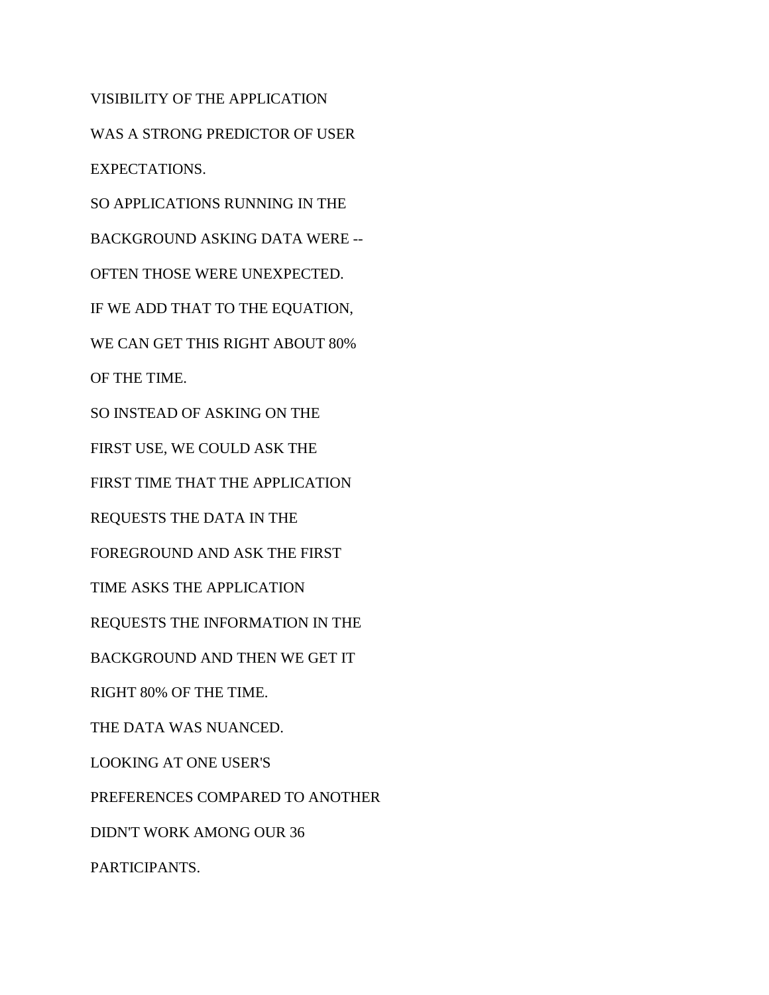VISIBILITY OF THE APPLICATION WAS A STRONG PREDICTOR OF USER EXPECTATIONS. SO APPLICATIONS RUNNING IN THE BACKGROUND ASKING DATA WERE -- OFTEN THOSE WERE UNEXPECTED. IF WE ADD THAT TO THE EQUATION, WE CAN GET THIS RIGHT ABOUT 80% OF THE TIME. SO INSTEAD OF ASKING ON THE FIRST USE, WE COULD ASK THE FIRST TIME THAT THE APPLICATION REQUESTS THE DATA IN THE FOREGROUND AND ASK THE FIRST TIME ASKS THE APPLICATION REQUESTS THE INFORMATION IN THE BACKGROUND AND THEN WE GET IT RIGHT 80% OF THE TIME. THE DATA WAS NUANCED. LOOKING AT ONE USER'S PREFERENCES COMPARED TO ANOTHER DIDN'T WORK AMONG OUR 36 PARTICIPANTS.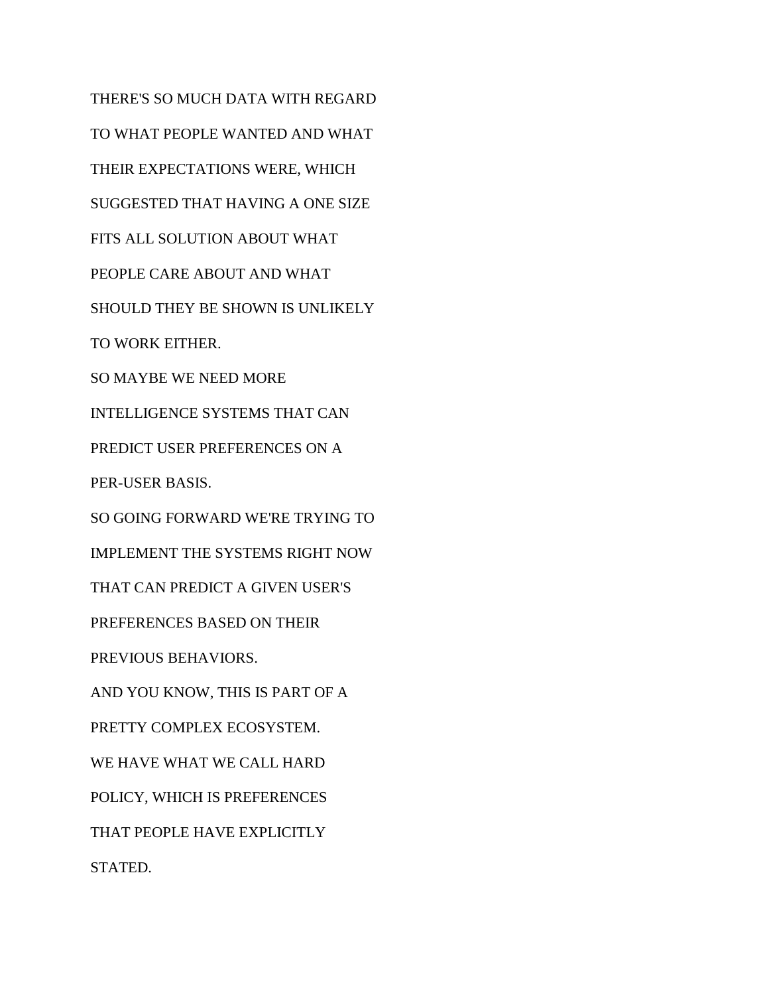THERE'S SO MUCH DATA WITH REGARD TO WHAT PEOPLE WANTED AND WHAT THEIR EXPECTATIONS WERE, WHICH SUGGESTED THAT HAVING A ONE SIZE FITS ALL SOLUTION ABOUT WHAT PEOPLE CARE ABOUT AND WHAT SHOULD THEY BE SHOWN IS UNLIKELY TO WORK EITHER. SO MAYBE WE NEED MORE INTELLIGENCE SYSTEMS THAT CAN PREDICT USER PREFERENCES ON A PER-USER BASIS. SO GOING FORWARD WE'RE TRYING TO IMPLEMENT THE SYSTEMS RIGHT NOW THAT CAN PREDICT A GIVEN USER'S PREFERENCES BASED ON THEIR PREVIOUS BEHAVIORS. AND YOU KNOW, THIS IS PART OF A PRETTY COMPLEX ECOSYSTEM. WE HAVE WHAT WE CALL HARD POLICY, WHICH IS PREFERENCES THAT PEOPLE HAVE EXPLICITLY STATED.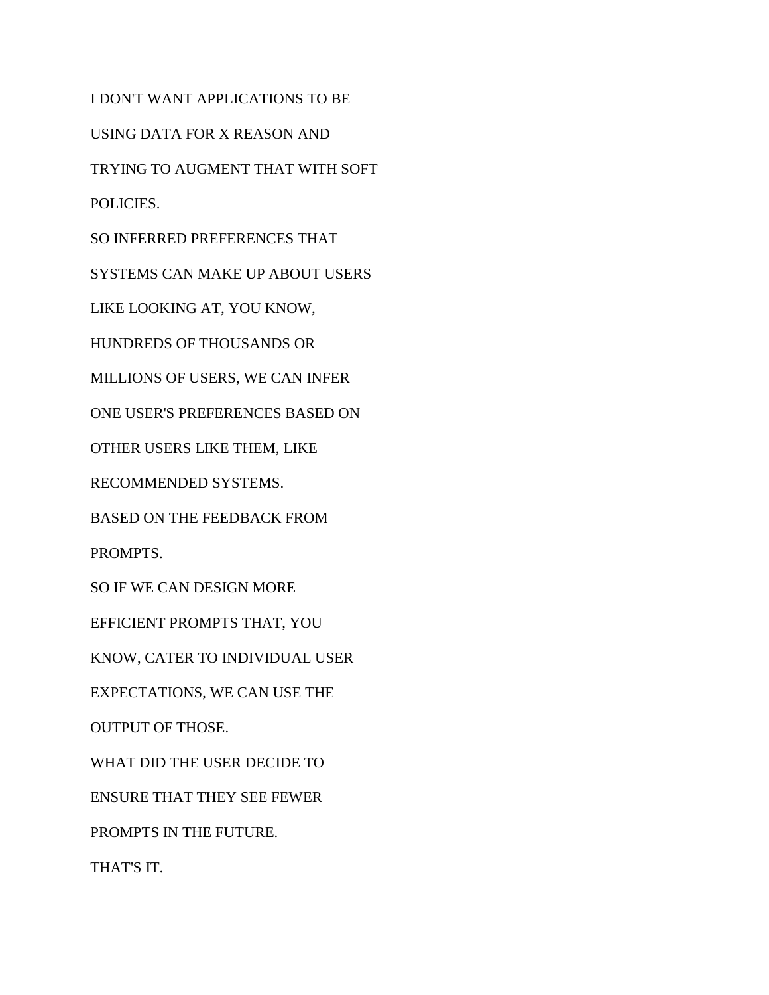I DON'T WANT APPLICATIONS TO BE USING DATA FOR X REASON AND TRYING TO AUGMENT THAT WITH SOFT POLICIES. SO INFERRED PREFERENCES THAT SYSTEMS CAN MAKE UP ABOUT USERS LIKE LOOKING AT, YOU KNOW, HUNDREDS OF THOUSANDS OR MILLIONS OF USERS, WE CAN INFER ONE USER'S PREFERENCES BASED ON OTHER USERS LIKE THEM, LIKE RECOMMENDED SYSTEMS. BASED ON THE FEEDBACK FROM PROMPTS. SO IF WE CAN DESIGN MORE EFFICIENT PROMPTS THAT, YOU KNOW, CATER TO INDIVIDUAL USER EXPECTATIONS, WE CAN USE THE OUTPUT OF THOSE. WHAT DID THE USER DECIDE TO ENSURE THAT THEY SEE FEWER PROMPTS IN THE FUTURE. THAT'S IT.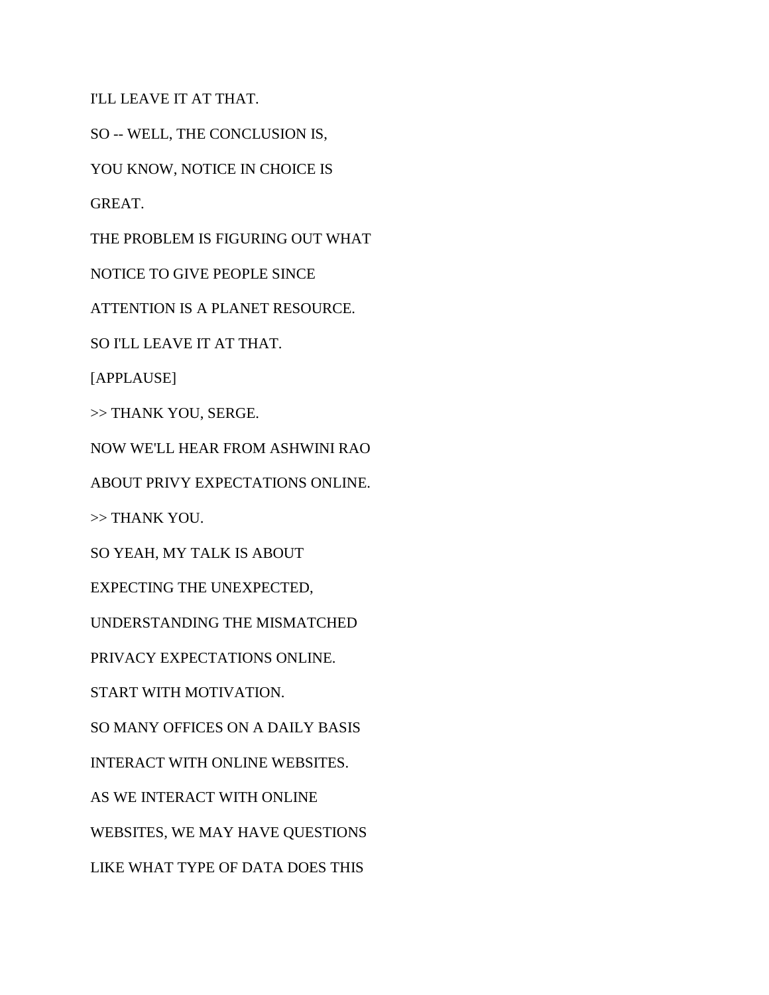I'LL LEAVE IT AT THAT.

SO -- WELL, THE CONCLUSION IS,

YOU KNOW, NOTICE IN CHOICE IS

GREAT.

THE PROBLEM IS FIGURING OUT WHAT

NOTICE TO GIVE PEOPLE SINCE

ATTENTION IS A PLANET RESOURCE.

SO I'LL LEAVE IT AT THAT.

[APPLAUSE]

>> THANK YOU, SERGE.

NOW WE'LL HEAR FROM ASHWINI RAO

ABOUT PRIVY EXPECTATIONS ONLINE.

>> THANK YOU.

SO YEAH, MY TALK IS ABOUT

EXPECTING THE UNEXPECTED,

UNDERSTANDING THE MISMATCHED

PRIVACY EXPECTATIONS ONLINE.

START WITH MOTIVATION.

SO MANY OFFICES ON A DAILY BASIS

INTERACT WITH ONLINE WEBSITES.

AS WE INTERACT WITH ONLINE

WEBSITES, WE MAY HAVE QUESTIONS

LIKE WHAT TYPE OF DATA DOES THIS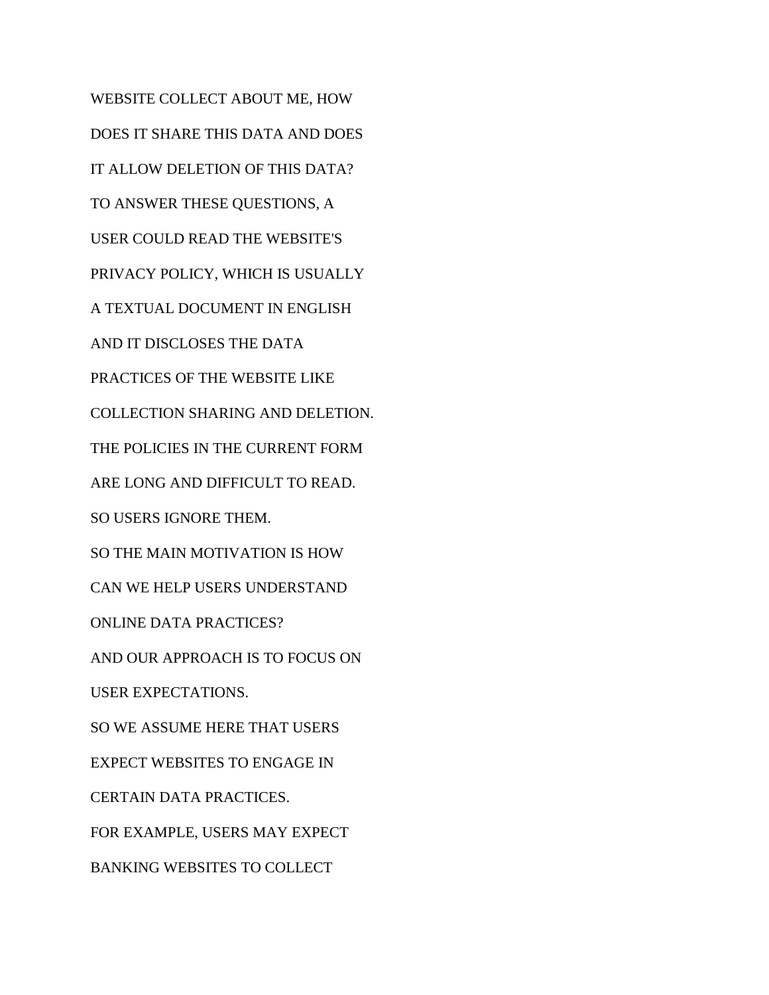WEBSITE COLLECT ABOUT ME, HOW DOES IT SHARE THIS DATA AND DOES IT ALLOW DELETION OF THIS DATA? TO ANSWER THESE QUESTIONS, A USER COULD READ THE WEBSITE'S PRIVACY POLICY, WHICH IS USUALLY A TEXTUAL DOCUMENT IN ENGLISH AND IT DISCLOSES THE DATA PRACTICES OF THE WEBSITE LIKE COLLECTION SHARING AND DELETION. THE POLICIES IN THE CURRENT FORM ARE LONG AND DIFFICULT TO READ. SO USERS IGNORE THEM. SO THE MAIN MOTIVATION IS HOW CAN WE HELP USERS UNDERSTAND ONLINE DATA PRACTICES? AND OUR APPROACH IS TO FOCUS ON USER EXPECTATIONS. SO WE ASSUME HERE THAT USERS EXPECT WEBSITES TO ENGAGE IN CERTAIN DATA PRACTICES. FOR EXAMPLE, USERS MAY EXPECT BANKING WEBSITES TO COLLECT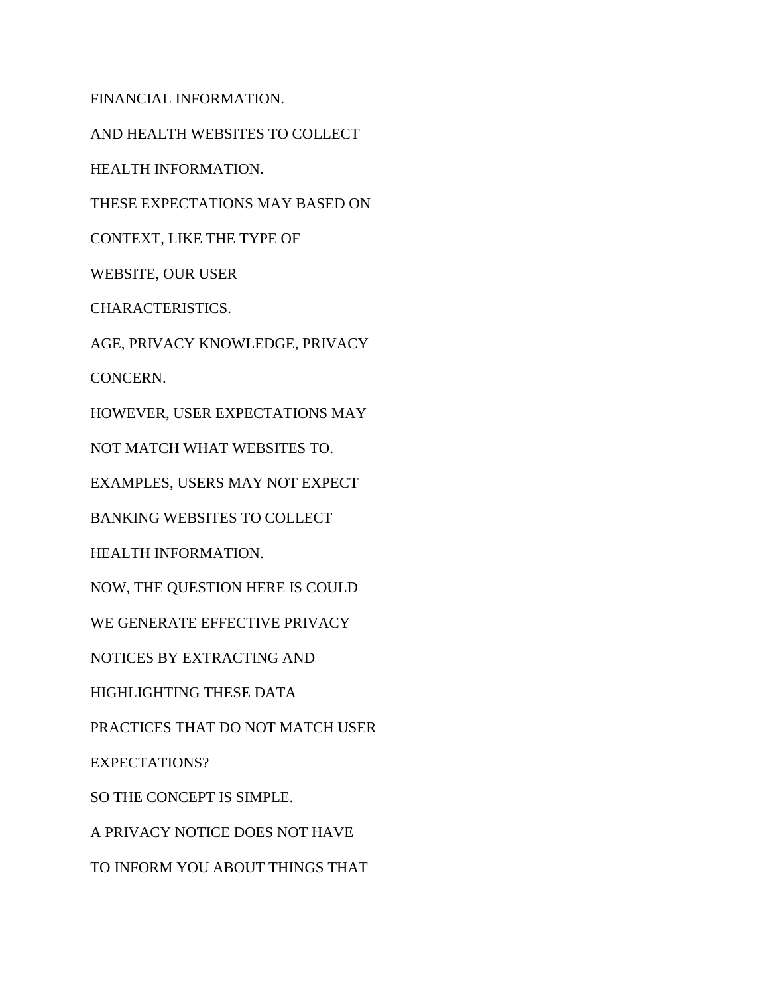FINANCIAL INFORMATION.

AND HEALTH WEBSITES TO COLLECT

HEALTH INFORMATION.

THESE EXPECTATIONS MAY BASED ON

CONTEXT, LIKE THE TYPE OF

WEBSITE, OUR USER

CHARACTERISTICS.

AGE, PRIVACY KNOWLEDGE, PRIVACY

CONCERN.

HOWEVER, USER EXPECTATIONS MAY

NOT MATCH WHAT WEBSITES TO.

EXAMPLES, USERS MAY NOT EXPECT

BANKING WEBSITES TO COLLECT

HEALTH INFORMATION.

NOW, THE QUESTION HERE IS COULD

WE GENERATE EFFECTIVE PRIVACY

NOTICES BY EXTRACTING AND

HIGHLIGHTING THESE DATA

PRACTICES THAT DO NOT MATCH USER

EXPECTATIONS?

SO THE CONCEPT IS SIMPLE.

A PRIVACY NOTICE DOES NOT HAVE

TO INFORM YOU ABOUT THINGS THAT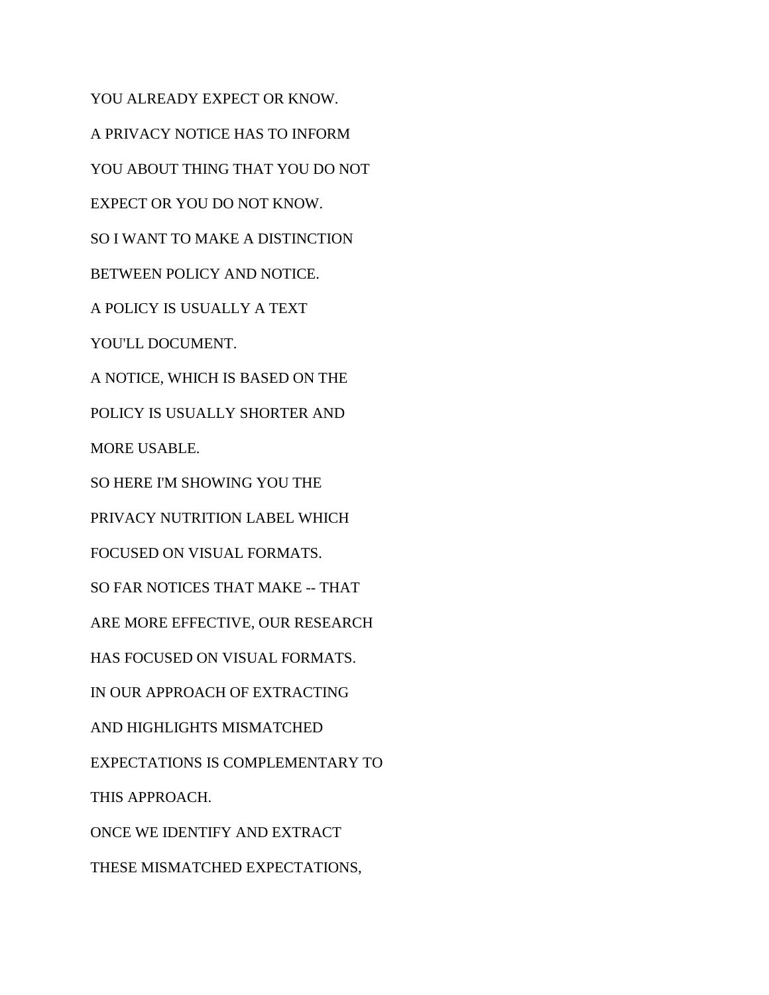YOU ALREADY EXPECT OR KNOW. A PRIVACY NOTICE HAS TO INFORM YOU ABOUT THING THAT YOU DO NOT EXPECT OR YOU DO NOT KNOW. SO I WANT TO MAKE A DISTINCTION BETWEEN POLICY AND NOTICE. A POLICY IS USUALLY A TEXT YOU'LL DOCUMENT. A NOTICE, WHICH IS BASED ON THE POLICY IS USUALLY SHORTER AND MORE USABLE. SO HERE I'M SHOWING YOU THE PRIVACY NUTRITION LABEL WHICH FOCUSED ON VISUAL FORMATS. SO FAR NOTICES THAT MAKE -- THAT ARE MORE EFFECTIVE, OUR RESEARCH HAS FOCUSED ON VISUAL FORMATS. IN OUR APPROACH OF EXTRACTING AND HIGHLIGHTS MISMATCHED EXPECTATIONS IS COMPLEMENTARY TO THIS APPROACH. ONCE WE IDENTIFY AND EXTRACT THESE MISMATCHED EXPECTATIONS,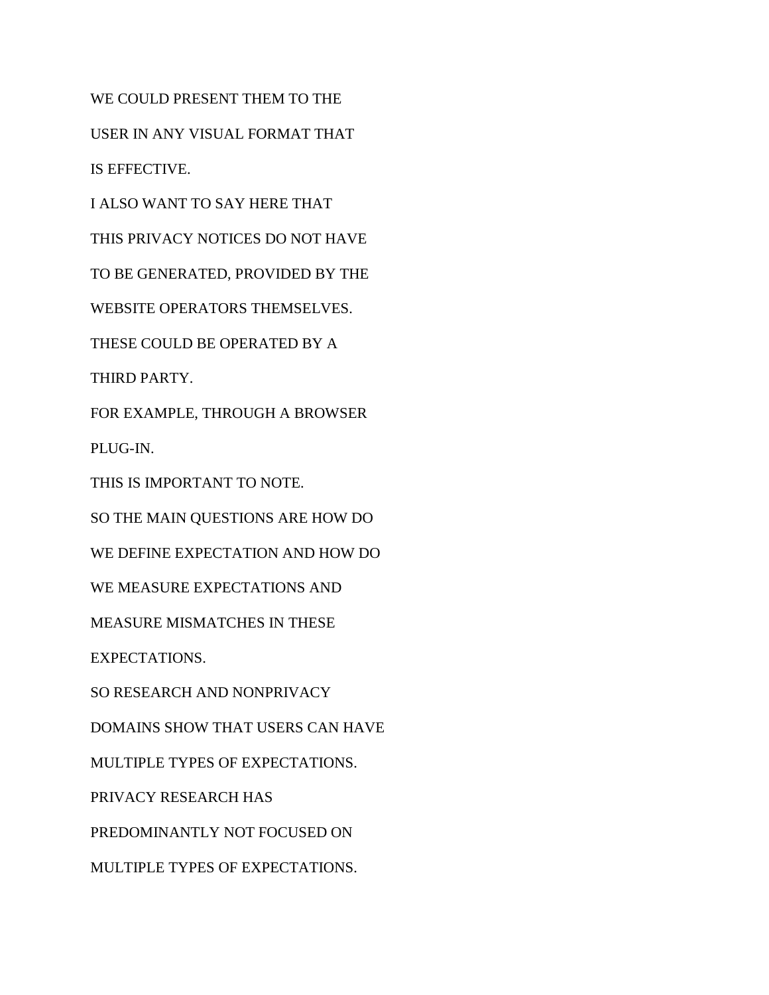WE COULD PRESENT THEM TO THE

USER IN ANY VISUAL FORMAT THAT

IS EFFECTIVE.

I ALSO WANT TO SAY HERE THAT

THIS PRIVACY NOTICES DO NOT HAVE

TO BE GENERATED, PROVIDED BY THE

WEBSITE OPERATORS THEMSELVES.

THESE COULD BE OPERATED BY A

THIRD PARTY.

FOR EXAMPLE, THROUGH A BROWSER

PLUG-IN.

THIS IS IMPORTANT TO NOTE.

SO THE MAIN QUESTIONS ARE HOW DO

WE DEFINE EXPECTATION AND HOW DO

WE MEASURE EXPECTATIONS AND

MEASURE MISMATCHES IN THESE

EXPECTATIONS.

SO RESEARCH AND NONPRIVACY

DOMAINS SHOW THAT USERS CAN HAVE

MULTIPLE TYPES OF EXPECTATIONS.

PRIVACY RESEARCH HAS

PREDOMINANTLY NOT FOCUSED ON

MULTIPLE TYPES OF EXPECTATIONS.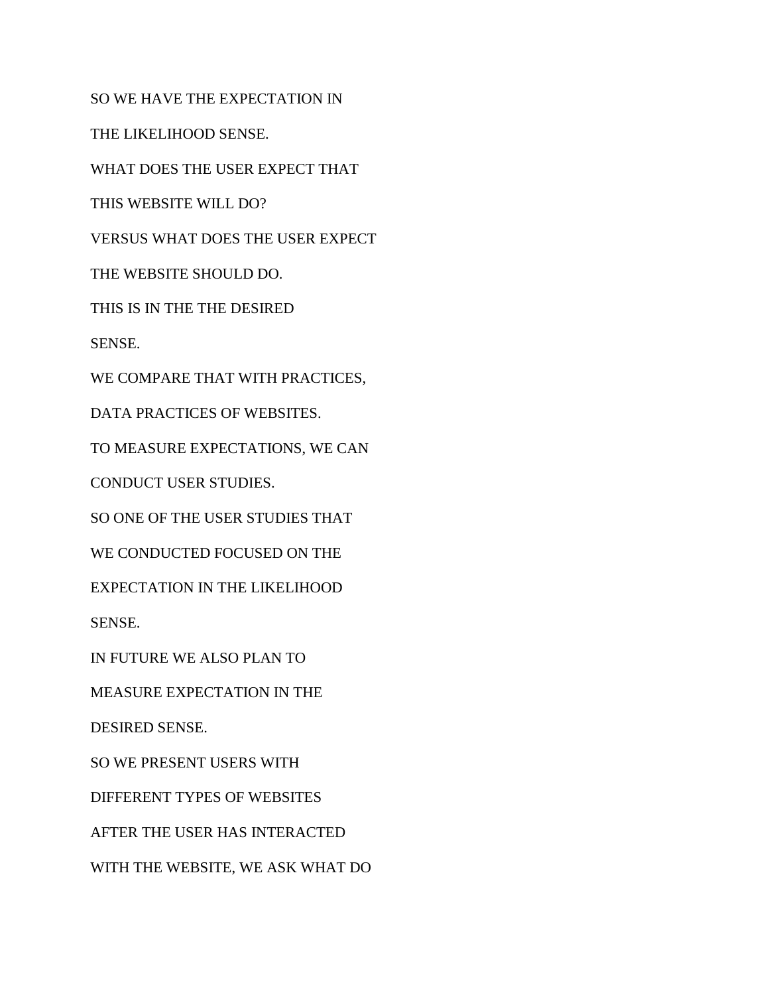SO WE HAVE THE EXPECTATION IN

THE LIKELIHOOD SENSE.

WHAT DOES THE USER EXPECT THAT

THIS WEBSITE WILL DO?

VERSUS WHAT DOES THE USER EXPECT

THE WEBSITE SHOULD DO.

THIS IS IN THE THE DESIRED

SENSE.

WE COMPARE THAT WITH PRACTICES,

DATA PRACTICES OF WEBSITES.

TO MEASURE EXPECTATIONS, WE CAN

CONDUCT USER STUDIES.

SO ONE OF THE USER STUDIES THAT

WE CONDUCTED FOCUSED ON THE

EXPECTATION IN THE LIKELIHOOD

SENSE.

IN FUTURE WE ALSO PLAN TO

MEASURE EXPECTATION IN THE

DESIRED SENSE.

SO WE PRESENT USERS WITH

DIFFERENT TYPES OF WEBSITES

AFTER THE USER HAS INTERACTED

WITH THE WEBSITE, WE ASK WHAT DO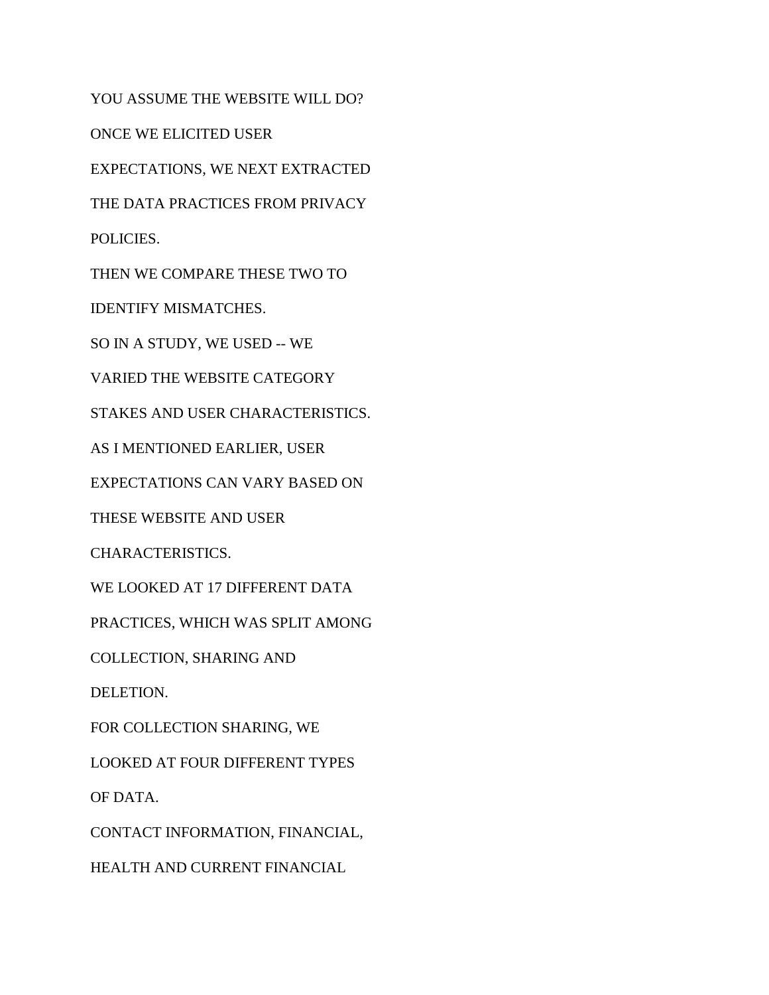YOU ASSUME THE WEBSITE WILL DO? ONCE WE ELICITED USER EXPECTATIONS, WE NEXT EXTRACTED THE DATA PRACTICES FROM PRIVACY POLICIES. THEN WE COMPARE THESE TWO TO IDENTIFY MISMATCHES. SO IN A STUDY, WE USED -- WE VARIED THE WEBSITE CATEGORY STAKES AND USER CHARACTERISTICS. AS I MENTIONED EARLIER, USER EXPECTATIONS CAN VARY BASED ON THESE WEBSITE AND USER CHARACTERISTICS. WE LOOKED AT 17 DIFFERENT DATA PRACTICES, WHICH WAS SPLIT AMONG COLLECTION, SHARING AND DELETION. FOR COLLECTION SHARING, WE LOOKED AT FOUR DIFFERENT TYPES OF DATA.

CONTACT INFORMATION, FINANCIAL,

HEALTH AND CURRENT FINANCIAL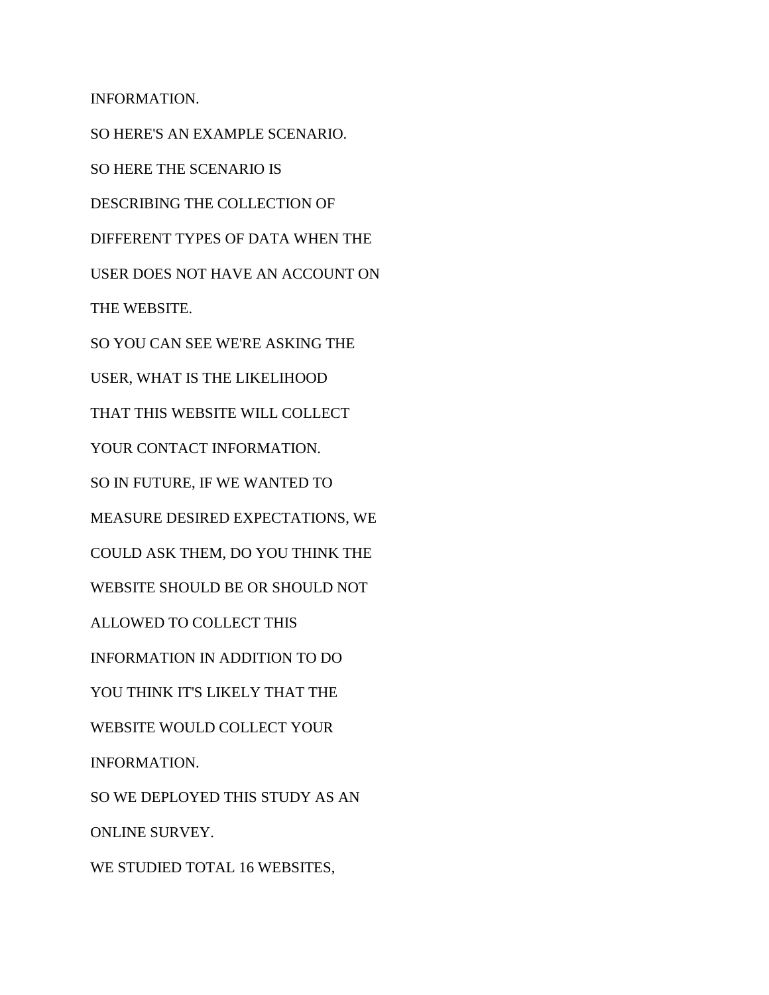INFORMATION. SO HERE'S AN EXAMPLE SCENARIO. SO HERE THE SCENARIO IS DESCRIBING THE COLLECTION OF DIFFERENT TYPES OF DATA WHEN THE USER DOES NOT HAVE AN ACCOUNT ON THE WEBSITE. SO YOU CAN SEE WE'RE ASKING THE USER, WHAT IS THE LIKELIHOOD THAT THIS WEBSITE WILL COLLECT YOUR CONTACT INFORMATION. SO IN FUTURE, IF WE WANTED TO MEASURE DESIRED EXPECTATIONS, WE COULD ASK THEM, DO YOU THINK THE WEBSITE SHOULD BE OR SHOULD NOT ALLOWED TO COLLECT THIS INFORMATION IN ADDITION TO DO YOU THINK IT'S LIKELY THAT THE WEBSITE WOULD COLLECT YOUR INFORMATION. SO WE DEPLOYED THIS STUDY AS AN ONLINE SURVEY. WE STUDIED TOTAL 16 WEBSITES,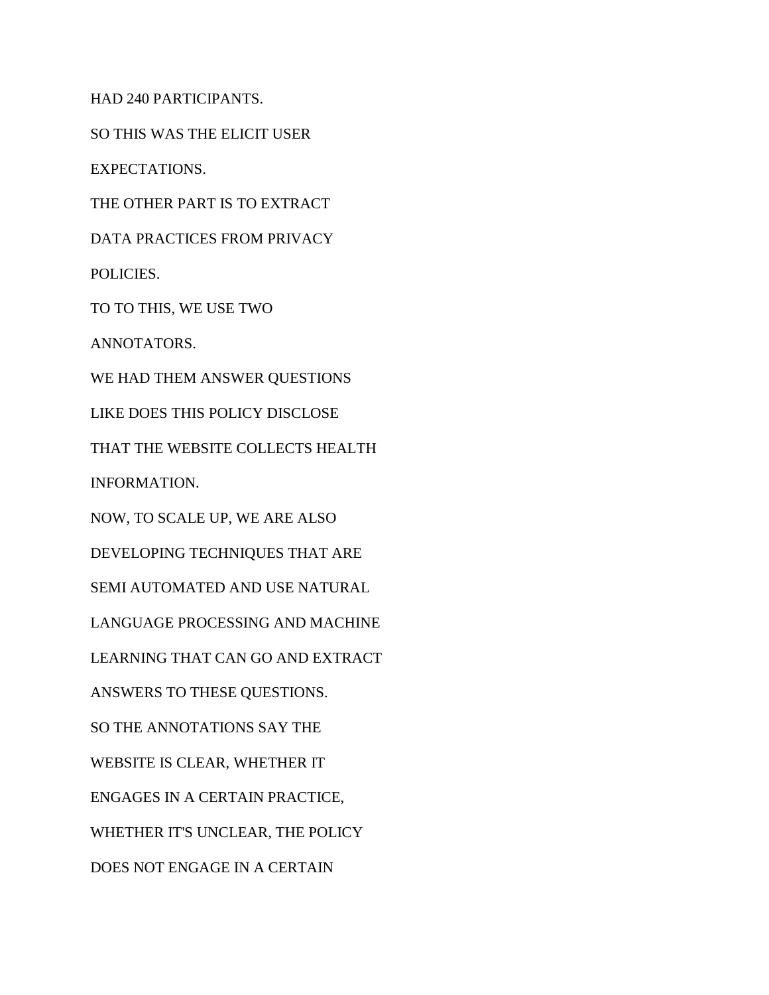HAD 240 PARTICIPANTS.

SO THIS WAS THE ELICIT USER

EXPECTATIONS.

THE OTHER PART IS TO EXTRACT

DATA PRACTICES FROM PRIVACY

POLICIES.

TO TO THIS, WE USE TWO

ANNOTATORS.

WE HAD THEM ANSWER QUESTIONS

LIKE DOES THIS POLICY DISCLOSE

THAT THE WEBSITE COLLECTS HEALTH

INFORMATION.

NOW, TO SCALE UP, WE ARE ALSO

DEVELOPING TECHNIQUES THAT ARE

SEMI AUTOMATED AND USE NATURAL

LANGUAGE PROCESSING AND MACHINE

LEARNING THAT CAN GO AND EXTRACT

ANSWERS TO THESE QUESTIONS.

SO THE ANNOTATIONS SAY THE

WEBSITE IS CLEAR, WHETHER IT

ENGAGES IN A CERTAIN PRACTICE,

WHETHER IT'S UNCLEAR, THE POLICY

DOES NOT ENGAGE IN A CERTAIN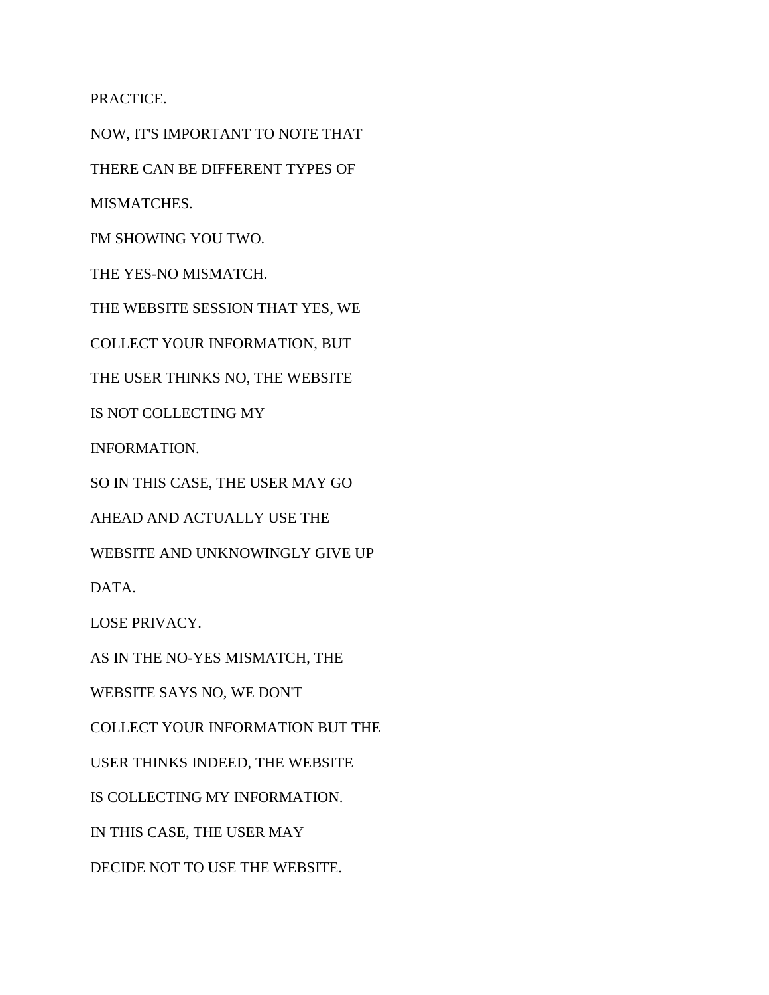PRACTICE.

NOW, IT'S IMPORTANT TO NOTE THAT THERE CAN BE DIFFERENT TYPES OF MISMATCHES. I'M SHOWING YOU TWO. THE YES-NO MISMATCH. THE WEBSITE SESSION THAT YES, WE COLLECT YOUR INFORMATION, BUT THE USER THINKS NO, THE WEBSITE IS NOT COLLECTING MY INFORMATION. SO IN THIS CASE, THE USER MAY GO AHEAD AND ACTUALLY USE THE WEBSITE AND UNKNOWINGLY GIVE UP DATA. LOSE PRIVACY. AS IN THE NO-YES MISMATCH, THE WEBSITE SAYS NO, WE DON'T COLLECT YOUR INFORMATION BUT THE USER THINKS INDEED, THE WEBSITE IS COLLECTING MY INFORMATION. IN THIS CASE, THE USER MAY

DECIDE NOT TO USE THE WEBSITE.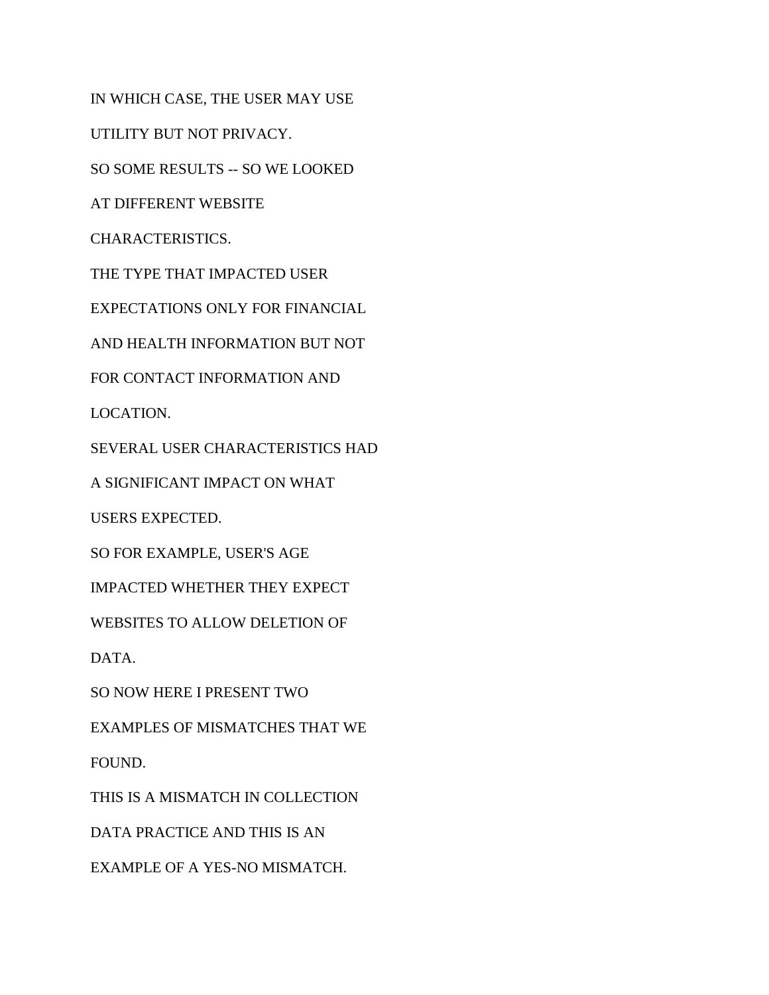IN WHICH CASE, THE USER MAY USE UTILITY BUT NOT PRIVACY. SO SOME RESULTS -- SO WE LOOKED AT DIFFERENT WEBSITE CHARACTERISTICS. THE TYPE THAT IMPACTED USER EXPECTATIONS ONLY FOR FINANCIAL AND HEALTH INFORMATION BUT NOT FOR CONTACT INFORMATION AND LOCATION. SEVERAL USER CHARACTERISTICS HAD A SIGNIFICANT IMPACT ON WHAT USERS EXPECTED. SO FOR EXAMPLE, USER'S AGE IMPACTED WHETHER THEY EXPECT WEBSITES TO ALLOW DELETION OF DATA. SO NOW HERE I PRESENT TWO EXAMPLES OF MISMATCHES THAT WE FOUND. THIS IS A MISMATCH IN COLLECTION DATA PRACTICE AND THIS IS AN EXAMPLE OF A YES-NO MISMATCH.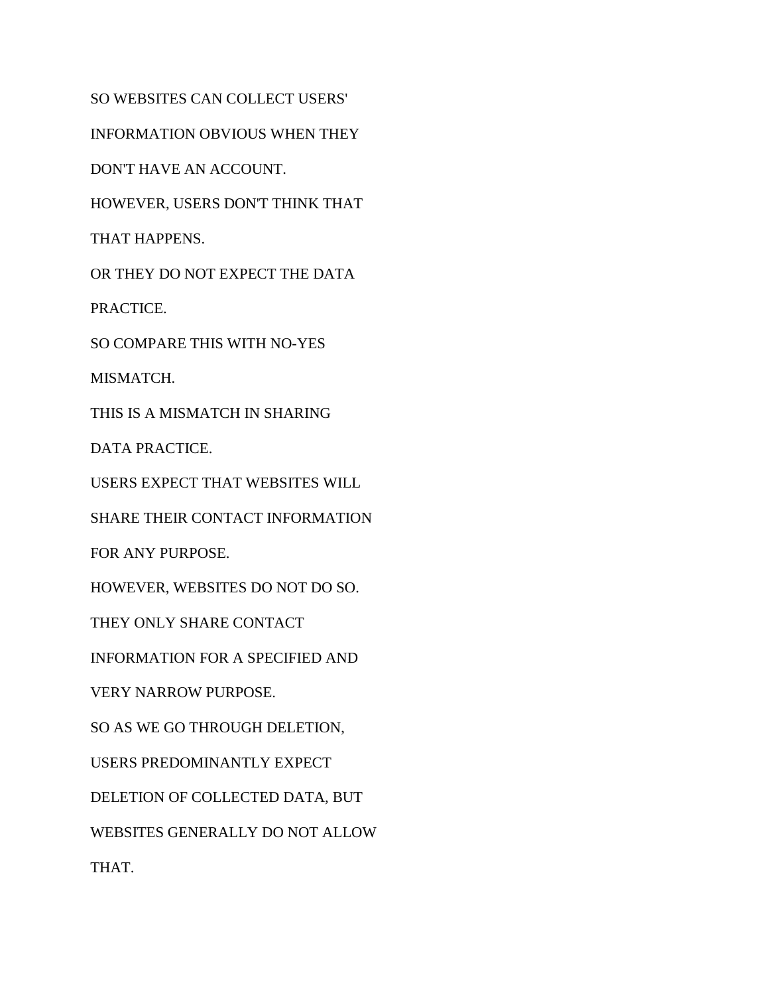SO WEBSITES CAN COLLECT USERS' INFORMATION OBVIOUS WHEN THEY DON'T HAVE AN ACCOUNT. HOWEVER, USERS DON'T THINK THAT THAT HAPPENS. OR THEY DO NOT EXPECT THE DATA PRACTICE. SO COMPARE THIS WITH NO-YES MISMATCH. THIS IS A MISMATCH IN SHARING DATA PRACTICE. USERS EXPECT THAT WEBSITES WILL SHARE THEIR CONTACT INFORMATION FOR ANY PURPOSE. HOWEVER, WEBSITES DO NOT DO SO. THEY ONLY SHARE CONTACT INFORMATION FOR A SPECIFIED AND VERY NARROW PURPOSE. SO AS WE GO THROUGH DELETION, USERS PREDOMINANTLY EXPECT DELETION OF COLLECTED DATA, BUT WEBSITES GENERALLY DO NOT ALLOW THAT.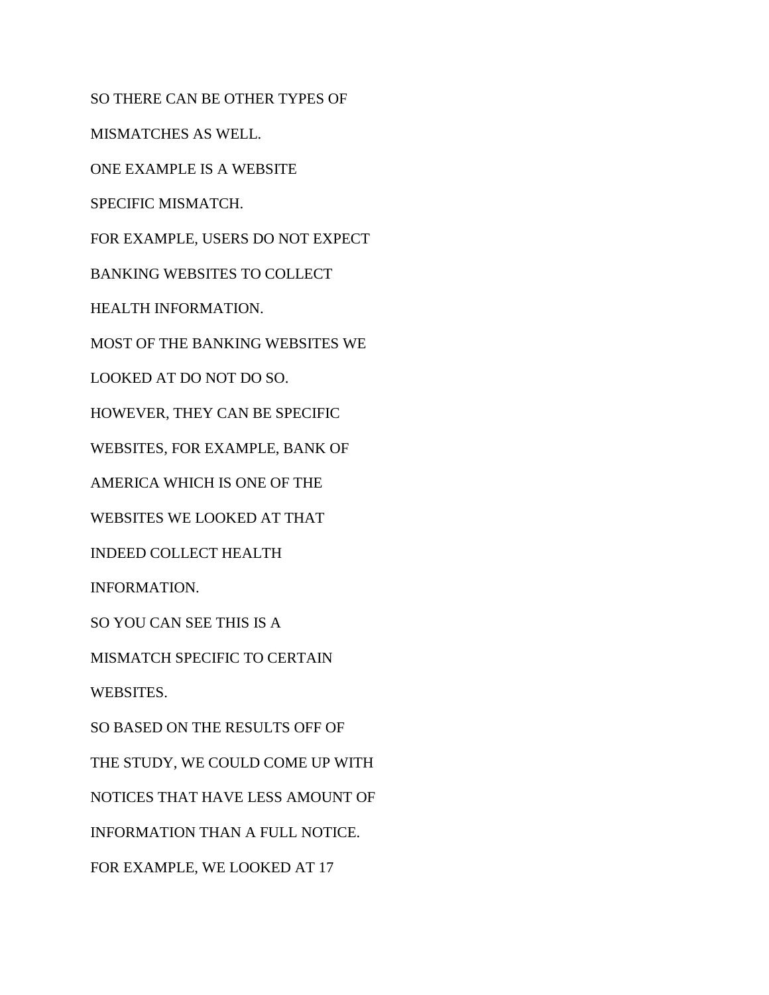SO THERE CAN BE OTHER TYPES OF MISMATCHES AS WELL. ONE EXAMPLE IS A WEBSITE SPECIFIC MISMATCH. FOR EXAMPLE, USERS DO NOT EXPECT BANKING WEBSITES TO COLLECT HEALTH INFORMATION. MOST OF THE BANKING WEBSITES WE LOOKED AT DO NOT DO SO. HOWEVER, THEY CAN BE SPECIFIC WEBSITES, FOR EXAMPLE, BANK OF AMERICA WHICH IS ONE OF THE WEBSITES WE LOOKED AT THAT INDEED COLLECT HEALTH INFORMATION. SO YOU CAN SEE THIS IS A MISMATCH SPECIFIC TO CERTAIN WEBSITES. SO BASED ON THE RESULTS OFF OF THE STUDY, WE COULD COME UP WITH NOTICES THAT HAVE LESS AMOUNT OF INFORMATION THAN A FULL NOTICE. FOR EXAMPLE, WE LOOKED AT 17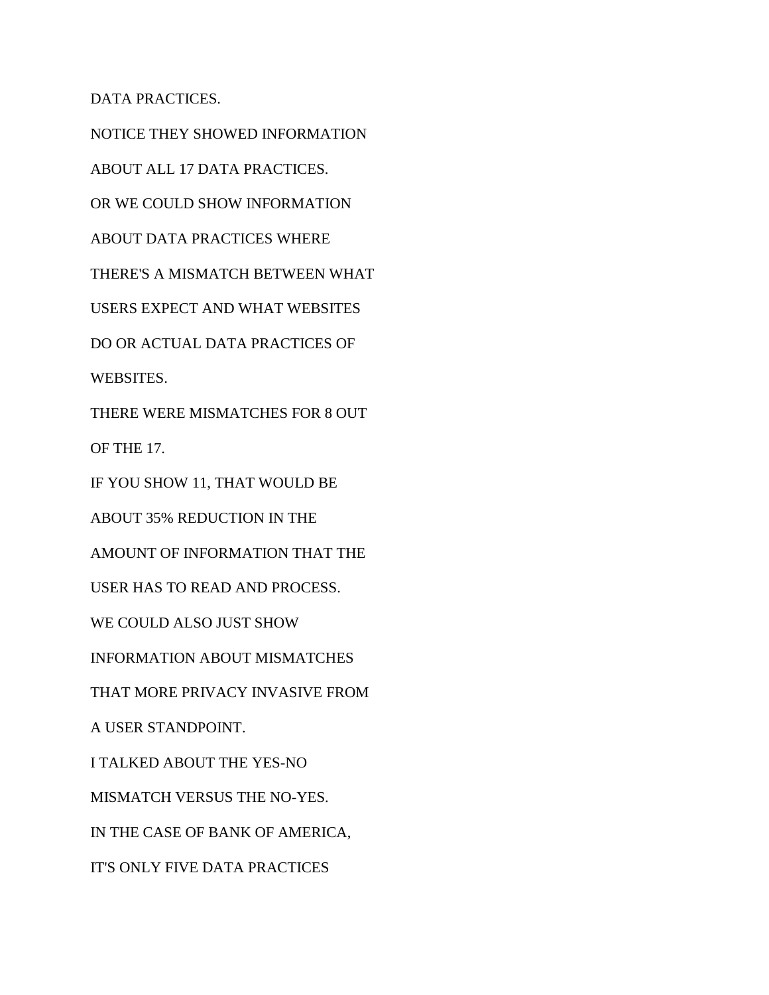DATA PRACTICES.

NOTICE THEY SHOWED INFORMATION ABOUT ALL 17 DATA PRACTICES. OR WE COULD SHOW INFORMATION ABOUT DATA PRACTICES WHERE THERE'S A MISMATCH BETWEEN WHAT USERS EXPECT AND WHAT WEBSITES DO OR ACTUAL DATA PRACTICES OF WEBSITES. THERE WERE MISMATCHES FOR 8 OUT OF THE 17. IF YOU SHOW 11, THAT WOULD BE ABOUT 35% REDUCTION IN THE AMOUNT OF INFORMATION THAT THE USER HAS TO READ AND PROCESS. WE COULD ALSO JUST SHOW INFORMATION ABOUT MISMATCHES THAT MORE PRIVACY INVASIVE FROM A USER STANDPOINT. I TALKED ABOUT THE YES-NO MISMATCH VERSUS THE NO-YES. IN THE CASE OF BANK OF AMERICA, IT'S ONLY FIVE DATA PRACTICES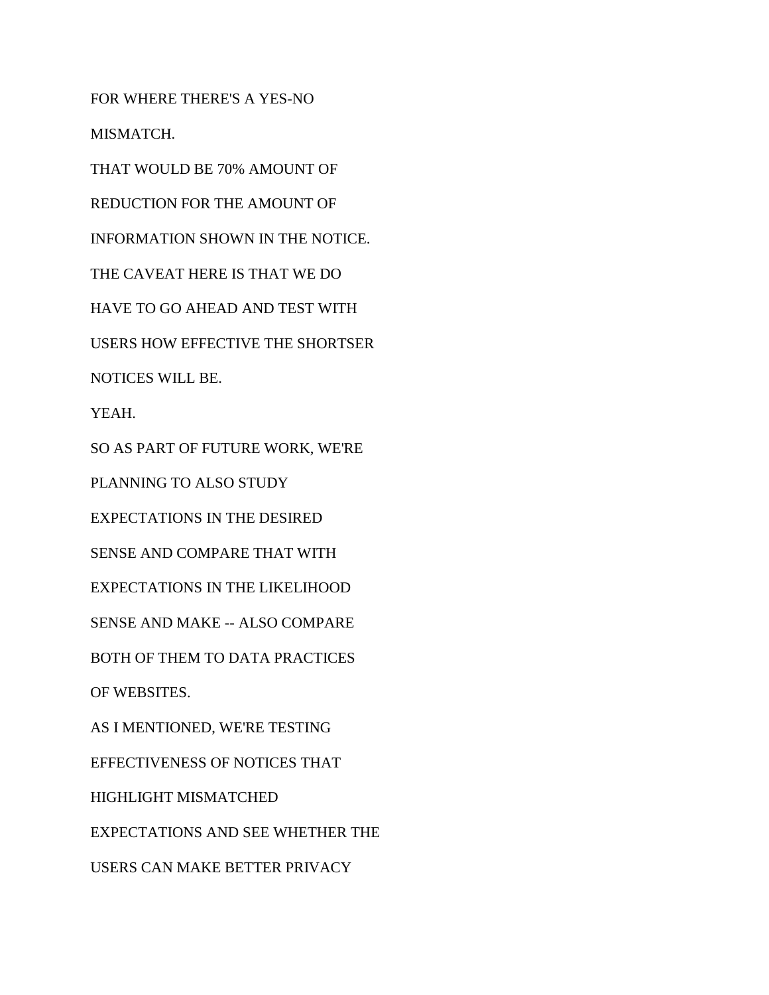FOR WHERE THERE'S A YES-NO MISMATCH. THAT WOULD BE 70% AMOUNT OF REDUCTION FOR THE AMOUNT OF INFORMATION SHOWN IN THE NOTICE. THE CAVEAT HERE IS THAT WE DO HAVE TO GO AHEAD AND TEST WITH USERS HOW EFFECTIVE THE SHORTSER NOTICES WILL BE. YEAH. SO AS PART OF FUTURE WORK, WE'RE PLANNING TO ALSO STUDY EXPECTATIONS IN THE DESIRED SENSE AND COMPARE THAT WITH EXPECTATIONS IN THE LIKELIHOOD SENSE AND MAKE -- ALSO COMPARE BOTH OF THEM TO DATA PRACTICES OF WEBSITES. AS I MENTIONED, WE'RE TESTING EFFECTIVENESS OF NOTICES THAT HIGHLIGHT MISMATCHED EXPECTATIONS AND SEE WHETHER THE USERS CAN MAKE BETTER PRIVACY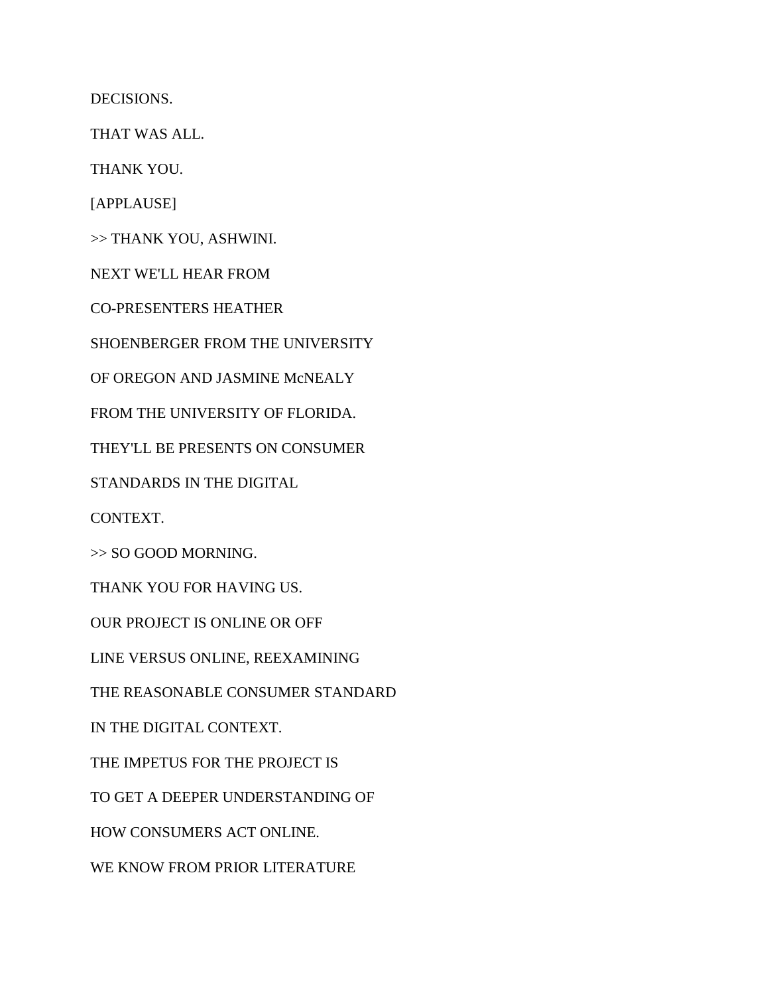DECISIONS.

THAT WAS ALL.

THANK YOU.

[APPLAUSE]

>> THANK YOU, ASHWINI.

NEXT WE'LL HEAR FROM

CO-PRESENTERS HEATHER

SHOENBERGER FROM THE UNIVERSITY

OF OREGON AND JASMINE McNEALY

FROM THE UNIVERSITY OF FLORIDA.

THEY'LL BE PRESENTS ON CONSUMER

STANDARDS IN THE DIGITAL

CONTEXT.

>> SO GOOD MORNING.

THANK YOU FOR HAVING US.

OUR PROJECT IS ONLINE OR OFF

LINE VERSUS ONLINE, REEXAMINING

THE REASONABLE CONSUMER STANDARD

IN THE DIGITAL CONTEXT.

THE IMPETUS FOR THE PROJECT IS

TO GET A DEEPER UNDERSTANDING OF

HOW CONSUMERS ACT ONLINE.

WE KNOW FROM PRIOR LITERATURE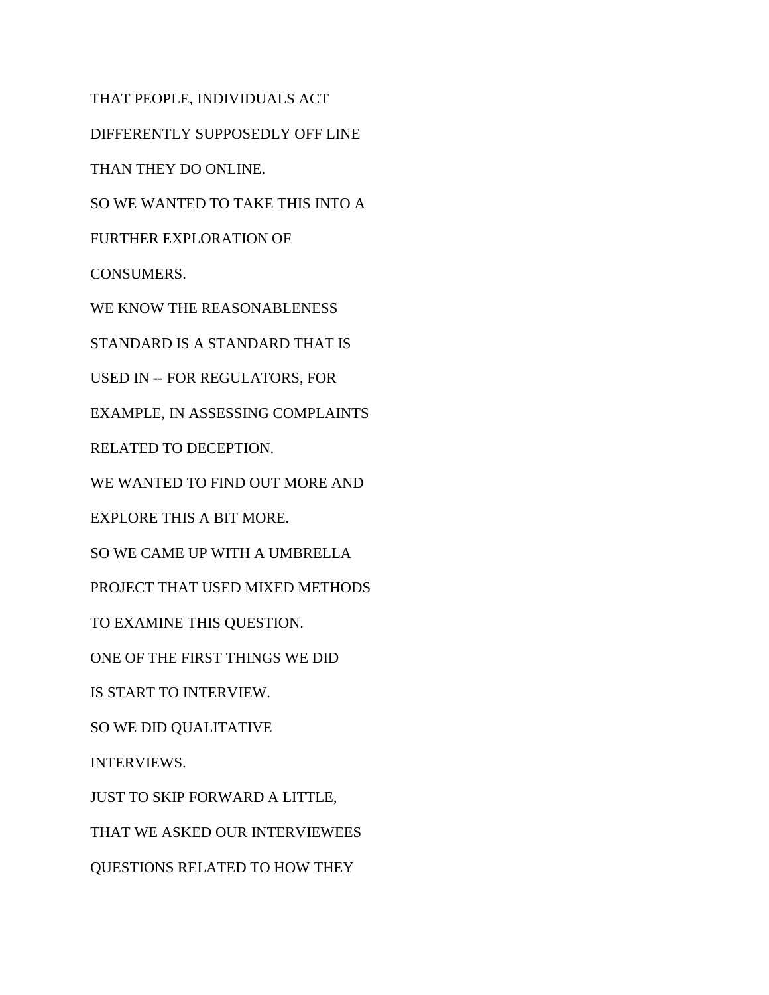THAT PEOPLE, INDIVIDUALS ACT DIFFERENTLY SUPPOSEDLY OFF LINE THAN THEY DO ONLINE. SO WE WANTED TO TAKE THIS INTO A FURTHER EXPLORATION OF CONSUMERS. WE KNOW THE REASONABLENESS STANDARD IS A STANDARD THAT IS USED IN -- FOR REGULATORS, FOR EXAMPLE, IN ASSESSING COMPLAINTS RELATED TO DECEPTION. WE WANTED TO FIND OUT MORE AND EXPLORE THIS A BIT MORE. SO WE CAME UP WITH A UMBRELLA PROJECT THAT USED MIXED METHODS TO EXAMINE THIS QUESTION. ONE OF THE FIRST THINGS WE DID IS START TO INTERVIEW. SO WE DID QUALITATIVE INTERVIEWS. JUST TO SKIP FORWARD A LITTLE, THAT WE ASKED OUR INTERVIEWEES QUESTIONS RELATED TO HOW THEY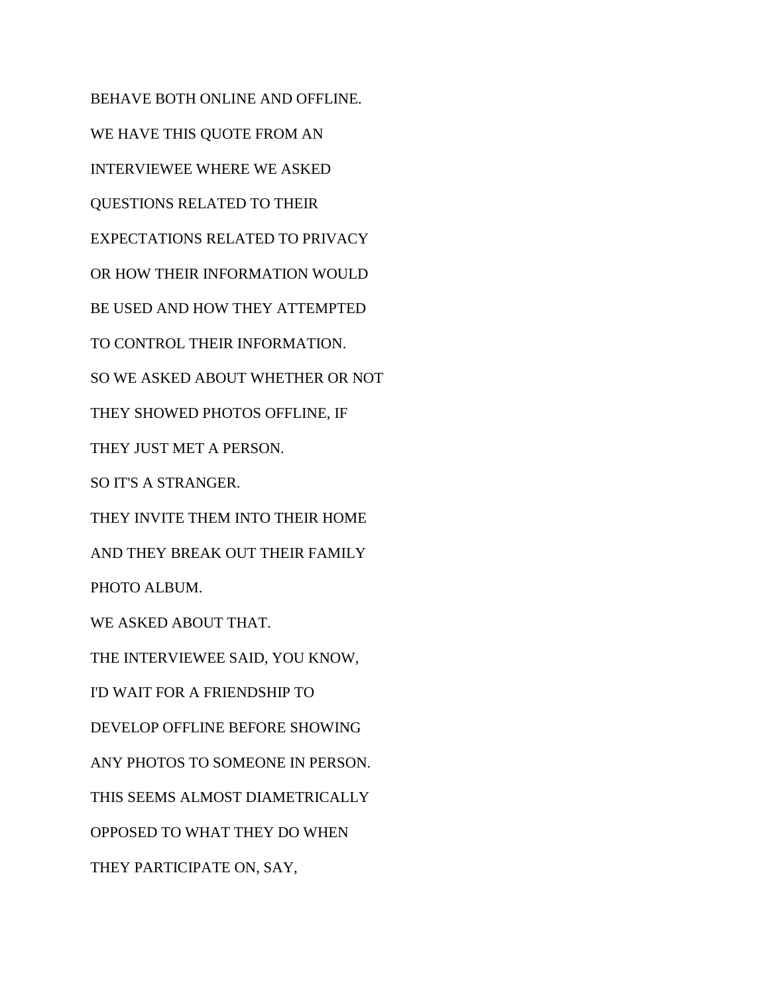BEHAVE BOTH ONLINE AND OFFLINE. WE HAVE THIS QUOTE FROM AN INTERVIEWEE WHERE WE ASKED QUESTIONS RELATED TO THEIR EXPECTATIONS RELATED TO PRIVACY OR HOW THEIR INFORMATION WOULD BE USED AND HOW THEY ATTEMPTED TO CONTROL THEIR INFORMATION. SO WE ASKED ABOUT WHETHER OR NOT THEY SHOWED PHOTOS OFFLINE, IF THEY JUST MET A PERSON. SO IT'S A STRANGER. THEY INVITE THEM INTO THEIR HOME AND THEY BREAK OUT THEIR FAMILY PHOTO ALBUM. WE ASKED ABOUT THAT. THE INTERVIEWEE SAID, YOU KNOW, I'D WAIT FOR A FRIENDSHIP TO DEVELOP OFFLINE BEFORE SHOWING ANY PHOTOS TO SOMEONE IN PERSON. THIS SEEMS ALMOST DIAMETRICALLY OPPOSED TO WHAT THEY DO WHEN THEY PARTICIPATE ON, SAY,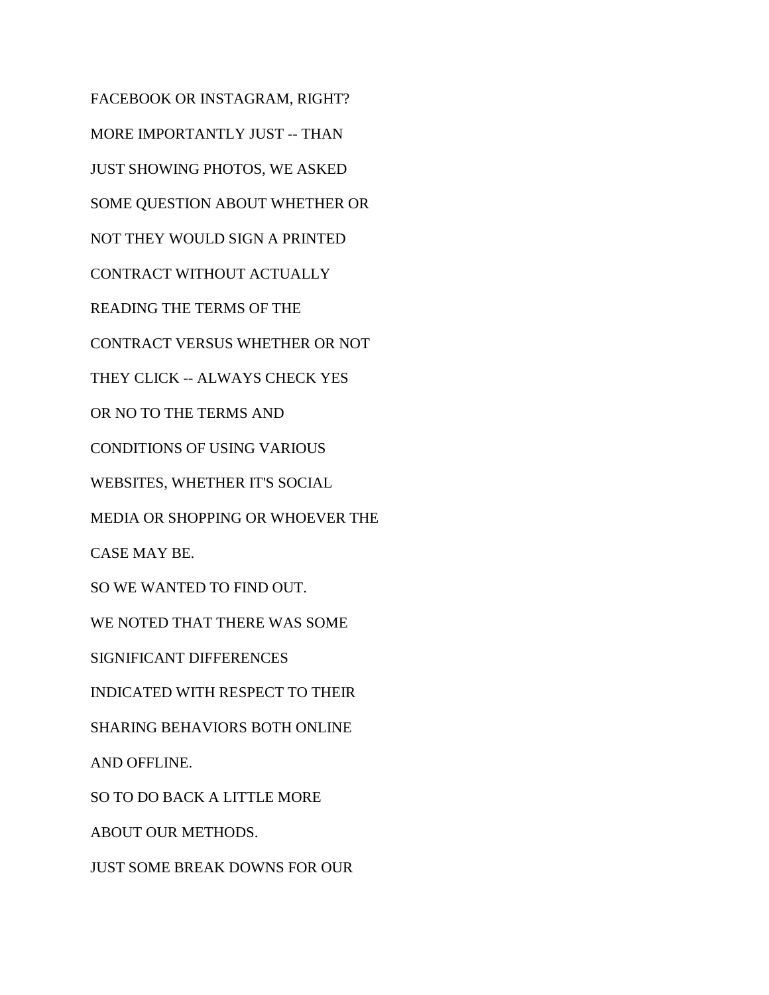FACEBOOK OR INSTAGRAM, RIGHT? MORE IMPORTANTLY JUST -- THAN JUST SHOWING PHOTOS, WE ASKED SOME QUESTION ABOUT WHETHER OR NOT THEY WOULD SIGN A PRINTED CONTRACT WITHOUT ACTUALLY READING THE TERMS OF THE CONTRACT VERSUS WHETHER OR NOT THEY CLICK -- ALWAYS CHECK YES OR NO TO THE TERMS AND CONDITIONS OF USING VARIOUS WEBSITES, WHETHER IT'S SOCIAL MEDIA OR SHOPPING OR WHOEVER THE CASE MAY BE. SO WE WANTED TO FIND OUT. WE NOTED THAT THERE WAS SOME SIGNIFICANT DIFFERENCES INDICATED WITH RESPECT TO THEIR SHARING BEHAVIORS BOTH ONLINE AND OFFLINE. SO TO DO BACK A LITTLE MORE ABOUT OUR METHODS. JUST SOME BREAK DOWNS FOR OUR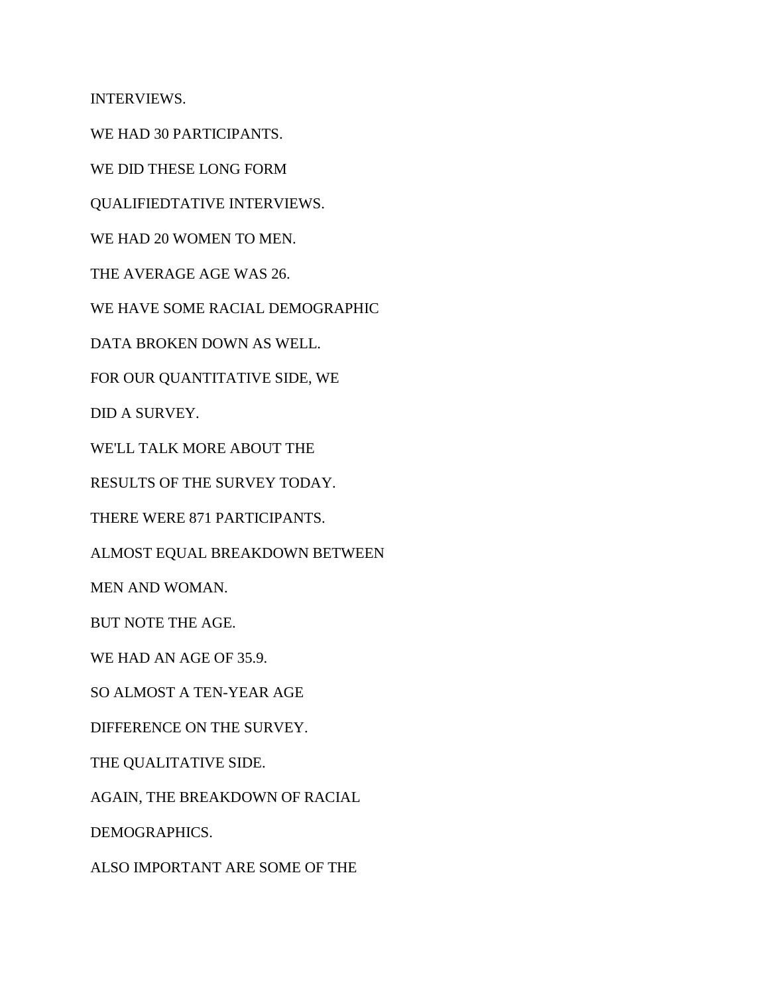INTERVIEWS.

WE HAD 30 PARTICIPANTS.

WE DID THESE LONG FORM

QUALIFIEDTATIVE INTERVIEWS.

WE HAD 20 WOMEN TO MEN.

THE AVERAGE AGE WAS 26.

WE HAVE SOME RACIAL DEMOGRAPHIC

DATA BROKEN DOWN AS WELL.

FOR OUR QUANTITATIVE SIDE, WE

DID A SURVEY.

WE'LL TALK MORE ABOUT THE

RESULTS OF THE SURVEY TODAY.

THERE WERE 871 PARTICIPANTS.

ALMOST EQUAL BREAKDOWN BETWEEN

MEN AND WOMAN.

BUT NOTE THE AGE.

WE HAD AN AGE OF 35.9.

SO ALMOST A TEN-YEAR AGE

DIFFERENCE ON THE SURVEY.

THE QUALITATIVE SIDE.

AGAIN, THE BREAKDOWN OF RACIAL

DEMOGRAPHICS.

ALSO IMPORTANT ARE SOME OF THE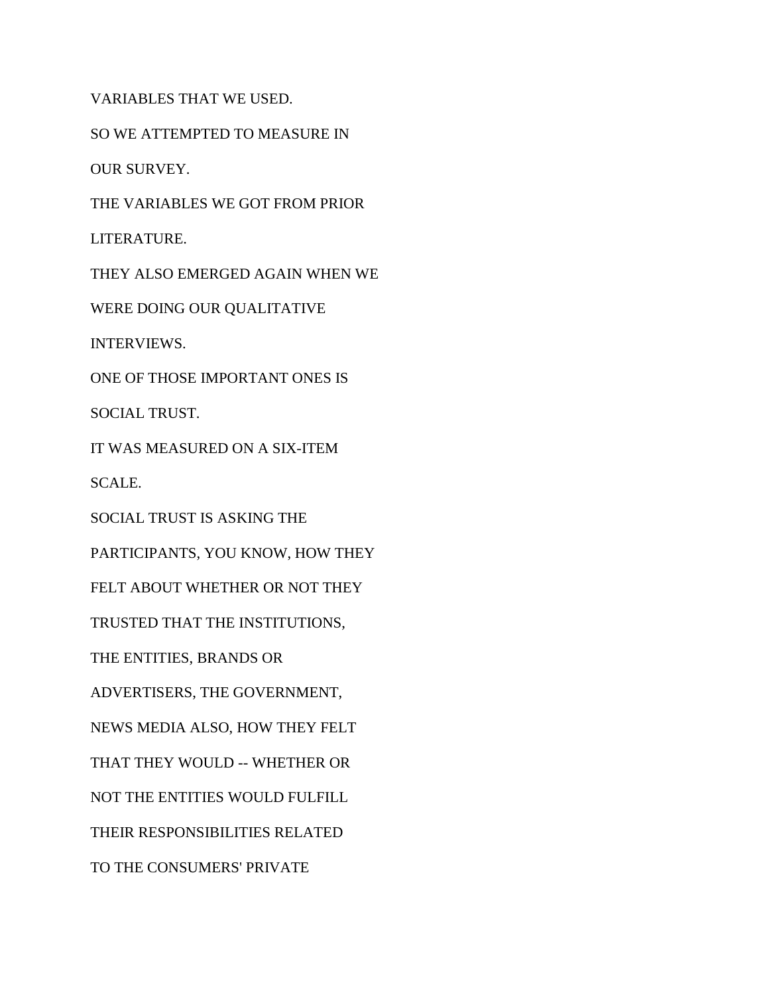VARIABLES THAT WE USED.

SO WE ATTEMPTED TO MEASURE IN

OUR SURVEY.

THE VARIABLES WE GOT FROM PRIOR

LITERATURE.

THEY ALSO EMERGED AGAIN WHEN WE

WERE DOING OUR QUALITATIVE

INTERVIEWS.

ONE OF THOSE IMPORTANT ONES IS

SOCIAL TRUST.

IT WAS MEASURED ON A SIX-ITEM

SCALE.

SOCIAL TRUST IS ASKING THE

PARTICIPANTS, YOU KNOW, HOW THEY

FELT ABOUT WHETHER OR NOT THEY

TRUSTED THAT THE INSTITUTIONS,

THE ENTITIES, BRANDS OR

ADVERTISERS, THE GOVERNMENT,

NEWS MEDIA ALSO, HOW THEY FELT

THAT THEY WOULD -- WHETHER OR

NOT THE ENTITIES WOULD FULFILL

THEIR RESPONSIBILITIES RELATED

TO THE CONSUMERS' PRIVATE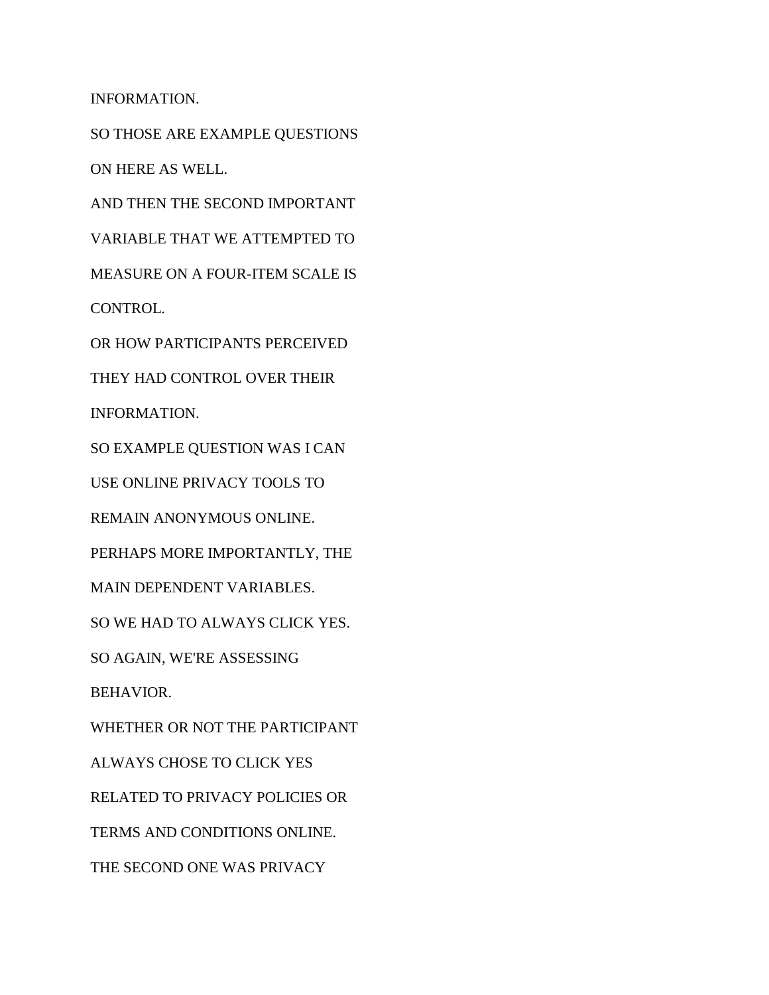INFORMATION.

SO THOSE ARE EXAMPLE QUESTIONS ON HERE AS WELL.

AND THEN THE SECOND IMPORTANT

VARIABLE THAT WE ATTEMPTED TO

MEASURE ON A FOUR-ITEM SCALE IS

CONTROL.

OR HOW PARTICIPANTS PERCEIVED

THEY HAD CONTROL OVER THEIR

INFORMATION.

SO EXAMPLE QUESTION WAS I CAN

USE ONLINE PRIVACY TOOLS TO

REMAIN ANONYMOUS ONLINE.

PERHAPS MORE IMPORTANTLY, THE

MAIN DEPENDENT VARIABLES.

SO WE HAD TO ALWAYS CLICK YES.

SO AGAIN, WE'RE ASSESSING

BEHAVIOR.

WHETHER OR NOT THE PARTICIPANT ALWAYS CHOSE TO CLICK YES RELATED TO PRIVACY POLICIES OR TERMS AND CONDITIONS ONLINE.

THE SECOND ONE WAS PRIVACY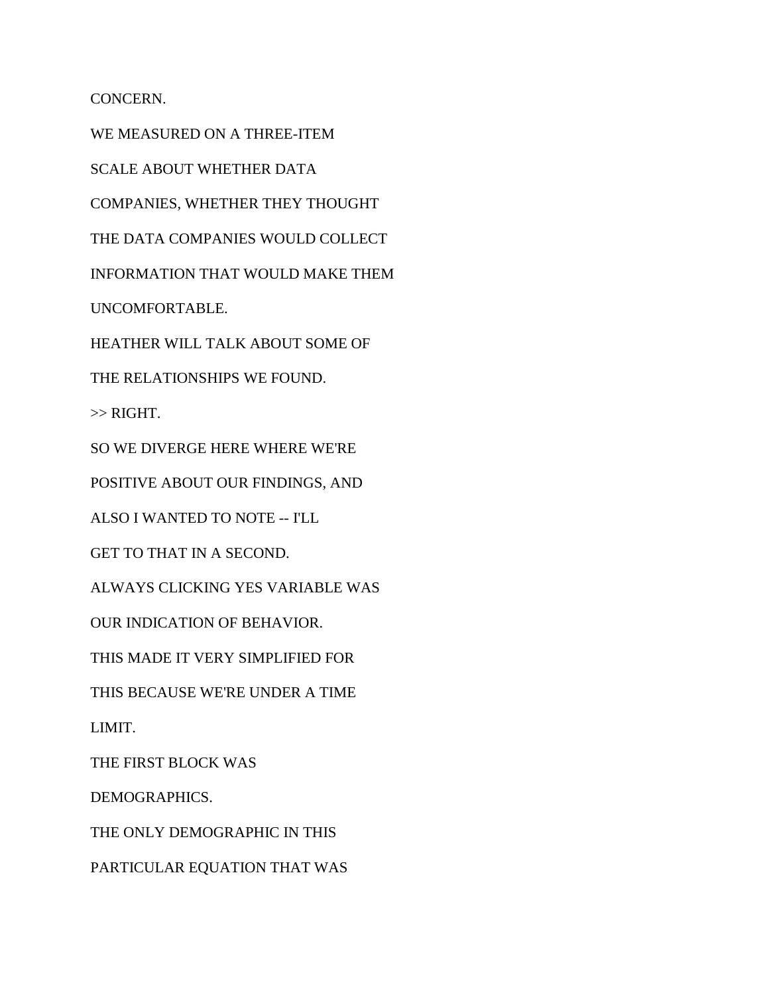CONCERN.

WE MEASURED ON A THREE-ITEM SCALE ABOUT WHETHER DATA COMPANIES, WHETHER THEY THOUGHT THE DATA COMPANIES WOULD COLLECT INFORMATION THAT WOULD MAKE THEM UNCOMFORTABLE. HEATHER WILL TALK ABOUT SOME OF THE RELATIONSHIPS WE FOUND.  $\gg$  RIGHT. SO WE DIVERGE HERE WHERE WE'RE POSITIVE ABOUT OUR FINDINGS, AND ALSO I WANTED TO NOTE -- I'LL GET TO THAT IN A SECOND. ALWAYS CLICKING YES VARIABLE WAS OUR INDICATION OF BEHAVIOR. THIS MADE IT VERY SIMPLIFIED FOR THIS BECAUSE WE'RE UNDER A TIME LIMIT. THE FIRST BLOCK WAS DEMOGRAPHICS. THE ONLY DEMOGRAPHIC IN THIS PARTICULAR EQUATION THAT WAS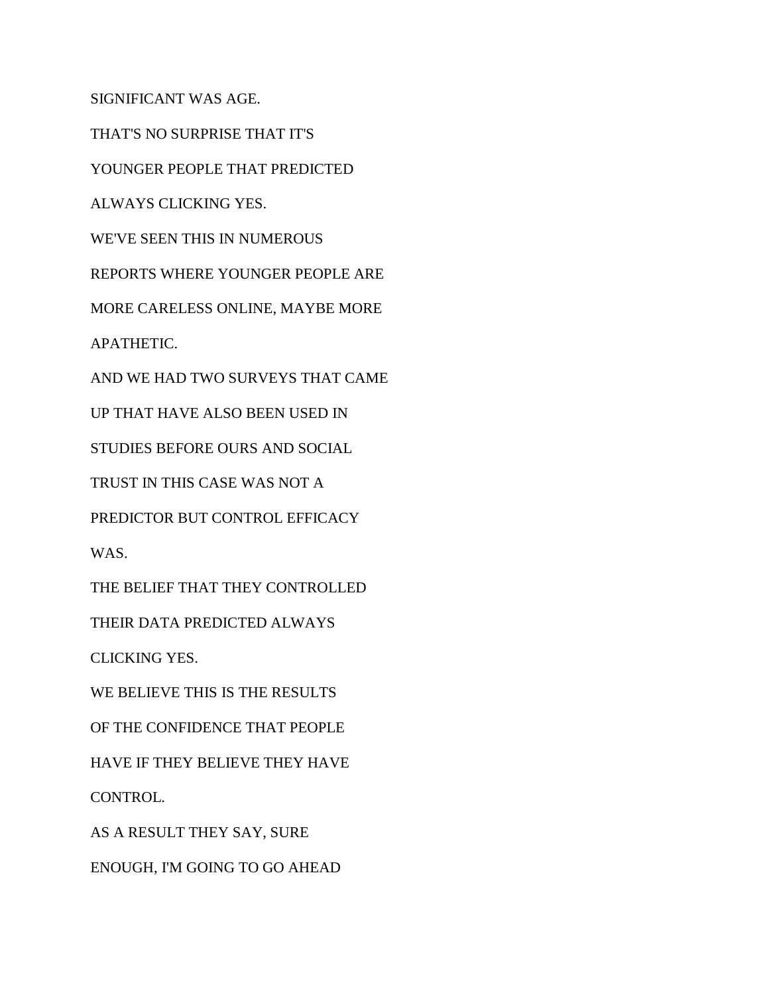SIGNIFICANT WAS AGE.

THAT'S NO SURPRISE THAT IT'S

YOUNGER PEOPLE THAT PREDICTED

ALWAYS CLICKING YES.

WE'VE SEEN THIS IN NUMEROUS

REPORTS WHERE YOUNGER PEOPLE ARE

MORE CARELESS ONLINE, MAYBE MORE

APATHETIC.

AND WE HAD TWO SURVEYS THAT CAME

UP THAT HAVE ALSO BEEN USED IN

STUDIES BEFORE OURS AND SOCIAL

TRUST IN THIS CASE WAS NOT A

PREDICTOR BUT CONTROL EFFICACY

WAS.

THE BELIEF THAT THEY CONTROLLED

THEIR DATA PREDICTED ALWAYS

CLICKING YES.

WE BELIEVE THIS IS THE RESULTS

OF THE CONFIDENCE THAT PEOPLE

HAVE IF THEY BELIEVE THEY HAVE

CONTROL.

AS A RESULT THEY SAY, SURE

ENOUGH, I'M GOING TO GO AHEAD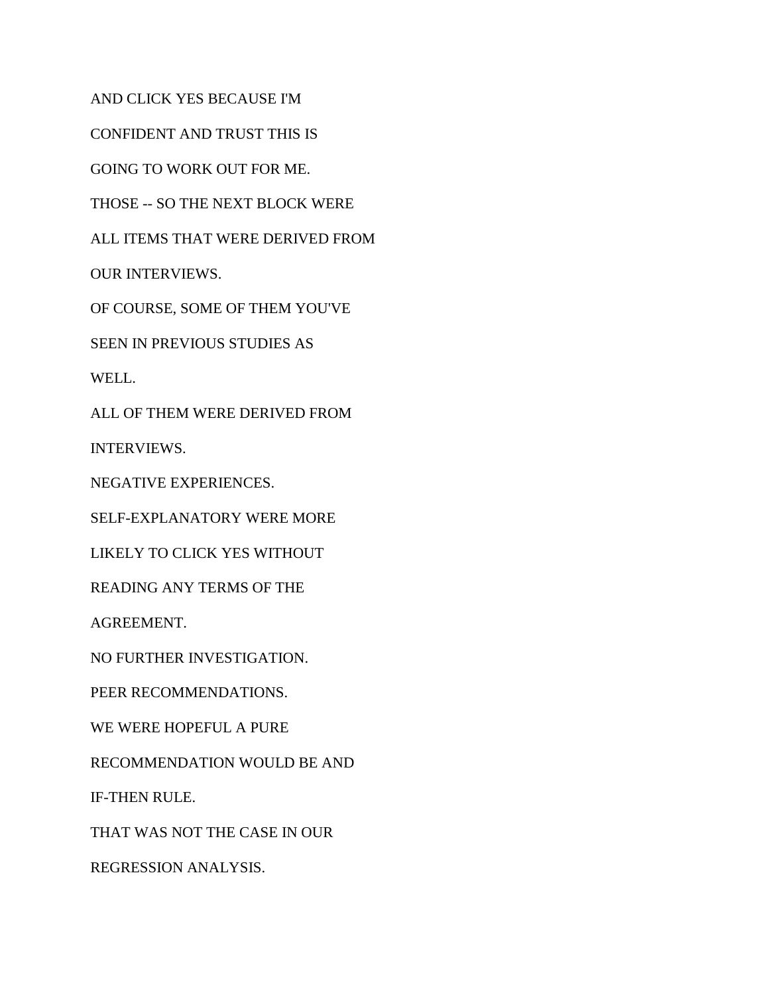AND CLICK YES BECAUSE I'M

CONFIDENT AND TRUST THIS IS

GOING TO WORK OUT FOR ME.

THOSE -- SO THE NEXT BLOCK WERE

ALL ITEMS THAT WERE DERIVED FROM

OUR INTERVIEWS.

OF COURSE, SOME OF THEM YOU'VE

SEEN IN PREVIOUS STUDIES AS

WELL.

ALL OF THEM WERE DERIVED FROM

INTERVIEWS.

NEGATIVE EXPERIENCES.

SELF-EXPLANATORY WERE MORE

LIKELY TO CLICK YES WITHOUT

READING ANY TERMS OF THE

AGREEMENT.

NO FURTHER INVESTIGATION.

PEER RECOMMENDATIONS.

WE WERE HOPEFUL A PURE

RECOMMENDATION WOULD BE AND

IF-THEN RULE.

THAT WAS NOT THE CASE IN OUR

REGRESSION ANALYSIS.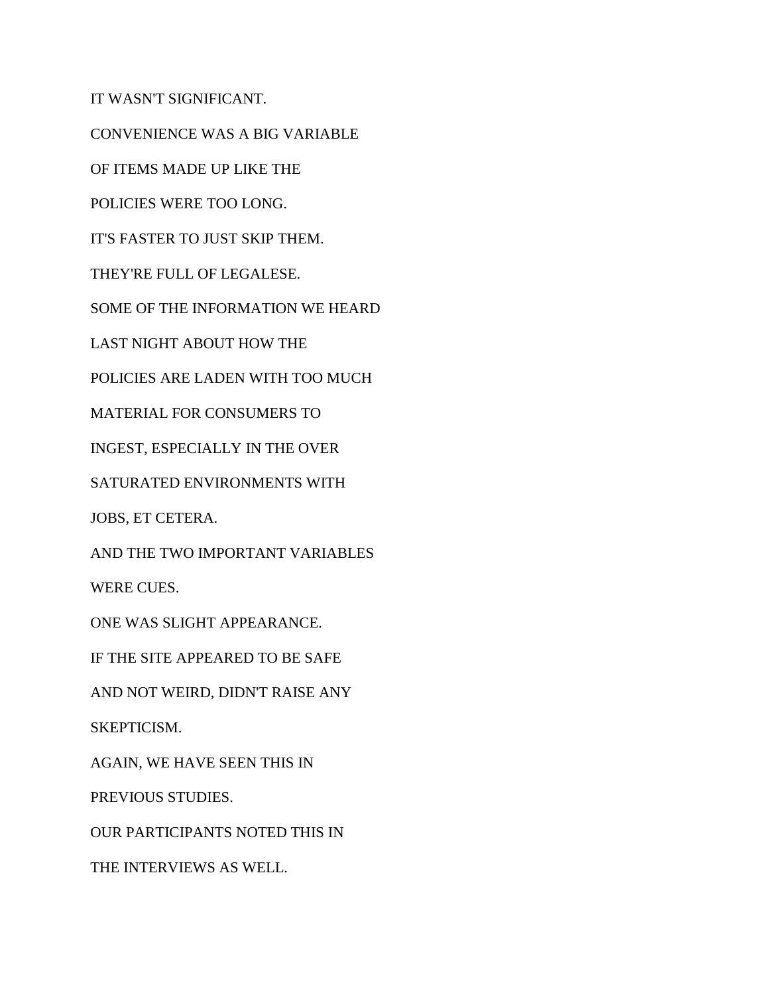IT WASN'T SIGNIFICANT. CONVENIENCE WAS A BIG VARIABLE OF ITEMS MADE UP LIKE THE POLICIES WERE TOO LONG. IT'S FASTER TO JUST SKIP THEM. THEY'RE FULL OF LEGALESE. SOME OF THE INFORMATION WE HEARD LAST NIGHT ABOUT HOW THE POLICIES ARE LADEN WITH TOO MUCH MATERIAL FOR CONSUMERS TO INGEST, ESPECIALLY IN THE OVER SATURATED ENVIRONMENTS WITH JOBS, ET CETERA. AND THE TWO IMPORTANT VARIABLES WERE CUES. ONE WAS SLIGHT APPEARANCE. IF THE SITE APPEARED TO BE SAFE AND NOT WEIRD, DIDN'T RAISE ANY SKEPTICISM. AGAIN, WE HAVE SEEN THIS IN PREVIOUS STUDIES. OUR PARTICIPANTS NOTED THIS IN THE INTERVIEWS AS WELL.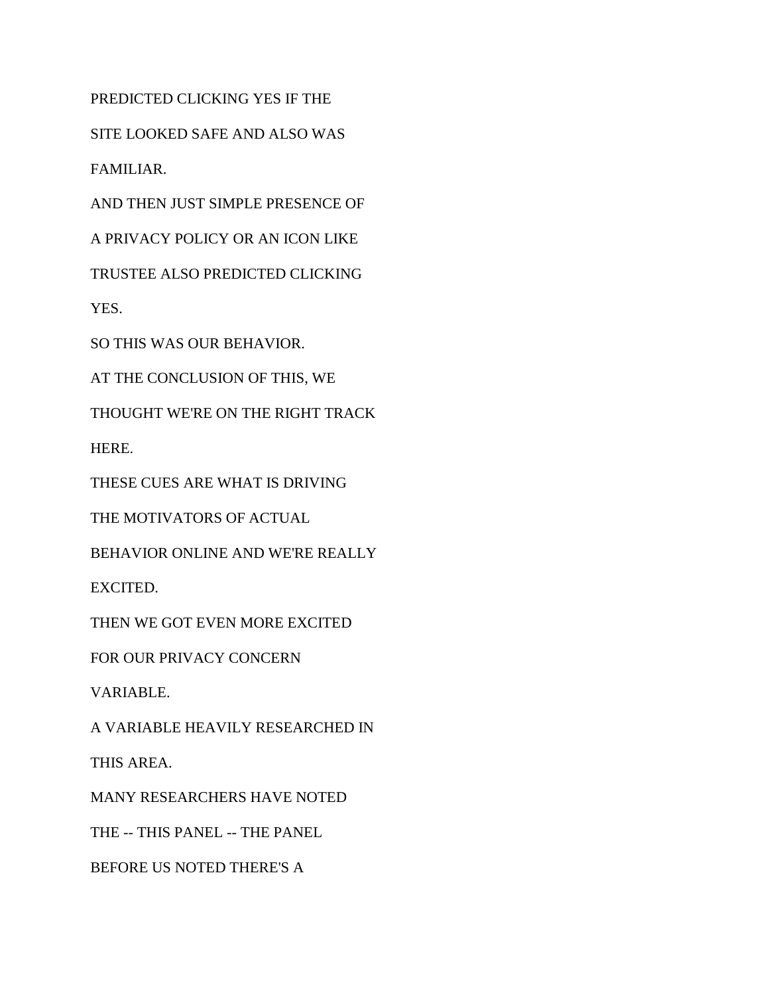PREDICTED CLICKING YES IF THE

SITE LOOKED SAFE AND ALSO WAS

FAMILIAR.

AND THEN JUST SIMPLE PRESENCE OF

A PRIVACY POLICY OR AN ICON LIKE

TRUSTEE ALSO PREDICTED CLICKING

YES.

SO THIS WAS OUR BEHAVIOR.

AT THE CONCLUSION OF THIS, WE

THOUGHT WE'RE ON THE RIGHT TRACK

HERE.

THESE CUES ARE WHAT IS DRIVING

THE MOTIVATORS OF ACTUAL

BEHAVIOR ONLINE AND WE'RE REALLY

EXCITED.

THEN WE GOT EVEN MORE EXCITED

FOR OUR PRIVACY CONCERN

VARIABLE.

A VARIABLE HEAVILY RESEARCHED IN

THIS AREA.

MANY RESEARCHERS HAVE NOTED

THE -- THIS PANEL -- THE PANEL

BEFORE US NOTED THERE'S A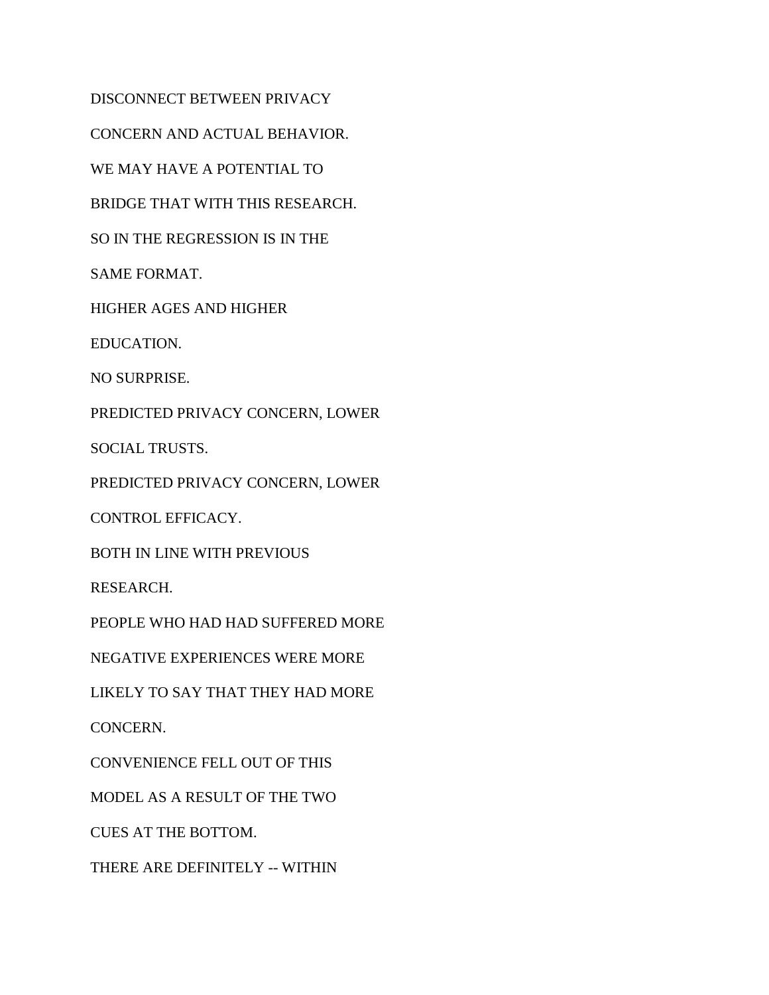DISCONNECT BETWEEN PRIVACY CONCERN AND ACTUAL BEHAVIOR. WE MAY HAVE A POTENTIAL TO BRIDGE THAT WITH THIS RESEARCH. SO IN THE REGRESSION IS IN THE SAME FORMAT. HIGHER AGES AND HIGHER EDUCATION. NO SURPRISE. PREDICTED PRIVACY CONCERN, LOWER SOCIAL TRUSTS. PREDICTED PRIVACY CONCERN, LOWER CONTROL EFFICACY. BOTH IN LINE WITH PREVIOUS RESEARCH. PEOPLE WHO HAD HAD SUFFERED MORE NEGATIVE EXPERIENCES WERE MORE LIKELY TO SAY THAT THEY HAD MORE CONCERN. CONVENIENCE FELL OUT OF THIS MODEL AS A RESULT OF THE TWO CUES AT THE BOTTOM. THERE ARE DEFINITELY -- WITHIN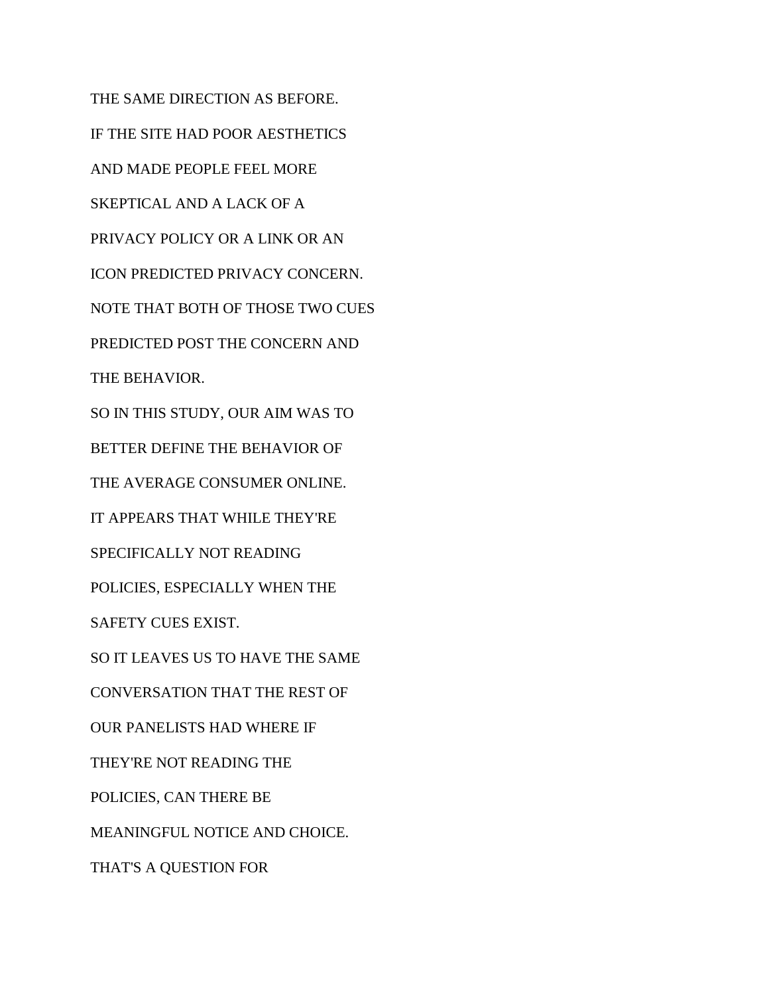THE SAME DIRECTION AS BEFORE. IF THE SITE HAD POOR AESTHETICS AND MADE PEOPLE FEEL MORE SKEPTICAL AND A LACK OF A PRIVACY POLICY OR A LINK OR AN ICON PREDICTED PRIVACY CONCERN. NOTE THAT BOTH OF THOSE TWO CUES PREDICTED POST THE CONCERN AND THE BEHAVIOR. SO IN THIS STUDY, OUR AIM WAS TO BETTER DEFINE THE BEHAVIOR OF THE AVERAGE CONSUMER ONLINE. IT APPEARS THAT WHILE THEY'RE SPECIFICALLY NOT READING POLICIES, ESPECIALLY WHEN THE SAFETY CUES EXIST. SO IT LEAVES US TO HAVE THE SAME CONVERSATION THAT THE REST OF OUR PANELISTS HAD WHERE IF THEY'RE NOT READING THE POLICIES, CAN THERE BE MEANINGFUL NOTICE AND CHOICE. THAT'S A QUESTION FOR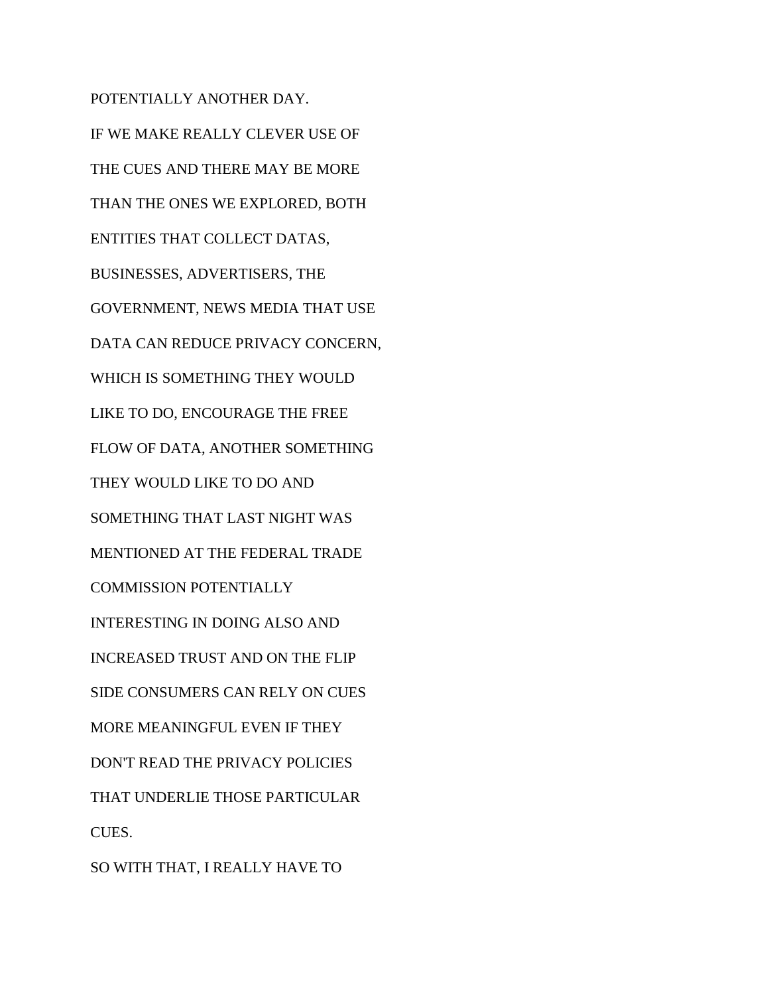POTENTIALLY ANOTHER DAY. IF WE MAKE REALLY CLEVER USE OF THE CUES AND THERE MAY BE MORE THAN THE ONES WE EXPLORED, BOTH ENTITIES THAT COLLECT DATAS, BUSINESSES, ADVERTISERS, THE GOVERNMENT, NEWS MEDIA THAT USE DATA CAN REDUCE PRIVACY CONCERN, WHICH IS SOMETHING THEY WOULD LIKE TO DO, ENCOURAGE THE FREE FLOW OF DATA, ANOTHER SOMETHING THEY WOULD LIKE TO DO AND SOMETHING THAT LAST NIGHT WAS MENTIONED AT THE FEDERAL TRADE COMMISSION POTENTIALLY INTERESTING IN DOING ALSO AND INCREASED TRUST AND ON THE FLIP SIDE CONSUMERS CAN RELY ON CUES MORE MEANINGFUL EVEN IF THEY DON'T READ THE PRIVACY POLICIES THAT UNDERLIE THOSE PARTICULAR CUES. SO WITH THAT, I REALLY HAVE TO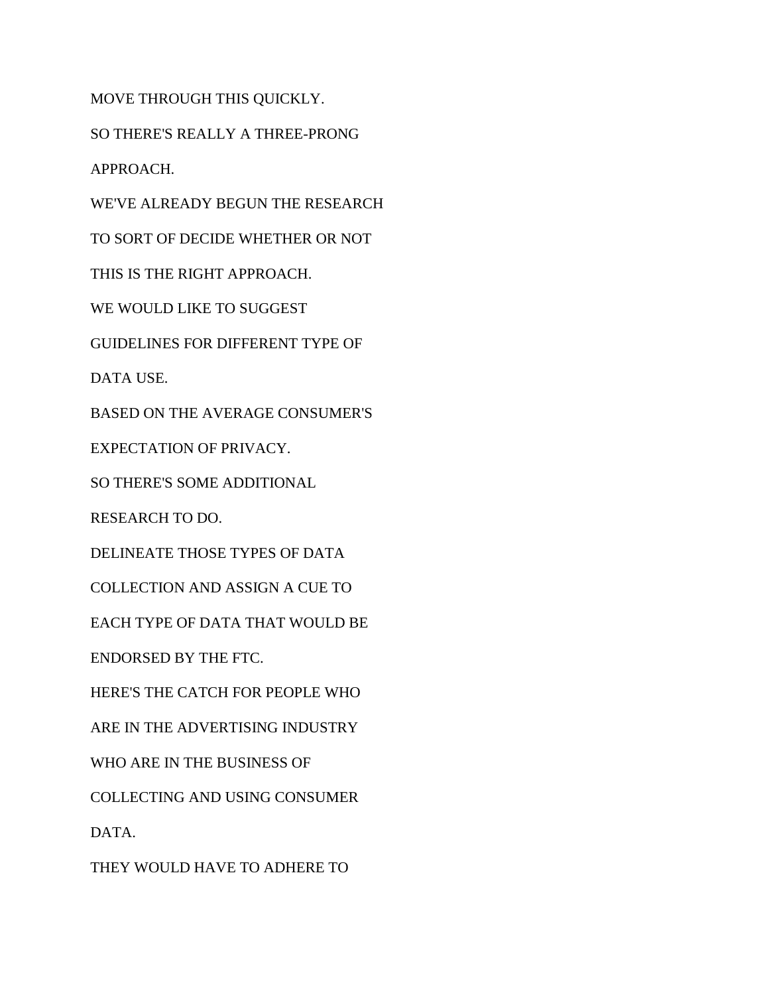MOVE THROUGH THIS QUICKLY. SO THERE'S REALLY A THREE-PRONG APPROACH. WE'VE ALREADY BEGUN THE RESEARCH TO SORT OF DECIDE WHETHER OR NOT THIS IS THE RIGHT APPROACH. WE WOULD LIKE TO SUGGEST GUIDELINES FOR DIFFERENT TYPE OF DATA USE. BASED ON THE AVERAGE CONSUMER'S EXPECTATION OF PRIVACY. SO THERE'S SOME ADDITIONAL RESEARCH TO DO. DELINEATE THOSE TYPES OF DATA COLLECTION AND ASSIGN A CUE TO EACH TYPE OF DATA THAT WOULD BE ENDORSED BY THE FTC. HERE'S THE CATCH FOR PEOPLE WHO ARE IN THE ADVERTISING INDUSTRY WHO ARE IN THE BUSINESS OF COLLECTING AND USING CONSUMER DATA. THEY WOULD HAVE TO ADHERE TO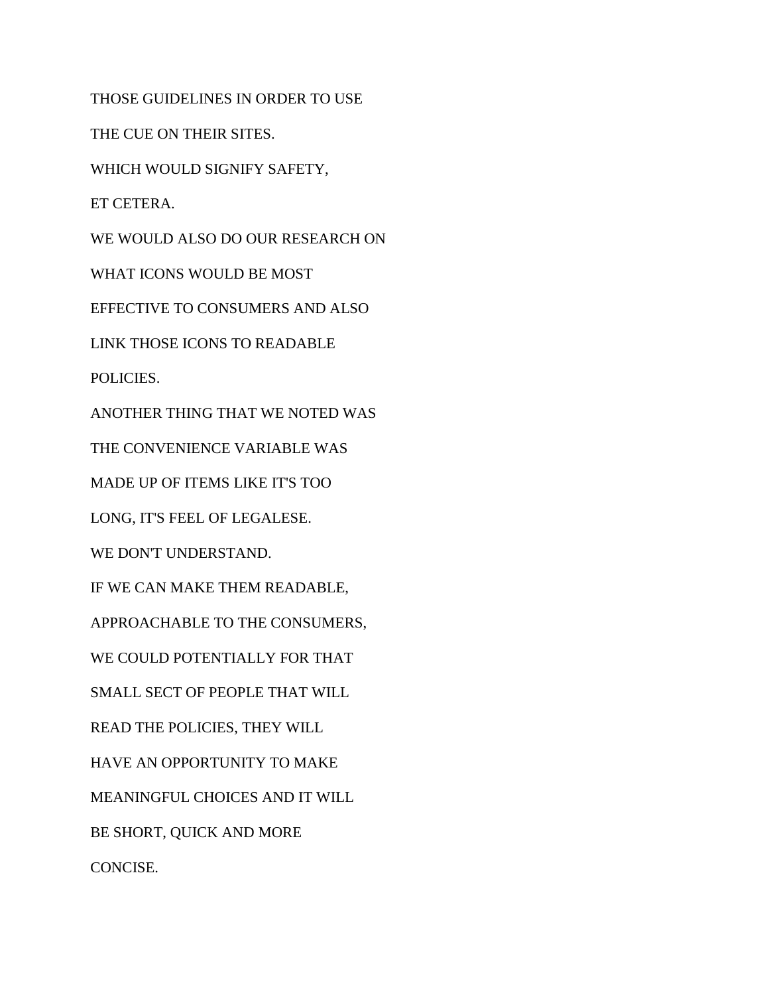THOSE GUIDELINES IN ORDER TO USE

THE CUE ON THEIR SITES.

WHICH WOULD SIGNIFY SAFETY,

ET CETERA.

WE WOULD ALSO DO OUR RESEARCH ON

WHAT ICONS WOULD BE MOST

EFFECTIVE TO CONSUMERS AND ALSO

LINK THOSE ICONS TO READABLE

POLICIES.

ANOTHER THING THAT WE NOTED WAS

THE CONVENIENCE VARIABLE WAS

MADE UP OF ITEMS LIKE IT'S TOO

LONG, IT'S FEEL OF LEGALESE.

WE DON'T UNDERSTAND.

IF WE CAN MAKE THEM READABLE,

APPROACHABLE TO THE CONSUMERS,

WE COULD POTENTIALLY FOR THAT

SMALL SECT OF PEOPLE THAT WILL

READ THE POLICIES, THEY WILL

HAVE AN OPPORTUNITY TO MAKE

MEANINGFUL CHOICES AND IT WILL

BE SHORT, QUICK AND MORE

CONCISE.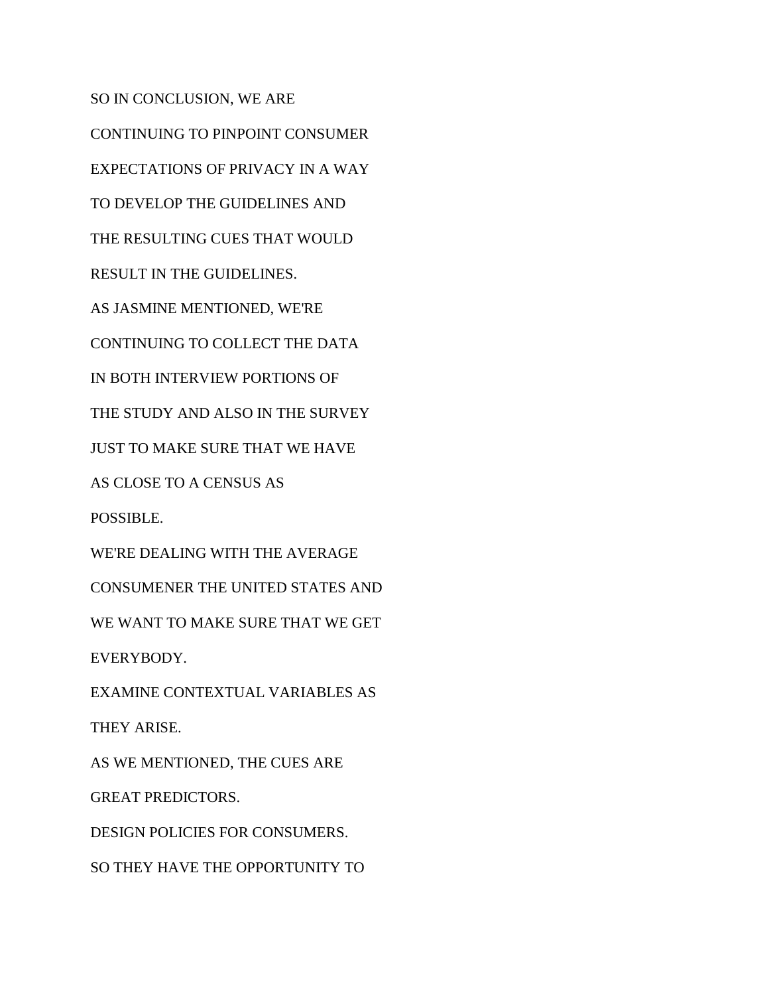SO IN CONCLUSION, WE ARE CONTINUING TO PINPOINT CONSUMER EXPECTATIONS OF PRIVACY IN A WAY TO DEVELOP THE GUIDELINES AND THE RESULTING CUES THAT WOULD RESULT IN THE GUIDELINES. AS JASMINE MENTIONED, WE'RE CONTINUING TO COLLECT THE DATA IN BOTH INTERVIEW PORTIONS OF THE STUDY AND ALSO IN THE SURVEY JUST TO MAKE SURE THAT WE HAVE AS CLOSE TO A CENSUS AS POSSIBLE. WE'RE DEALING WITH THE AVERAGE CONSUMENER THE UNITED STATES AND WE WANT TO MAKE SURE THAT WE GET EVERYBODY. EXAMINE CONTEXTUAL VARIABLES AS THEY ARISE. AS WE MENTIONED, THE CUES ARE GREAT PREDICTORS. DESIGN POLICIES FOR CONSUMERS. SO THEY HAVE THE OPPORTUNITY TO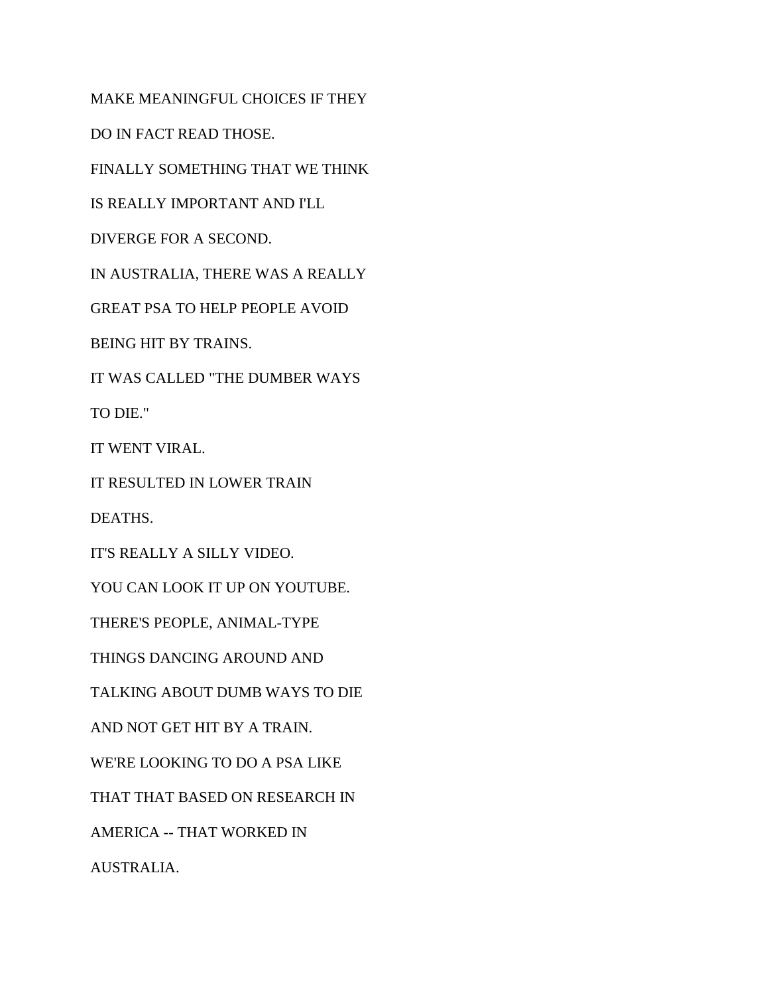MAKE MEANINGFUL CHOICES IF THEY DO IN FACT READ THOSE. FINALLY SOMETHING THAT WE THINK IS REALLY IMPORTANT AND I'LL DIVERGE FOR A SECOND. IN AUSTRALIA, THERE WAS A REALLY GREAT PSA TO HELP PEOPLE AVOID BEING HIT BY TRAINS. IT WAS CALLED "THE DUMBER WAYS TO DIE." IT WENT VIRAL. IT RESULTED IN LOWER TRAIN DEATHS. IT'S REALLY A SILLY VIDEO. YOU CAN LOOK IT UP ON YOUTUBE. THERE'S PEOPLE, ANIMAL-TYPE THINGS DANCING AROUND AND TALKING ABOUT DUMB WAYS TO DIE AND NOT GET HIT BY A TRAIN. WE'RE LOOKING TO DO A PSA LIKE THAT THAT BASED ON RESEARCH IN AMERICA -- THAT WORKED IN AUSTRALIA.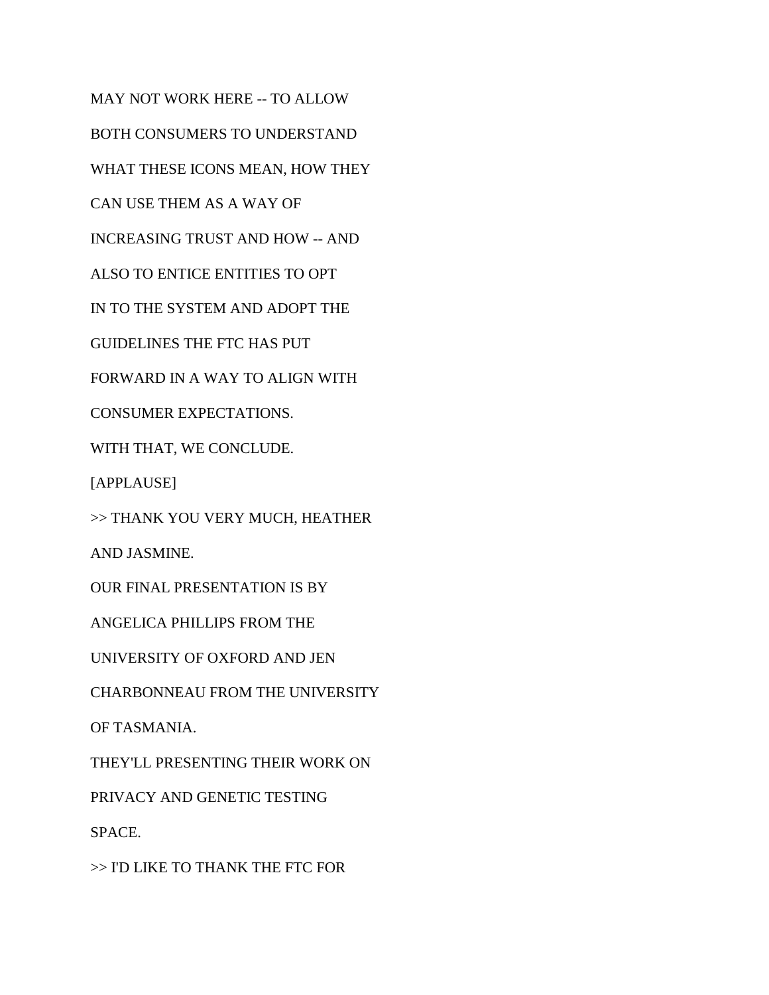MAY NOT WORK HERE -- TO ALLOW BOTH CONSUMERS TO UNDERSTAND WHAT THESE ICONS MEAN, HOW THEY CAN USE THEM AS A WAY OF INCREASING TRUST AND HOW -- AND ALSO TO ENTICE ENTITIES TO OPT IN TO THE SYSTEM AND ADOPT THE GUIDELINES THE FTC HAS PUT FORWARD IN A WAY TO ALIGN WITH CONSUMER EXPECTATIONS. WITH THAT, WE CONCLUDE. [APPLAUSE] >> THANK YOU VERY MUCH, HEATHER AND JASMINE. OUR FINAL PRESENTATION IS BY ANGELICA PHILLIPS FROM THE UNIVERSITY OF OXFORD AND JEN CHARBONNEAU FROM THE UNIVERSITY OF TASMANIA. THEY'LL PRESENTING THEIR WORK ON PRIVACY AND GENETIC TESTING SPACE.

>> I'D LIKE TO THANK THE FTC FOR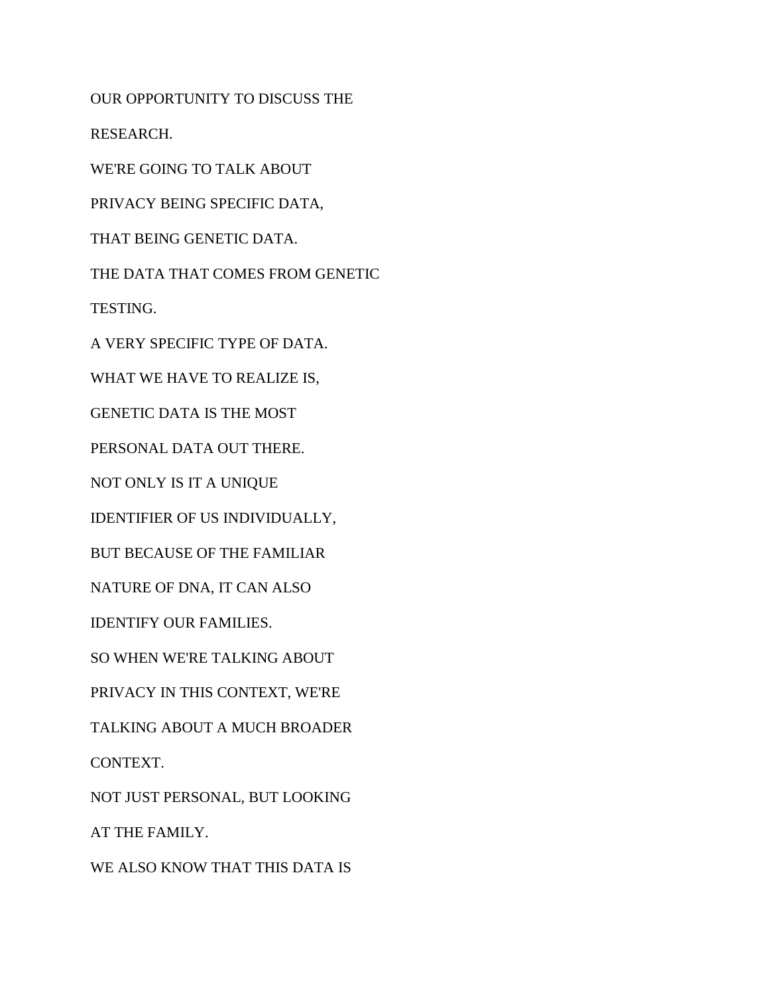OUR OPPORTUNITY TO DISCUSS THE RESEARCH. WE'RE GOING TO TALK ABOUT PRIVACY BEING SPECIFIC DATA, THAT BEING GENETIC DATA. THE DATA THAT COMES FROM GENETIC TESTING. A VERY SPECIFIC TYPE OF DATA. WHAT WE HAVE TO REALIZE IS, GENETIC DATA IS THE MOST PERSONAL DATA OUT THERE. NOT ONLY IS IT A UNIQUE IDENTIFIER OF US INDIVIDUALLY, BUT BECAUSE OF THE FAMILIAR NATURE OF DNA, IT CAN ALSO IDENTIFY OUR FAMILIES. SO WHEN WE'RE TALKING ABOUT PRIVACY IN THIS CONTEXT, WE'RE TALKING ABOUT A MUCH BROADER CONTEXT. NOT JUST PERSONAL, BUT LOOKING AT THE FAMILY. WE ALSO KNOW THAT THIS DATA IS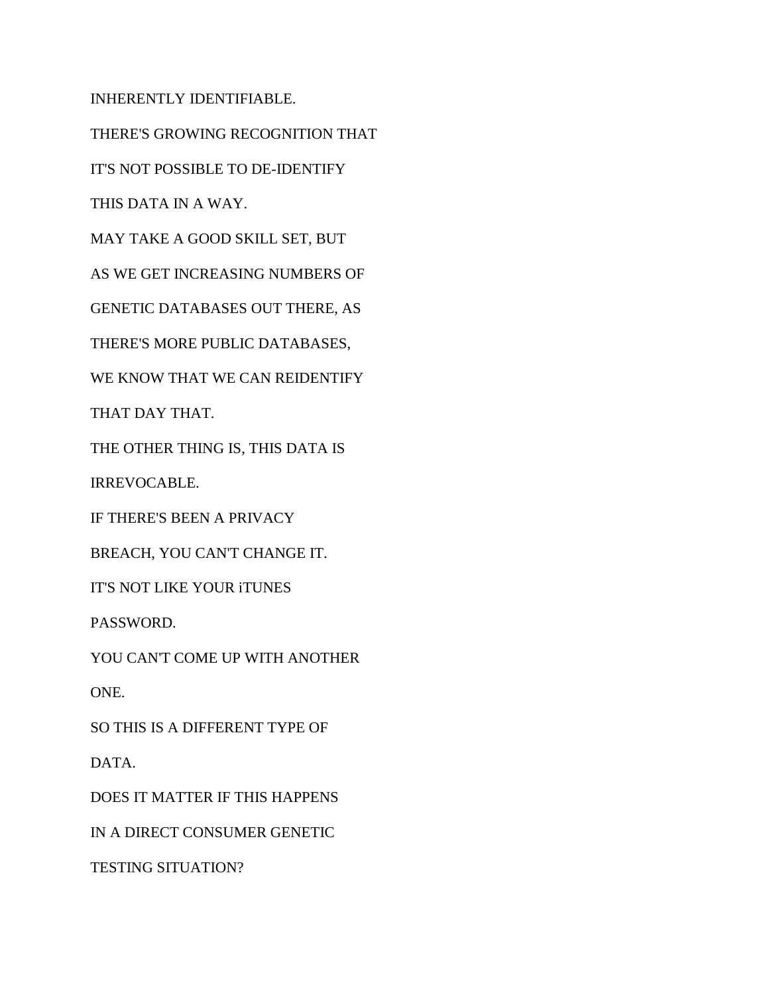INHERENTLY IDENTIFIABLE.

THERE'S GROWING RECOGNITION THAT

IT'S NOT POSSIBLE TO DE-IDENTIFY

THIS DATA IN A WAY.

MAY TAKE A GOOD SKILL SET, BUT

AS WE GET INCREASING NUMBERS OF

GENETIC DATABASES OUT THERE, AS

THERE'S MORE PUBLIC DATABASES,

WE KNOW THAT WE CAN REIDENTIFY

THAT DAY THAT.

THE OTHER THING IS, THIS DATA IS

IRREVOCABLE.

IF THERE'S BEEN A PRIVACY

BREACH, YOU CAN'T CHANGE IT.

IT'S NOT LIKE YOUR iTUNES

PASSWORD.

YOU CAN'T COME UP WITH ANOTHER

ONE.

SO THIS IS A DIFFERENT TYPE OF

DATA.

DOES IT MATTER IF THIS HAPPENS

IN A DIRECT CONSUMER GENETIC

TESTING SITUATION?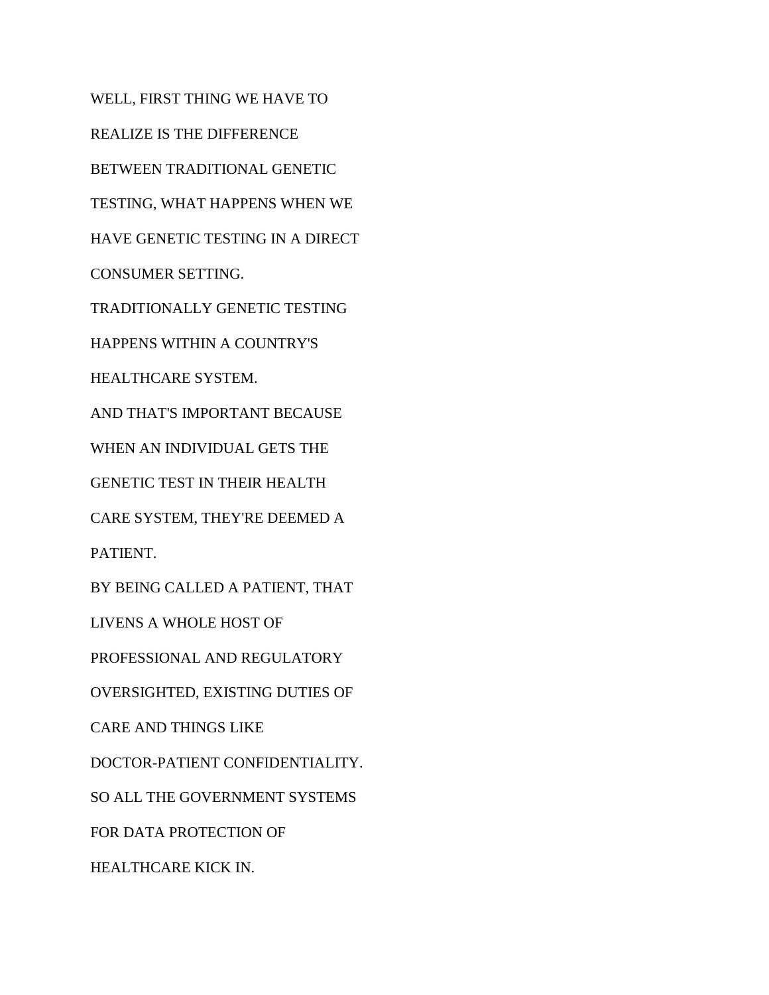WELL, FIRST THING WE HAVE TO REALIZE IS THE DIFFERENCE BETWEEN TRADITIONAL GENETIC TESTING, WHAT HAPPENS WHEN WE HAVE GENETIC TESTING IN A DIRECT CONSUMER SETTING. TRADITIONALLY GENETIC TESTING HAPPENS WITHIN A COUNTRY'S HEALTHCARE SYSTEM. AND THAT'S IMPORTANT BECAUSE WHEN AN INDIVIDUAL GETS THE GENETIC TEST IN THEIR HEALTH CARE SYSTEM, THEY'RE DEEMED A PATIENT. BY BEING CALLED A PATIENT, THAT LIVENS A WHOLE HOST OF PROFESSIONAL AND REGULATORY OVERSIGHTED, EXISTING DUTIES OF CARE AND THINGS LIKE DOCTOR-PATIENT CONFIDENTIALITY. SO ALL THE GOVERNMENT SYSTEMS FOR DATA PROTECTION OF HEALTHCARE KICK IN.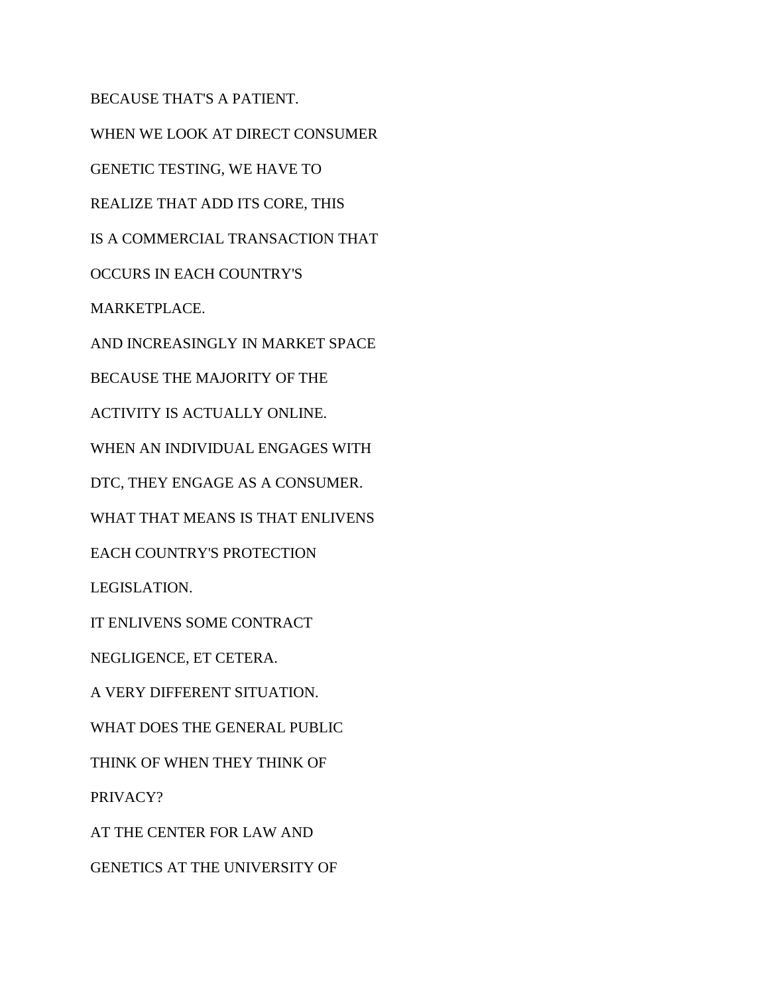BECAUSE THAT'S A PATIENT. WHEN WE LOOK AT DIRECT CONSUMER GENETIC TESTING, WE HAVE TO REALIZE THAT ADD ITS CORE, THIS IS A COMMERCIAL TRANSACTION THAT OCCURS IN EACH COUNTRY'S MARKETPLACE. AND INCREASINGLY IN MARKET SPACE BECAUSE THE MAJORITY OF THE ACTIVITY IS ACTUALLY ONLINE. WHEN AN INDIVIDUAL ENGAGES WITH DTC, THEY ENGAGE AS A CONSUMER. WHAT THAT MEANS IS THAT ENLIVENS EACH COUNTRY'S PROTECTION LEGISLATION. IT ENLIVENS SOME CONTRACT NEGLIGENCE, ET CETERA. A VERY DIFFERENT SITUATION. WHAT DOES THE GENERAL PUBLIC THINK OF WHEN THEY THINK OF PRIVACY? AT THE CENTER FOR LAW AND GENETICS AT THE UNIVERSITY OF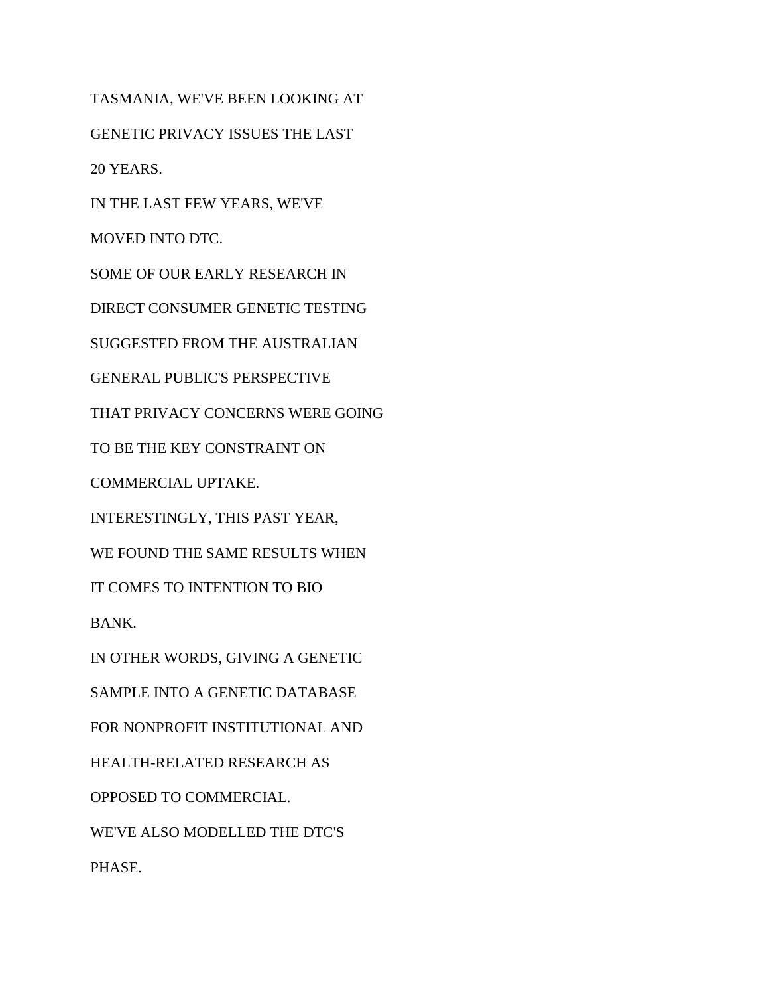TASMANIA, WE'VE BEEN LOOKING AT GENETIC PRIVACY ISSUES THE LAST 20 YEARS. IN THE LAST FEW YEARS, WE'VE MOVED INTO DTC. SOME OF OUR EARLY RESEARCH IN DIRECT CONSUMER GENETIC TESTING SUGGESTED FROM THE AUSTRALIAN GENERAL PUBLIC'S PERSPECTIVE THAT PRIVACY CONCERNS WERE GOING TO BE THE KEY CONSTRAINT ON COMMERCIAL UPTAKE. INTERESTINGLY, THIS PAST YEAR, WE FOUND THE SAME RESULTS WHEN IT COMES TO INTENTION TO BIO BANK. IN OTHER WORDS, GIVING A GENETIC SAMPLE INTO A GENETIC DATABASE FOR NONPROFIT INSTITUTIONAL AND HEALTH-RELATED RESEARCH AS OPPOSED TO COMMERCIAL. WE'VE ALSO MODELLED THE DTC'S PHASE.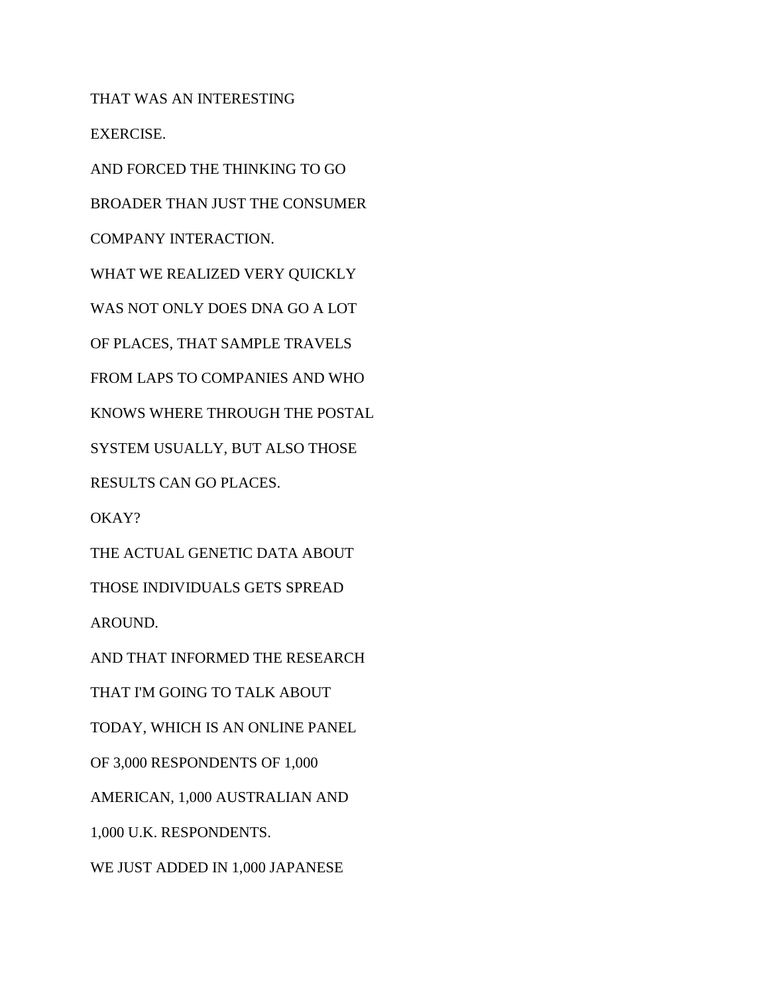THAT WAS AN INTERESTING EXERCISE.

AND FORCED THE THINKING TO GO BROADER THAN JUST THE CONSUMER COMPANY INTERACTION. WHAT WE REALIZED VERY QUICKLY WAS NOT ONLY DOES DNA GO A LOT OF PLACES, THAT SAMPLE TRAVELS FROM LAPS TO COMPANIES AND WHO KNOWS WHERE THROUGH THE POSTAL SYSTEM USUALLY, BUT ALSO THOSE RESULTS CAN GO PLACES. OKAY? THE ACTUAL GENETIC DATA ABOUT THOSE INDIVIDUALS GETS SPREAD AROUND. AND THAT INFORMED THE RESEARCH THAT I'M GOING TO TALK ABOUT TODAY, WHICH IS AN ONLINE PANEL

OF 3,000 RESPONDENTS OF 1,000

AMERICAN, 1,000 AUSTRALIAN AND

1,000 U.K. RESPONDENTS.

WE JUST ADDED IN 1,000 JAPANESE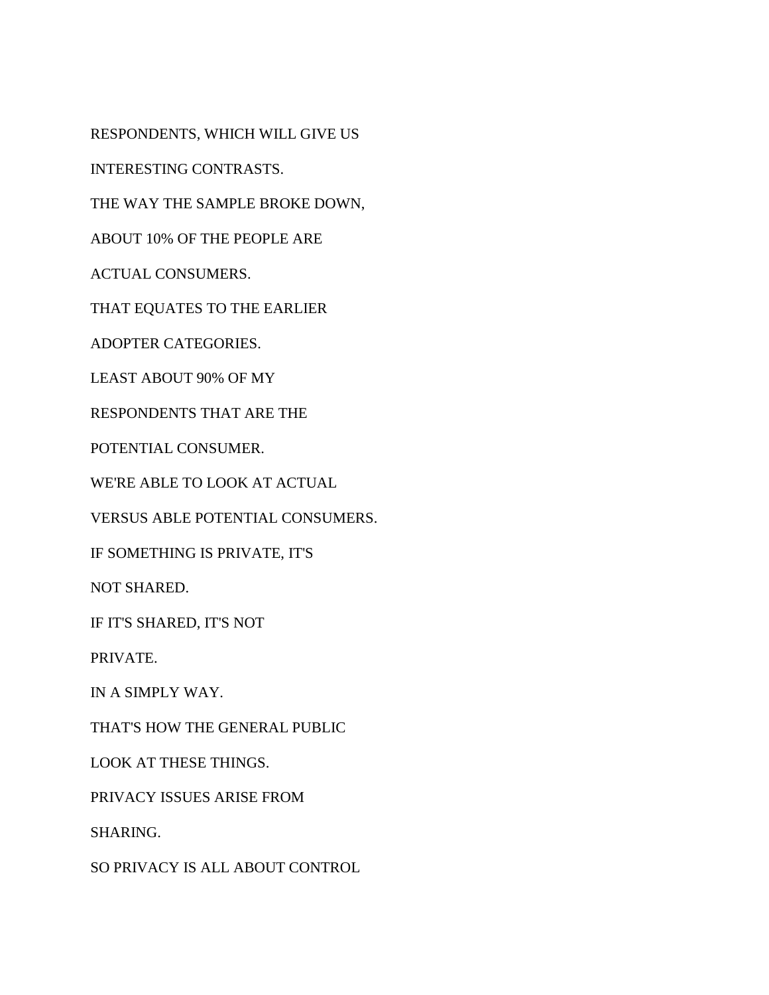RESPONDENTS, WHICH WILL GIVE US

INTERESTING CONTRASTS.

THE WAY THE SAMPLE BROKE DOWN,

ABOUT 10% OF THE PEOPLE ARE

ACTUAL CONSUMERS.

THAT EQUATES TO THE EARLIER

ADOPTER CATEGORIES.

LEAST ABOUT 90% OF MY

RESPONDENTS THAT ARE THE

POTENTIAL CONSUMER.

WE'RE ABLE TO LOOK AT ACTUAL

VERSUS ABLE POTENTIAL CONSUMERS.

IF SOMETHING IS PRIVATE, IT'S

NOT SHARED.

IF IT'S SHARED, IT'S NOT

PRIVATE.

IN A SIMPLY WAY.

THAT'S HOW THE GENERAL PUBLIC

LOOK AT THESE THINGS.

PRIVACY ISSUES ARISE FROM

SHARING.

SO PRIVACY IS ALL ABOUT CONTROL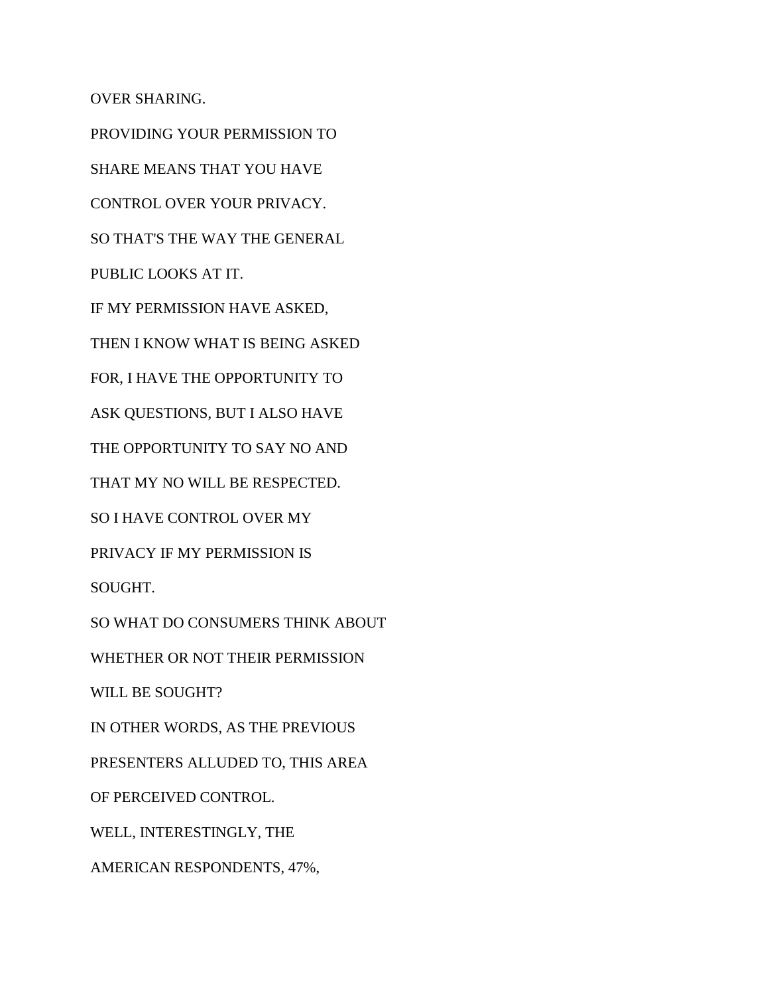OVER SHARING.

PROVIDING YOUR PERMISSION TO SHARE MEANS THAT YOU HAVE CONTROL OVER YOUR PRIVACY. SO THAT'S THE WAY THE GENERAL PUBLIC LOOKS AT IT. IF MY PERMISSION HAVE ASKED, THEN I KNOW WHAT IS BEING ASKED FOR, I HAVE THE OPPORTUNITY TO ASK QUESTIONS, BUT I ALSO HAVE THE OPPORTUNITY TO SAY NO AND THAT MY NO WILL BE RESPECTED. SO I HAVE CONTROL OVER MY PRIVACY IF MY PERMISSION IS SOUGHT. SO WHAT DO CONSUMERS THINK ABOUT WHETHER OR NOT THEIR PERMISSION WILL BE SOUGHT? IN OTHER WORDS, AS THE PREVIOUS PRESENTERS ALLUDED TO, THIS AREA OF PERCEIVED CONTROL. WELL, INTERESTINGLY, THE AMERICAN RESPONDENTS, 47%,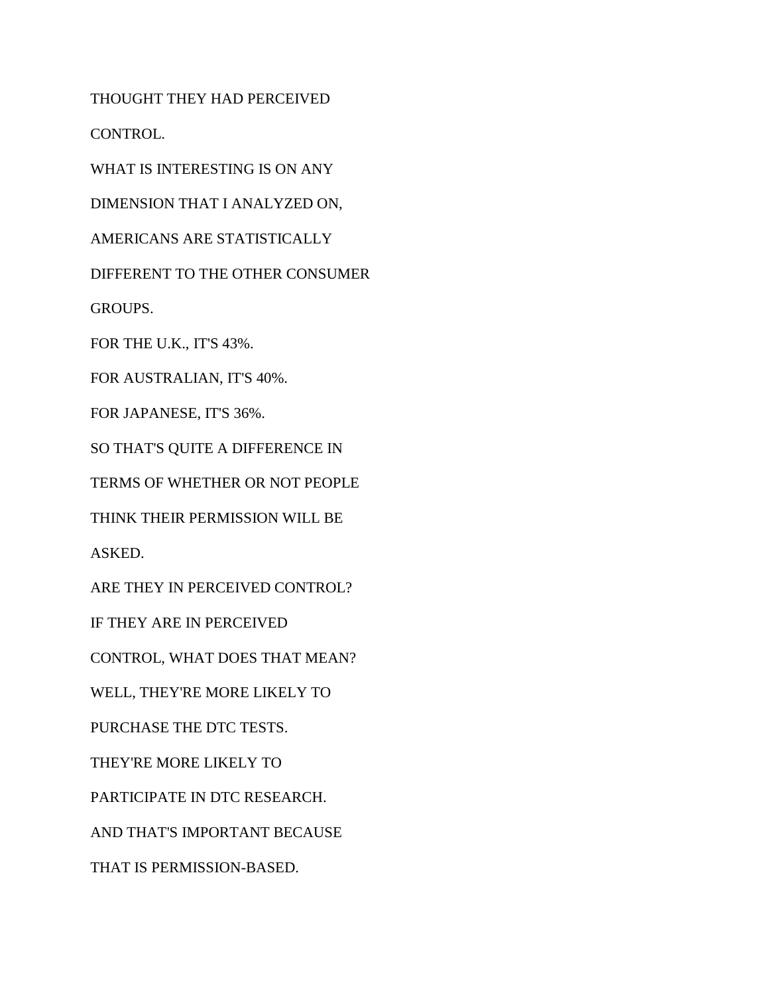THOUGHT THEY HAD PERCEIVED CONTROL.

WHAT IS INTERESTING IS ON ANY

DIMENSION THAT I ANALYZED ON,

AMERICANS ARE STATISTICALLY

DIFFERENT TO THE OTHER CONSUMER

GROUPS.

FOR THE U.K., IT'S 43%.

FOR AUSTRALIAN, IT'S 40%.

FOR JAPANESE, IT'S 36%.

SO THAT'S QUITE A DIFFERENCE IN

TERMS OF WHETHER OR NOT PEOPLE

THINK THEIR PERMISSION WILL BE

ASKED.

ARE THEY IN PERCEIVED CONTROL?

IF THEY ARE IN PERCEIVED

CONTROL, WHAT DOES THAT MEAN?

WELL, THEY'RE MORE LIKELY TO

PURCHASE THE DTC TESTS.

THEY'RE MORE LIKELY TO

PARTICIPATE IN DTC RESEARCH.

AND THAT'S IMPORTANT BECAUSE

THAT IS PERMISSION-BASED.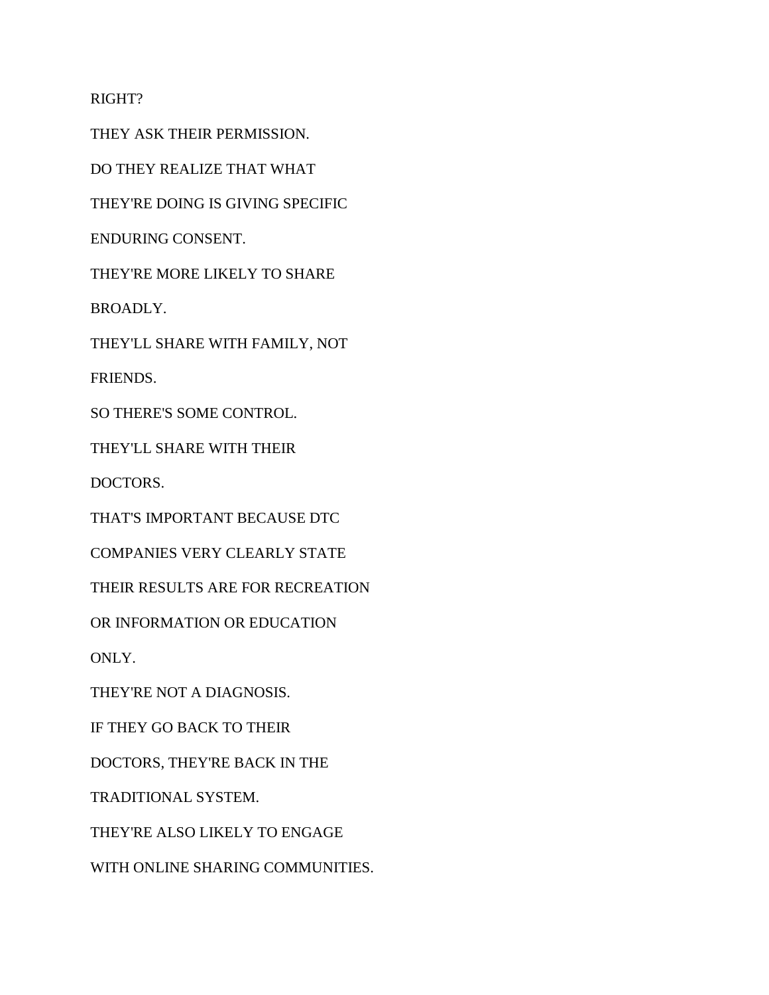RIGHT?

THEY ASK THEIR PERMISSION.

DO THEY REALIZE THAT WHAT

THEY'RE DOING IS GIVING SPECIFIC

ENDURING CONSENT.

THEY'RE MORE LIKELY TO SHARE

BROADLY.

THEY'LL SHARE WITH FAMILY, NOT

FRIENDS.

SO THERE'S SOME CONTROL.

THEY'LL SHARE WITH THEIR

DOCTORS.

THAT'S IMPORTANT BECAUSE DTC

COMPANIES VERY CLEARLY STATE

THEIR RESULTS ARE FOR RECREATION

OR INFORMATION OR EDUCATION

ONLY.

THEY'RE NOT A DIAGNOSIS.

IF THEY GO BACK TO THEIR

DOCTORS, THEY'RE BACK IN THE

TRADITIONAL SYSTEM.

THEY'RE ALSO LIKELY TO ENGAGE

WITH ONLINE SHARING COMMUNITIES.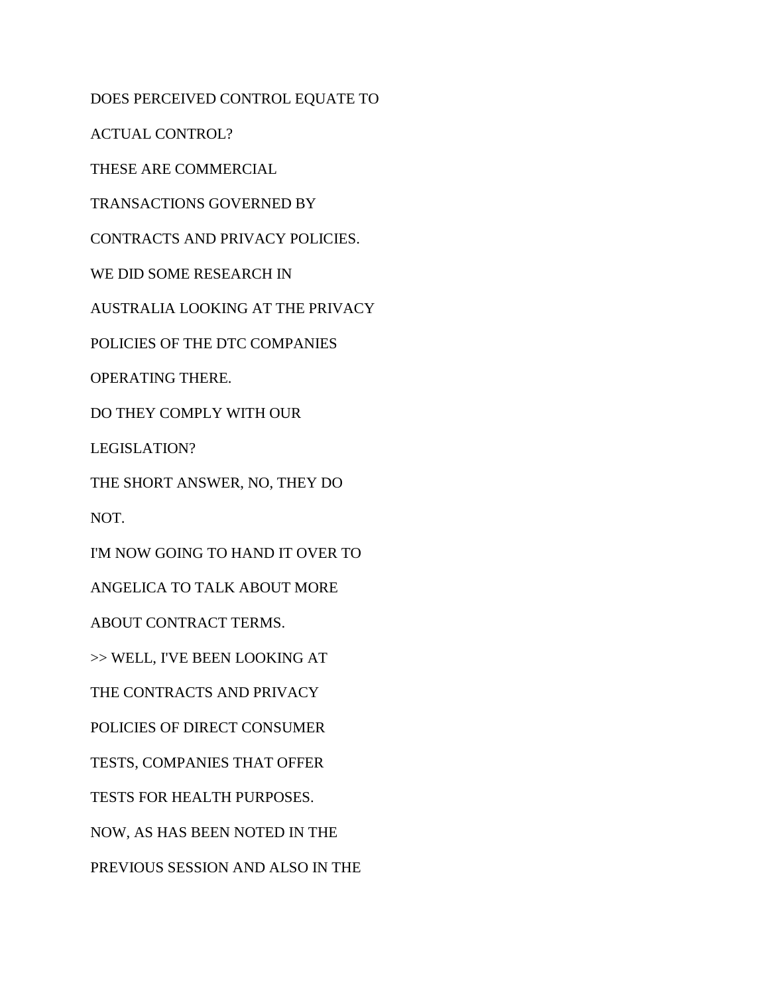DOES PERCEIVED CONTROL EQUATE TO

ACTUAL CONTROL?

THESE ARE COMMERCIAL

TRANSACTIONS GOVERNED BY

CONTRACTS AND PRIVACY POLICIES.

WE DID SOME RESEARCH IN

AUSTRALIA LOOKING AT THE PRIVACY

POLICIES OF THE DTC COMPANIES

OPERATING THERE.

DO THEY COMPLY WITH OUR

LEGISLATION?

THE SHORT ANSWER, NO, THEY DO

NOT.

I'M NOW GOING TO HAND IT OVER TO

ANGELICA TO TALK ABOUT MORE

ABOUT CONTRACT TERMS.

>> WELL, I'VE BEEN LOOKING AT

THE CONTRACTS AND PRIVACY

POLICIES OF DIRECT CONSUMER

TESTS, COMPANIES THAT OFFER

TESTS FOR HEALTH PURPOSES.

NOW, AS HAS BEEN NOTED IN THE

PREVIOUS SESSION AND ALSO IN THE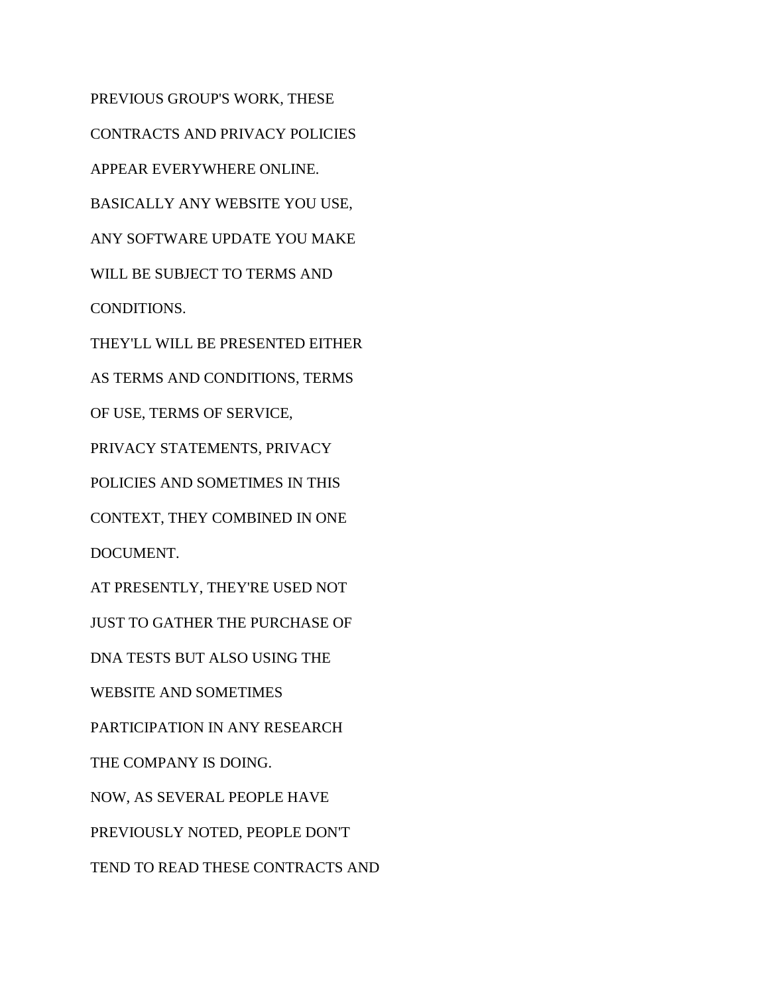PREVIOUS GROUP'S WORK, THESE CONTRACTS AND PRIVACY POLICIES APPEAR EVERYWHERE ONLINE. BASICALLY ANY WEBSITE YOU USE, ANY SOFTWARE UPDATE YOU MAKE WILL BE SUBJECT TO TERMS AND CONDITIONS. THEY'LL WILL BE PRESENTED EITHER AS TERMS AND CONDITIONS, TERMS OF USE, TERMS OF SERVICE, PRIVACY STATEMENTS, PRIVACY POLICIES AND SOMETIMES IN THIS CONTEXT, THEY COMBINED IN ONE DOCUMENT. AT PRESENTLY, THEY'RE USED NOT JUST TO GATHER THE PURCHASE OF DNA TESTS BUT ALSO USING THE WEBSITE AND SOMETIMES PARTICIPATION IN ANY RESEARCH THE COMPANY IS DOING. NOW, AS SEVERAL PEOPLE HAVE PREVIOUSLY NOTED, PEOPLE DON'T TEND TO READ THESE CONTRACTS AND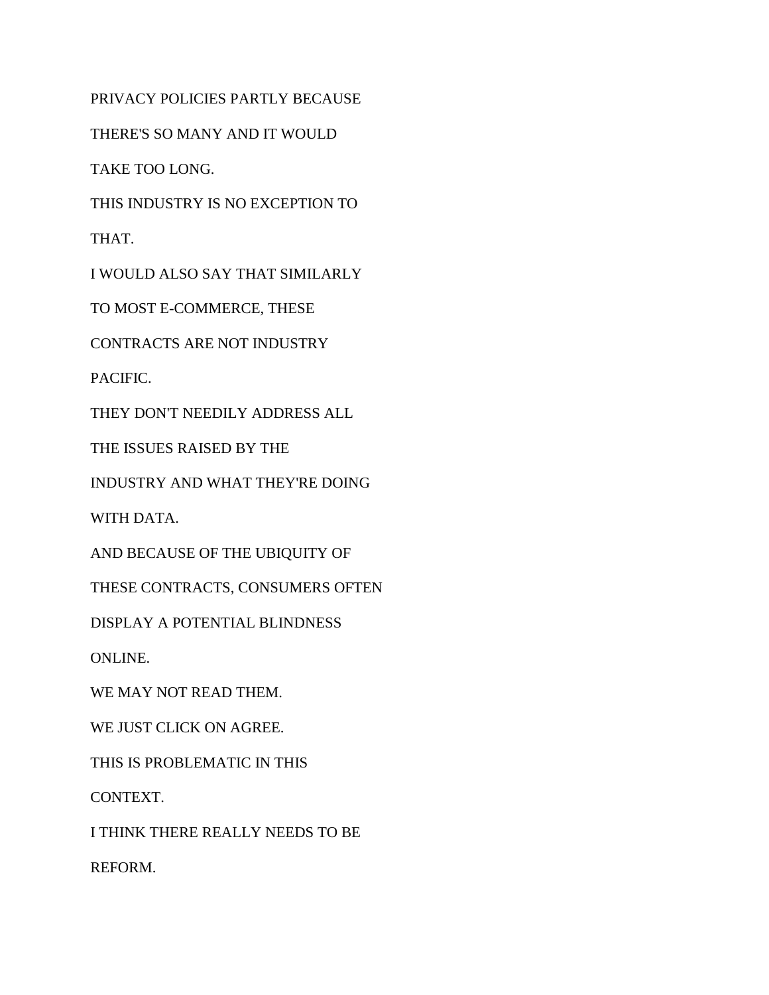PRIVACY POLICIES PARTLY BECAUSE

THERE'S SO MANY AND IT WOULD

TAKE TOO LONG.

THIS INDUSTRY IS NO EXCEPTION TO

THAT.

I WOULD ALSO SAY THAT SIMILARLY

TO MOST E-COMMERCE, THESE

CONTRACTS ARE NOT INDUSTRY

PACIFIC.

THEY DON'T NEEDILY ADDRESS ALL

THE ISSUES RAISED BY THE

INDUSTRY AND WHAT THEY'RE DOING

WITH DATA.

AND BECAUSE OF THE UBIQUITY OF

THESE CONTRACTS, CONSUMERS OFTEN

DISPLAY A POTENTIAL BLINDNESS

ONLINE.

WE MAY NOT READ THEM.

WE JUST CLICK ON AGREE.

THIS IS PROBLEMATIC IN THIS

CONTEXT.

I THINK THERE REALLY NEEDS TO BE

REFORM.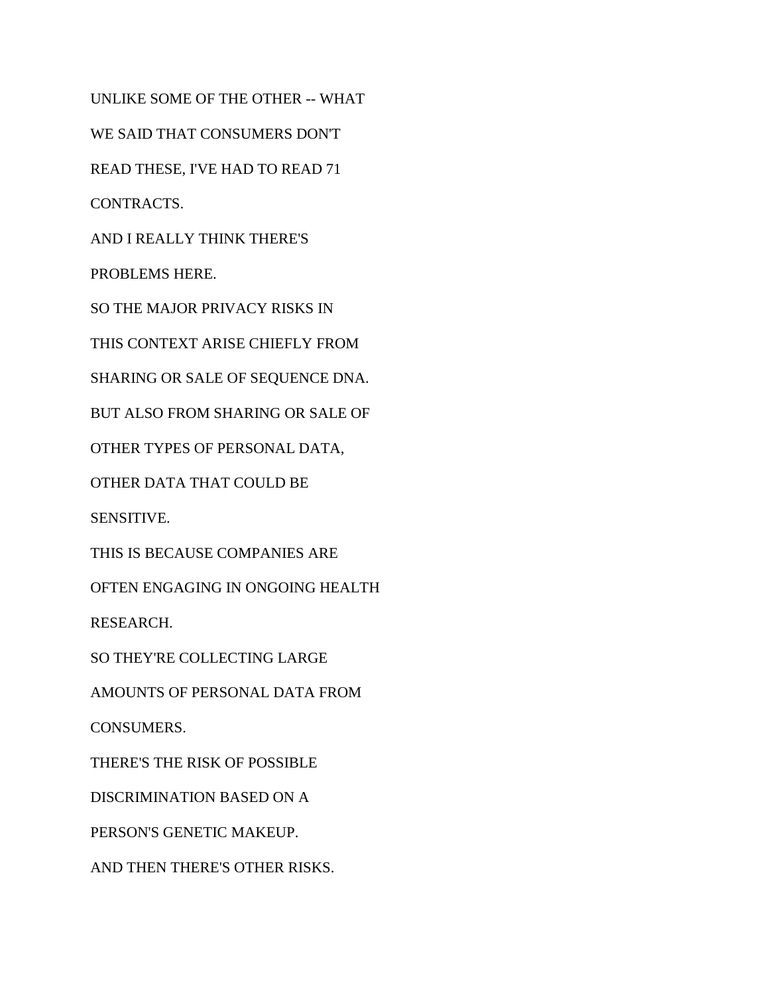UNLIKE SOME OF THE OTHER -- WHAT WE SAID THAT CONSUMERS DON'T READ THESE, I'VE HAD TO READ 71 CONTRACTS. AND I REALLY THINK THERE'S PROBLEMS HERE. SO THE MAJOR PRIVACY RISKS IN THIS CONTEXT ARISE CHIEFLY FROM SHARING OR SALE OF SEQUENCE DNA. BUT ALSO FROM SHARING OR SALE OF OTHER TYPES OF PERSONAL DATA, OTHER DATA THAT COULD BE SENSITIVE. THIS IS BECAUSE COMPANIES ARE OFTEN ENGAGING IN ONGOING HEALTH RESEARCH. SO THEY'RE COLLECTING LARGE AMOUNTS OF PERSONAL DATA FROM CONSUMERS. THERE'S THE RISK OF POSSIBLE DISCRIMINATION BASED ON A PERSON'S GENETIC MAKEUP. AND THEN THERE'S OTHER RISKS.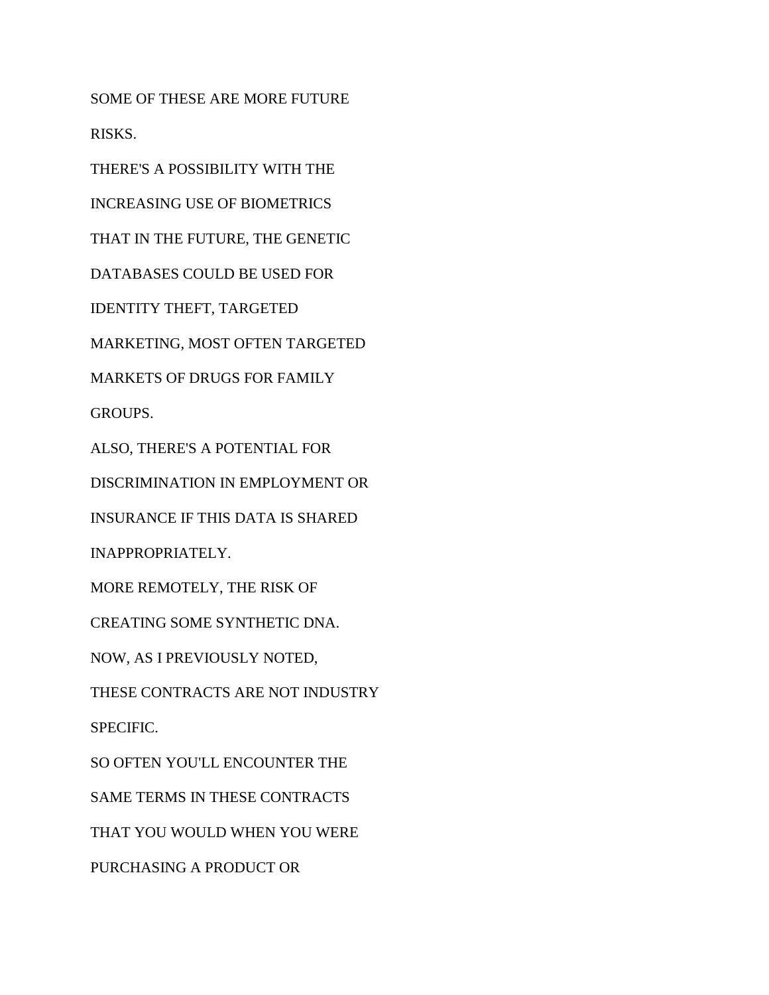SOME OF THESE ARE MORE FUTURE RISKS.

THERE'S A POSSIBILITY WITH THE

INCREASING USE OF BIOMETRICS

THAT IN THE FUTURE, THE GENETIC

DATABASES COULD BE USED FOR

IDENTITY THEFT, TARGETED

MARKETING, MOST OFTEN TARGETED

MARKETS OF DRUGS FOR FAMILY

GROUPS.

ALSO, THERE'S A POTENTIAL FOR

DISCRIMINATION IN EMPLOYMENT OR

INSURANCE IF THIS DATA IS SHARED

INAPPROPRIATELY.

MORE REMOTELY, THE RISK OF

CREATING SOME SYNTHETIC DNA.

NOW, AS I PREVIOUSLY NOTED,

THESE CONTRACTS ARE NOT INDUSTRY

SPECIFIC.

SO OFTEN YOU'LL ENCOUNTER THE

SAME TERMS IN THESE CONTRACTS

THAT YOU WOULD WHEN YOU WERE

PURCHASING A PRODUCT OR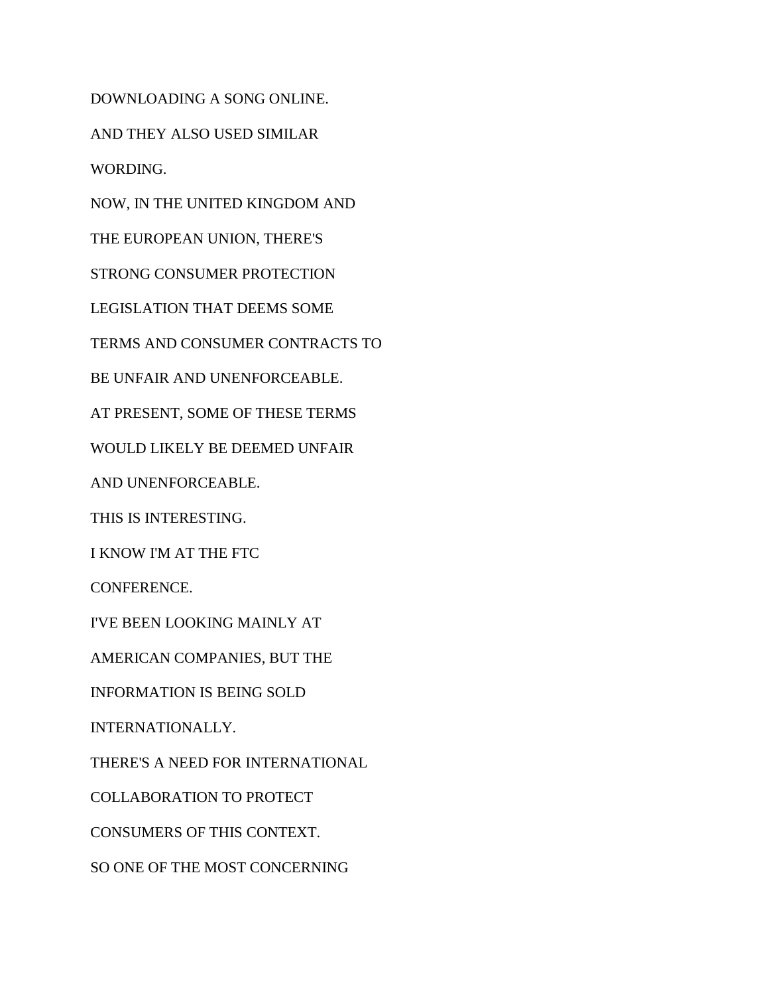DOWNLOADING A SONG ONLINE. AND THEY ALSO USED SIMILAR WORDING. NOW, IN THE UNITED KINGDOM AND THE EUROPEAN UNION, THERE'S STRONG CONSUMER PROTECTION LEGISLATION THAT DEEMS SOME TERMS AND CONSUMER CONTRACTS TO BE UNFAIR AND UNENFORCEABLE. AT PRESENT, SOME OF THESE TERMS WOULD LIKELY BE DEEMED UNFAIR AND UNENFORCEABLE. THIS IS INTERESTING. I KNOW I'M AT THE FTC CONFERENCE. I'VE BEEN LOOKING MAINLY AT AMERICAN COMPANIES, BUT THE INFORMATION IS BEING SOLD INTERNATIONALLY. THERE'S A NEED FOR INTERNATIONAL COLLABORATION TO PROTECT CONSUMERS OF THIS CONTEXT. SO ONE OF THE MOST CONCERNING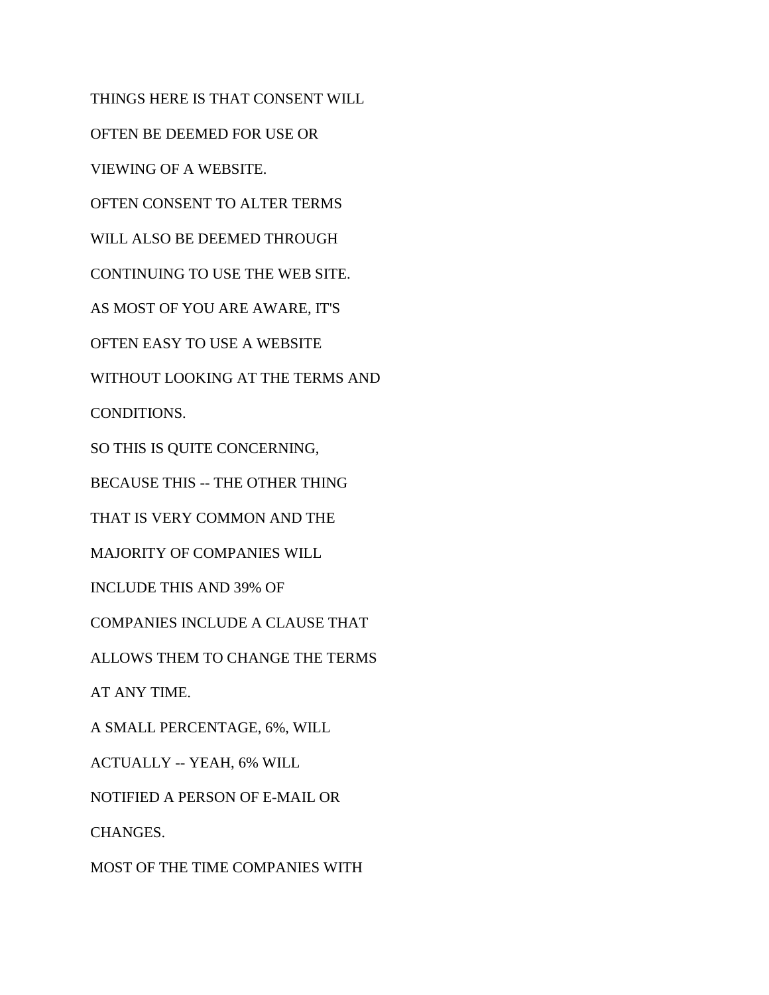THINGS HERE IS THAT CONSENT WILL OFTEN BE DEEMED FOR USE OR VIEWING OF A WEBSITE. OFTEN CONSENT TO ALTER TERMS WILL ALSO BE DEEMED THROUGH CONTINUING TO USE THE WEB SITE. AS MOST OF YOU ARE AWARE, IT'S OFTEN EASY TO USE A WEBSITE WITHOUT LOOKING AT THE TERMS AND CONDITIONS. SO THIS IS QUITE CONCERNING, BECAUSE THIS -- THE OTHER THING THAT IS VERY COMMON AND THE MAJORITY OF COMPANIES WILL INCLUDE THIS AND 39% OF COMPANIES INCLUDE A CLAUSE THAT ALLOWS THEM TO CHANGE THE TERMS AT ANY TIME. A SMALL PERCENTAGE, 6%, WILL ACTUALLY -- YEAH, 6% WILL NOTIFIED A PERSON OF E-MAIL OR CHANGES. MOST OF THE TIME COMPANIES WITH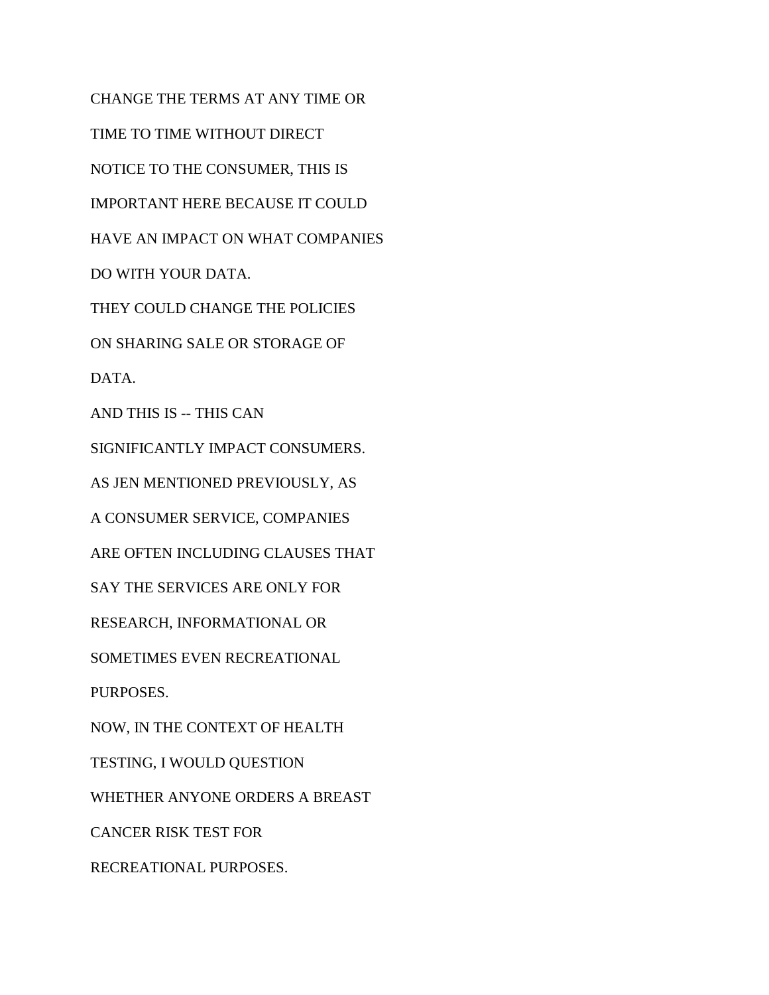CHANGE THE TERMS AT ANY TIME OR TIME TO TIME WITHOUT DIRECT NOTICE TO THE CONSUMER, THIS IS IMPORTANT HERE BECAUSE IT COULD HAVE AN IMPACT ON WHAT COMPANIES DO WITH YOUR DATA. THEY COULD CHANGE THE POLICIES ON SHARING SALE OR STORAGE OF DATA. AND THIS IS -- THIS CAN SIGNIFICANTLY IMPACT CONSUMERS. AS JEN MENTIONED PREVIOUSLY, AS A CONSUMER SERVICE, COMPANIES ARE OFTEN INCLUDING CLAUSES THAT SAY THE SERVICES ARE ONLY FOR RESEARCH, INFORMATIONAL OR SOMETIMES EVEN RECREATIONAL PURPOSES. NOW, IN THE CONTEXT OF HEALTH TESTING, I WOULD QUESTION WHETHER ANYONE ORDERS A BREAST CANCER RISK TEST FOR RECREATIONAL PURPOSES.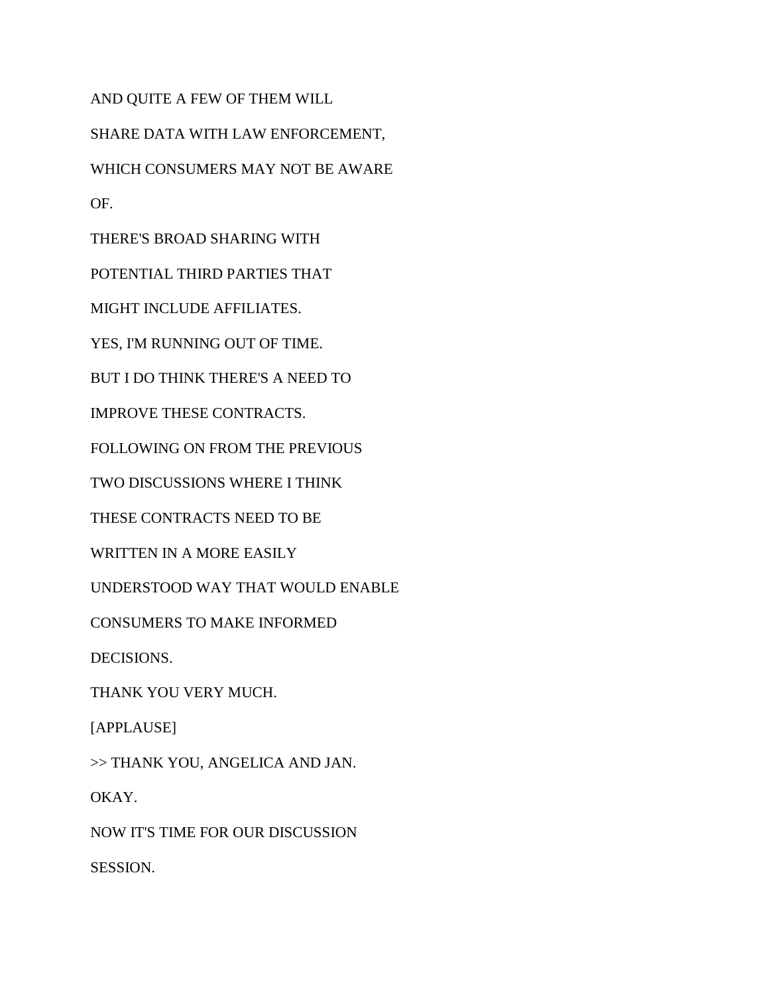AND QUITE A FEW OF THEM WILL SHARE DATA WITH LAW ENFORCEMENT, WHICH CONSUMERS MAY NOT BE AWARE OF. THERE'S BROAD SHARING WITH POTENTIAL THIRD PARTIES THAT MIGHT INCLUDE AFFILIATES. YES, I'M RUNNING OUT OF TIME. BUT I DO THINK THERE'S A NEED TO IMPROVE THESE CONTRACTS. FOLLOWING ON FROM THE PREVIOUS TWO DISCUSSIONS WHERE I THINK THESE CONTRACTS NEED TO BE WRITTEN IN A MORE EASILY UNDERSTOOD WAY THAT WOULD ENABLE

CONSUMERS TO MAKE INFORMED

DECISIONS.

THANK YOU VERY MUCH.

[APPLAUSE]

>> THANK YOU, ANGELICA AND JAN.

OKAY.

NOW IT'S TIME FOR OUR DISCUSSION

SESSION.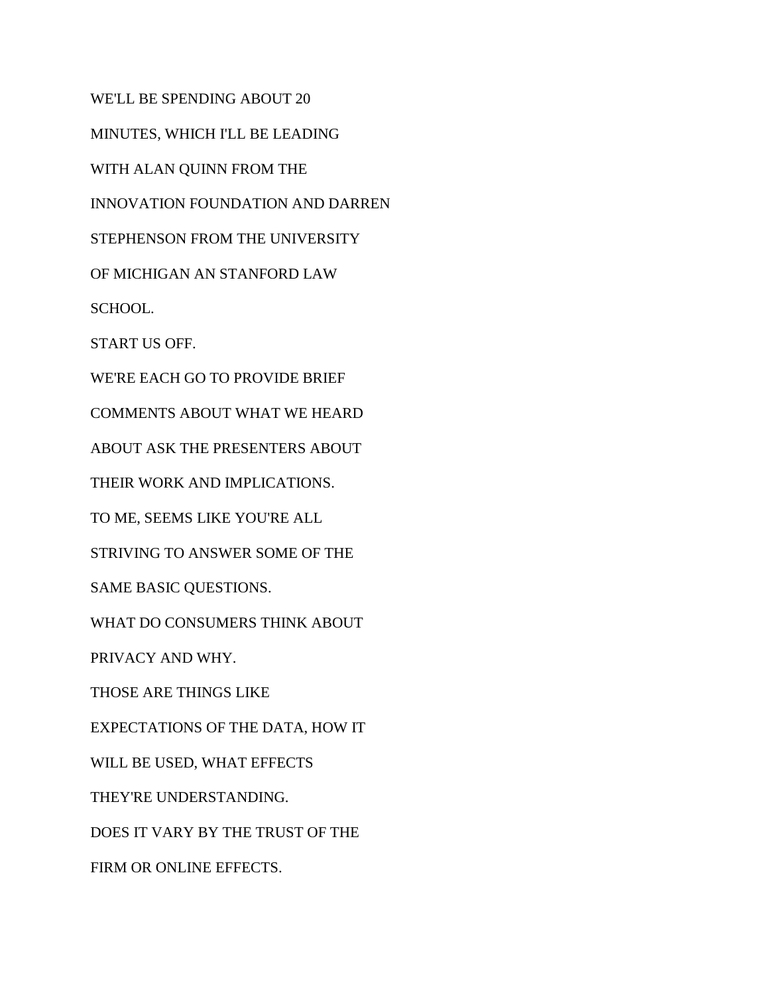WE'LL BE SPENDING ABOUT 20 MINUTES, WHICH I'LL BE LEADING WITH ALAN QUINN FROM THE INNOVATION FOUNDATION AND DARREN STEPHENSON FROM THE UNIVERSITY OF MICHIGAN AN STANFORD LAW SCHOOL. START US OFF. WE'RE EACH GO TO PROVIDE BRIEF COMMENTS ABOUT WHAT WE HEARD ABOUT ASK THE PRESENTERS ABOUT THEIR WORK AND IMPLICATIONS. TO ME, SEEMS LIKE YOU'RE ALL STRIVING TO ANSWER SOME OF THE SAME BASIC QUESTIONS. WHAT DO CONSUMERS THINK ABOUT PRIVACY AND WHY. THOSE ARE THINGS LIKE EXPECTATIONS OF THE DATA, HOW IT WILL BE USED, WHAT EFFECTS THEY'RE UNDERSTANDING. DOES IT VARY BY THE TRUST OF THE FIRM OR ONLINE EFFECTS.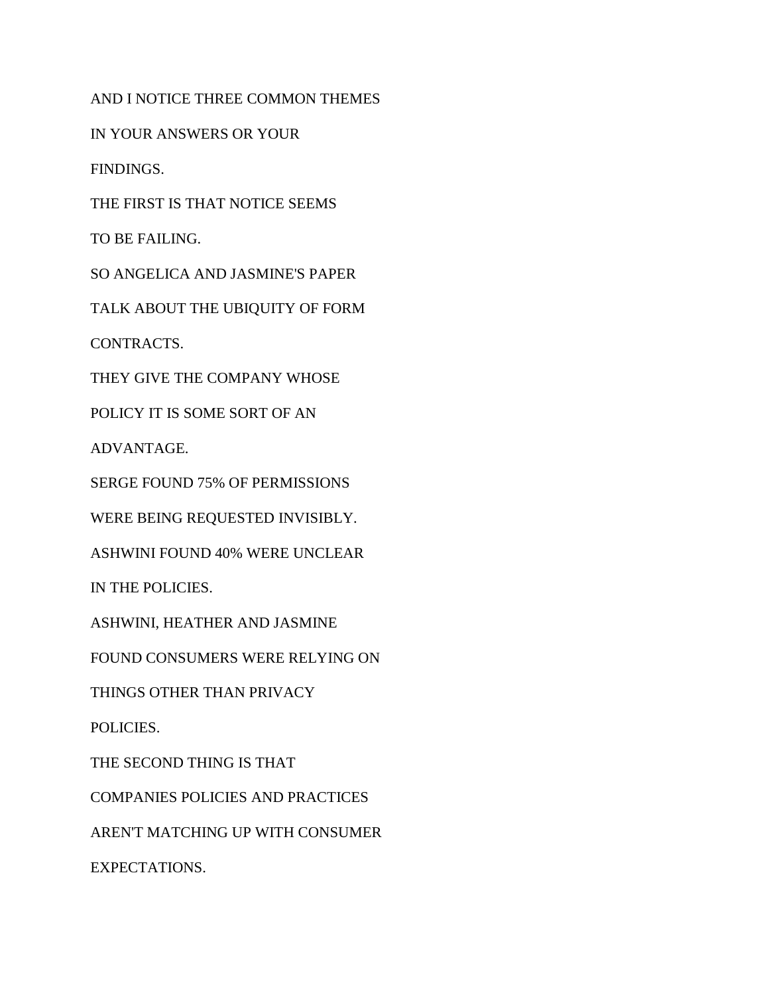AND I NOTICE THREE COMMON THEMES IN YOUR ANSWERS OR YOUR FINDINGS. THE FIRST IS THAT NOTICE SEEMS TO BE FAILING. SO ANGELICA AND JASMINE'S PAPER TALK ABOUT THE UBIQUITY OF FORM CONTRACTS. THEY GIVE THE COMPANY WHOSE POLICY IT IS SOME SORT OF AN ADVANTAGE. SERGE FOUND 75% OF PERMISSIONS WERE BEING REQUESTED INVISIBLY. ASHWINI FOUND 40% WERE UNCLEAR IN THE POLICIES. ASHWINI, HEATHER AND JASMINE FOUND CONSUMERS WERE RELYING ON THINGS OTHER THAN PRIVACY POLICIES. THE SECOND THING IS THAT COMPANIES POLICIES AND PRACTICES AREN'T MATCHING UP WITH CONSUMER EXPECTATIONS.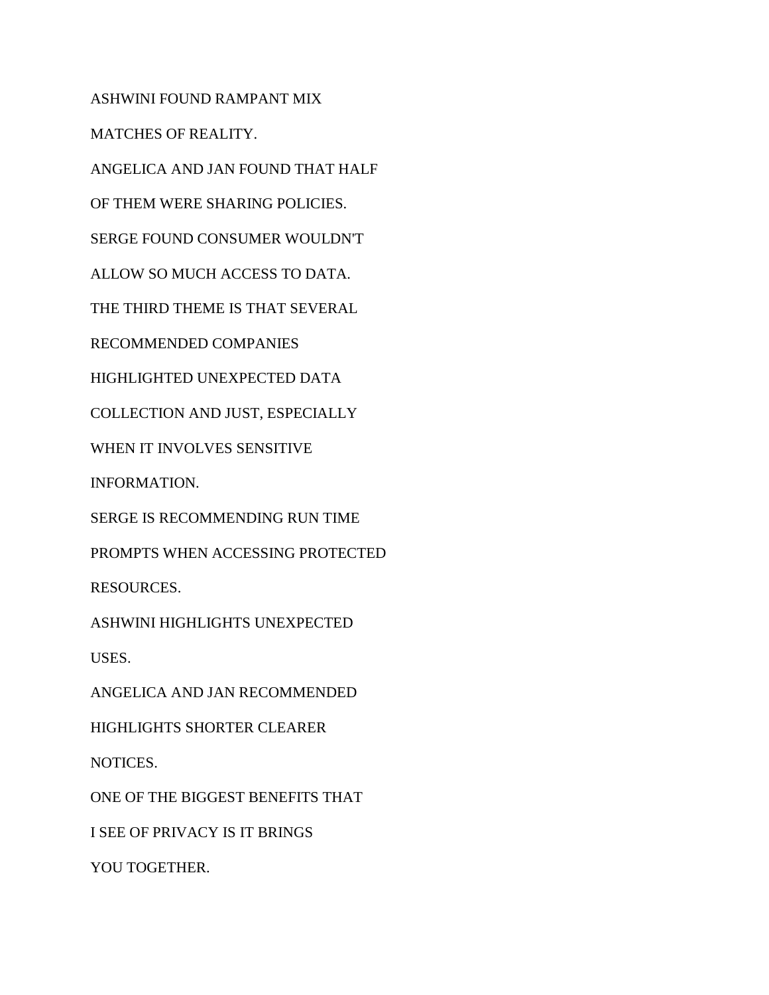ASHWINI FOUND RAMPANT MIX MATCHES OF REALITY. ANGELICA AND JAN FOUND THAT HALF OF THEM WERE SHARING POLICIES. SERGE FOUND CONSUMER WOULDN'T ALLOW SO MUCH ACCESS TO DATA. THE THIRD THEME IS THAT SEVERAL RECOMMENDED COMPANIES HIGHLIGHTED UNEXPECTED DATA COLLECTION AND JUST, ESPECIALLY WHEN IT INVOLVES SENSITIVE INFORMATION. SERGE IS RECOMMENDING RUN TIME PROMPTS WHEN ACCESSING PROTECTED RESOURCES. ASHWINI HIGHLIGHTS UNEXPECTED USES. ANGELICA AND JAN RECOMMENDED HIGHLIGHTS SHORTER CLEARER NOTICES. ONE OF THE BIGGEST BENEFITS THAT I SEE OF PRIVACY IS IT BRINGS YOU TOGETHER.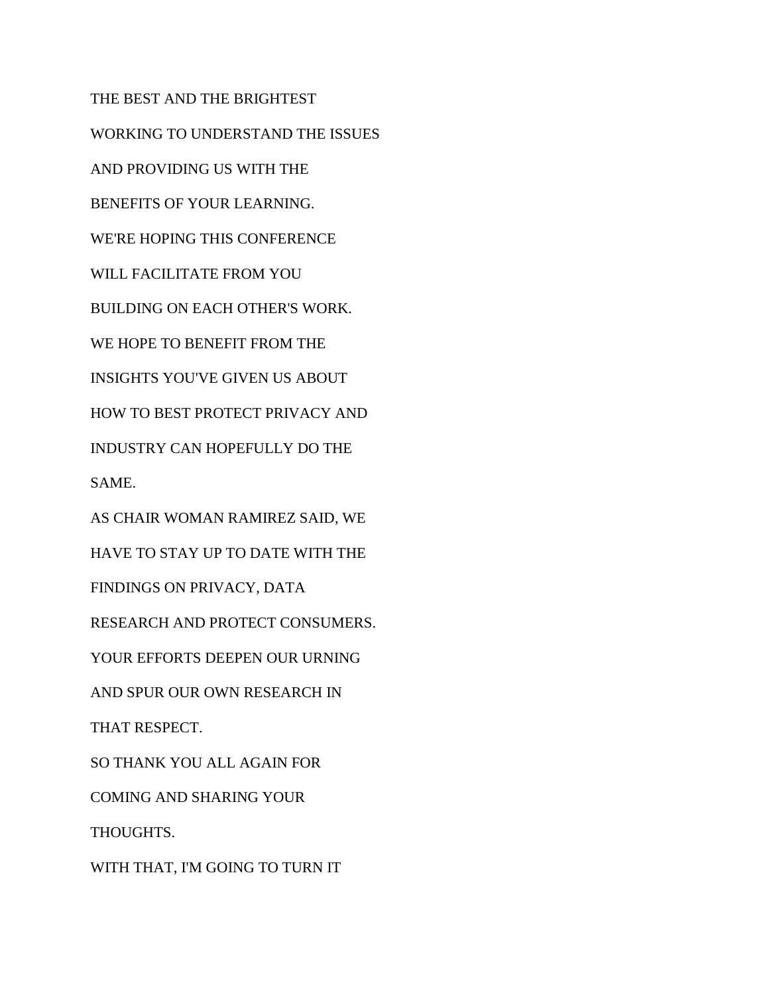THE BEST AND THE BRIGHTEST WORKING TO UNDERSTAND THE ISSUES AND PROVIDING US WITH THE BENEFITS OF YOUR LEARNING. WE'RE HOPING THIS CONFERENCE WILL FACILITATE FROM YOU BUILDING ON EACH OTHER'S WORK. WE HOPE TO BENEFIT FROM THE INSIGHTS YOU'VE GIVEN US ABOUT HOW TO BEST PROTECT PRIVACY AND INDUSTRY CAN HOPEFULLY DO THE SAME. AS CHAIR WOMAN RAMIREZ SAID, WE HAVE TO STAY UP TO DATE WITH THE FINDINGS ON PRIVACY, DATA RESEARCH AND PROTECT CONSUMERS. YOUR EFFORTS DEEPEN OUR URNING AND SPUR OUR OWN RESEARCH IN THAT RESPECT. SO THANK YOU ALL AGAIN FOR COMING AND SHARING YOUR THOUGHTS. WITH THAT, I'M GOING TO TURN IT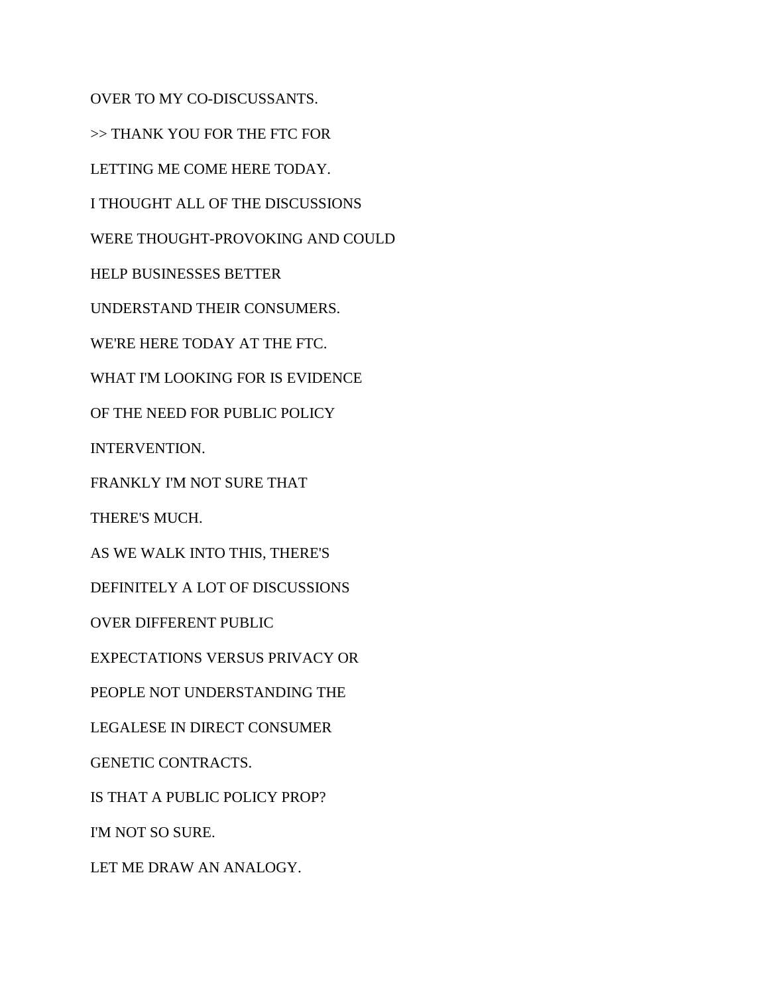OVER TO MY CO-DISCUSSANTS. >> THANK YOU FOR THE FTC FOR LETTING ME COME HERE TODAY. I THOUGHT ALL OF THE DISCUSSIONS WERE THOUGHT-PROVOKING AND COULD HELP BUSINESSES BETTER UNDERSTAND THEIR CONSUMERS. WE'RE HERE TODAY AT THE FTC. WHAT I'M LOOKING FOR IS EVIDENCE OF THE NEED FOR PUBLIC POLICY INTERVENTION. FRANKLY I'M NOT SURE THAT THERE'S MUCH. AS WE WALK INTO THIS, THERE'S DEFINITELY A LOT OF DISCUSSIONS OVER DIFFERENT PUBLIC EXPECTATIONS VERSUS PRIVACY OR PEOPLE NOT UNDERSTANDING THE LEGALESE IN DIRECT CONSUMER GENETIC CONTRACTS. IS THAT A PUBLIC POLICY PROP? I'M NOT SO SURE. LET ME DRAW AN ANALOGY.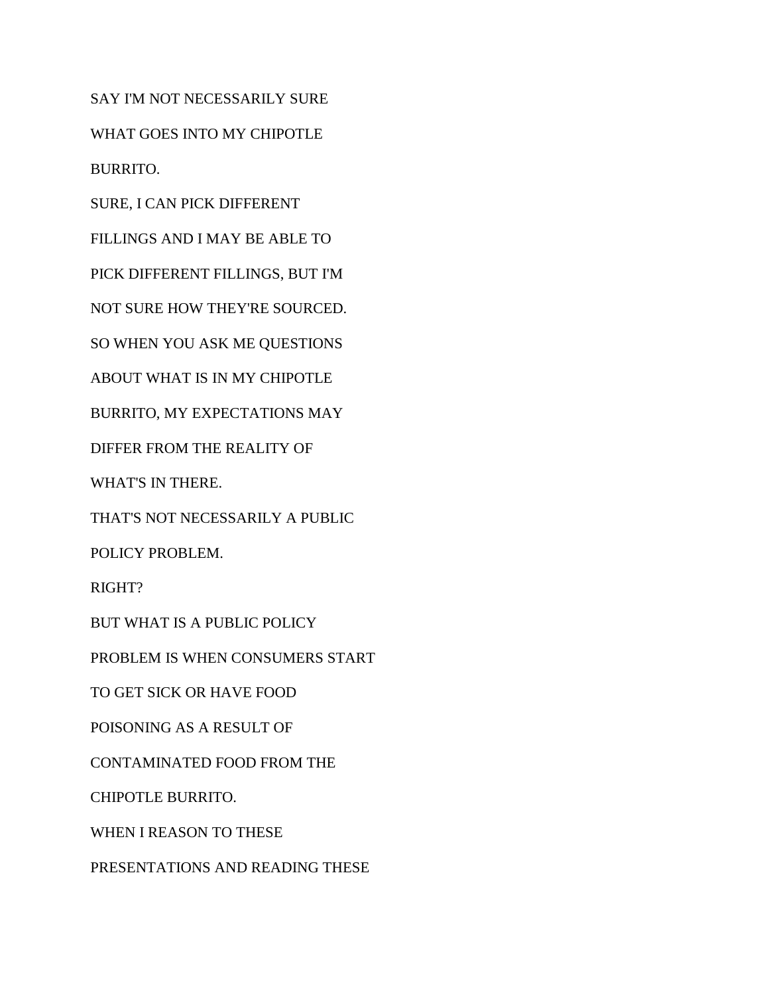SAY I'M NOT NECESSARILY SURE WHAT GOES INTO MY CHIPOTLE BURRITO.

SURE, I CAN PICK DIFFERENT

FILLINGS AND I MAY BE ABLE TO

PICK DIFFERENT FILLINGS, BUT I'M

NOT SURE HOW THEY'RE SOURCED.

SO WHEN YOU ASK ME QUESTIONS

ABOUT WHAT IS IN MY CHIPOTLE

BURRITO, MY EXPECTATIONS MAY

DIFFER FROM THE REALITY OF

WHAT'S IN THERE.

THAT'S NOT NECESSARILY A PUBLIC

POLICY PROBLEM.

RIGHT?

BUT WHAT IS A PUBLIC POLICY

PROBLEM IS WHEN CONSUMERS START

TO GET SICK OR HAVE FOOD

POISONING AS A RESULT OF

CONTAMINATED FOOD FROM THE

CHIPOTLE BURRITO.

WHEN I REASON TO THESE

PRESENTATIONS AND READING THESE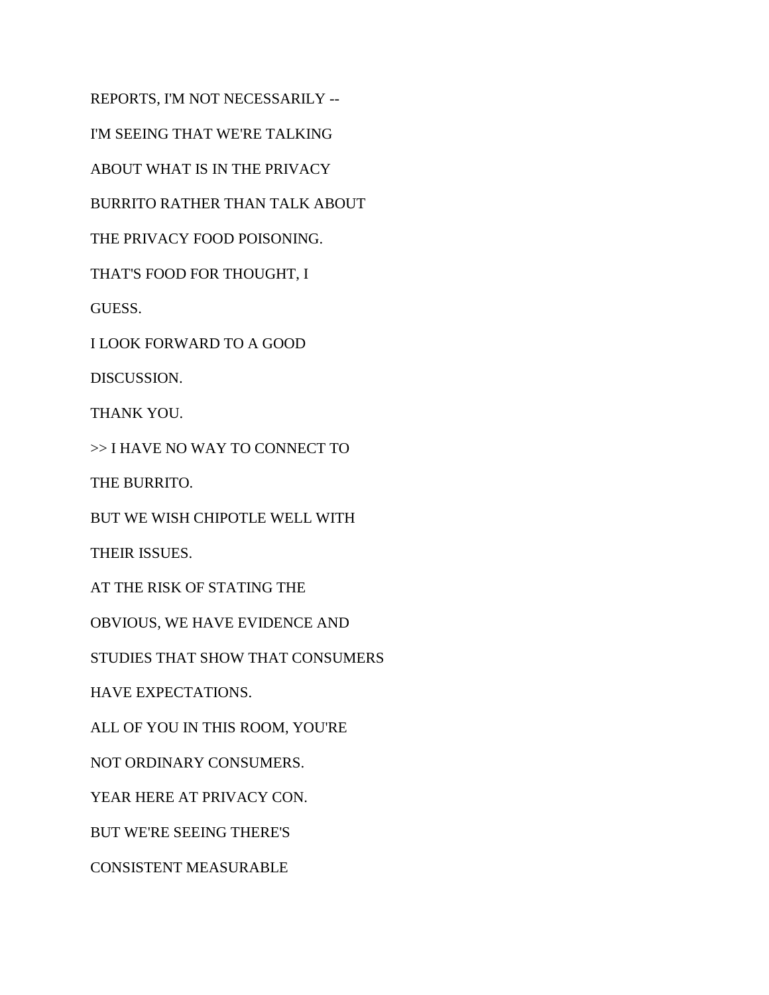REPORTS, I'M NOT NECESSARILY -- I'M SEEING THAT WE'RE TALKING ABOUT WHAT IS IN THE PRIVACY BURRITO RATHER THAN TALK ABOUT THE PRIVACY FOOD POISONING. THAT'S FOOD FOR THOUGHT, I GUESS. I LOOK FORWARD TO A GOOD DISCUSSION. THANK YOU. >> I HAVE NO WAY TO CONNECT TO THE BURRITO. BUT WE WISH CHIPOTLE WELL WITH THEIR ISSUES. AT THE RISK OF STATING THE OBVIOUS, WE HAVE EVIDENCE AND STUDIES THAT SHOW THAT CONSUMERS HAVE EXPECTATIONS. ALL OF YOU IN THIS ROOM, YOU'RE NOT ORDINARY CONSUMERS. YEAR HERE AT PRIVACY CON. BUT WE'RE SEEING THERE'S CONSISTENT MEASURABLE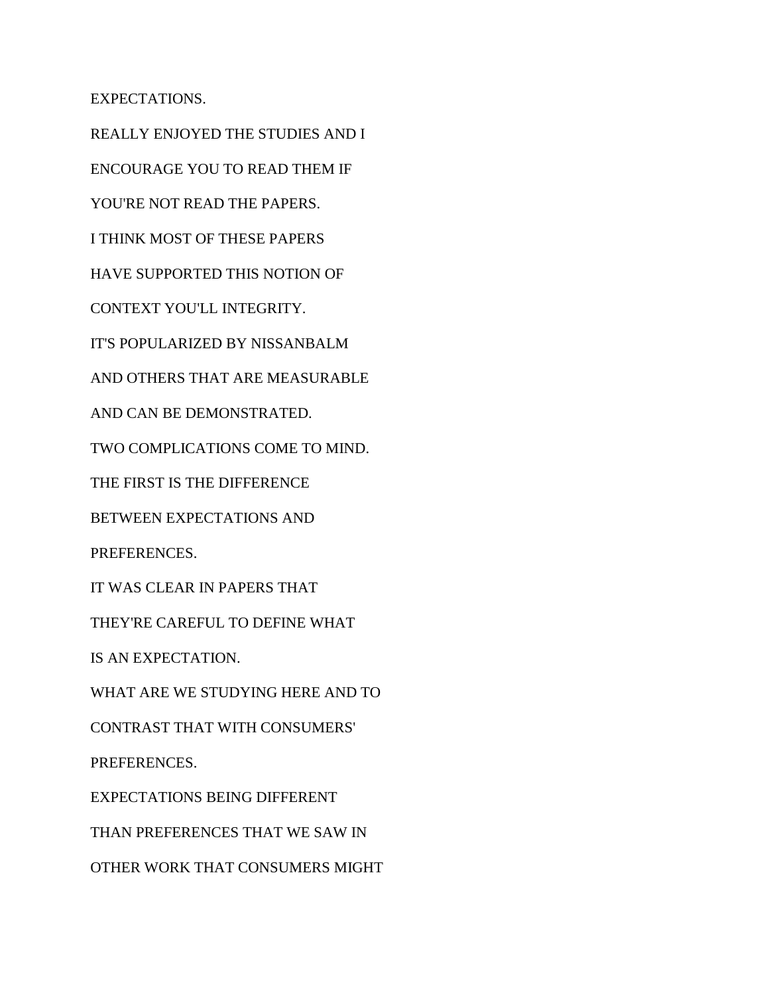EXPECTATIONS.

REALLY ENJOYED THE STUDIES AND I ENCOURAGE YOU TO READ THEM IF YOU'RE NOT READ THE PAPERS. I THINK MOST OF THESE PAPERS HAVE SUPPORTED THIS NOTION OF CONTEXT YOU'LL INTEGRITY. IT'S POPULARIZED BY NISSANBALM AND OTHERS THAT ARE MEASURABLE AND CAN BE DEMONSTRATED. TWO COMPLICATIONS COME TO MIND. THE FIRST IS THE DIFFERENCE BETWEEN EXPECTATIONS AND PREFERENCES. IT WAS CLEAR IN PAPERS THAT THEY'RE CAREFUL TO DEFINE WHAT IS AN EXPECTATION. WHAT ARE WE STUDYING HERE AND TO CONTRAST THAT WITH CONSUMERS' PREFERENCES. EXPECTATIONS BEING DIFFERENT THAN PREFERENCES THAT WE SAW IN OTHER WORK THAT CONSUMERS MIGHT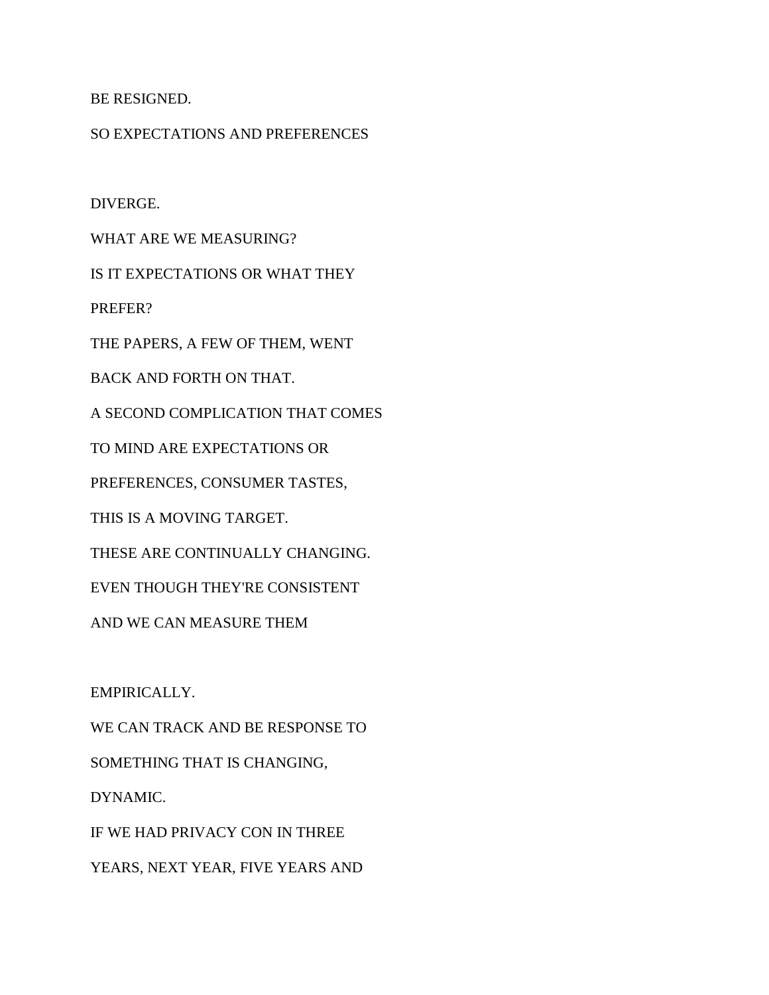BE RESIGNED.

## SO EXPECTATIONS AND PREFERENCES

DIVERGE.

WHAT ARE WE MEASURING?

IS IT EXPECTATIONS OR WHAT THEY

PREFER?

THE PAPERS, A FEW OF THEM, WENT

BACK AND FORTH ON THAT.

A SECOND COMPLICATION THAT COMES

TO MIND ARE EXPECTATIONS OR

PREFERENCES, CONSUMER TASTES,

THIS IS A MOVING TARGET.

THESE ARE CONTINUALLY CHANGING.

EVEN THOUGH THEY'RE CONSISTENT

AND WE CAN MEASURE THEM

EMPIRICALLY.

WE CAN TRACK AND BE RESPONSE TO SOMETHING THAT IS CHANGING, DYNAMIC. IF WE HAD PRIVACY CON IN THREE YEARS, NEXT YEAR, FIVE YEARS AND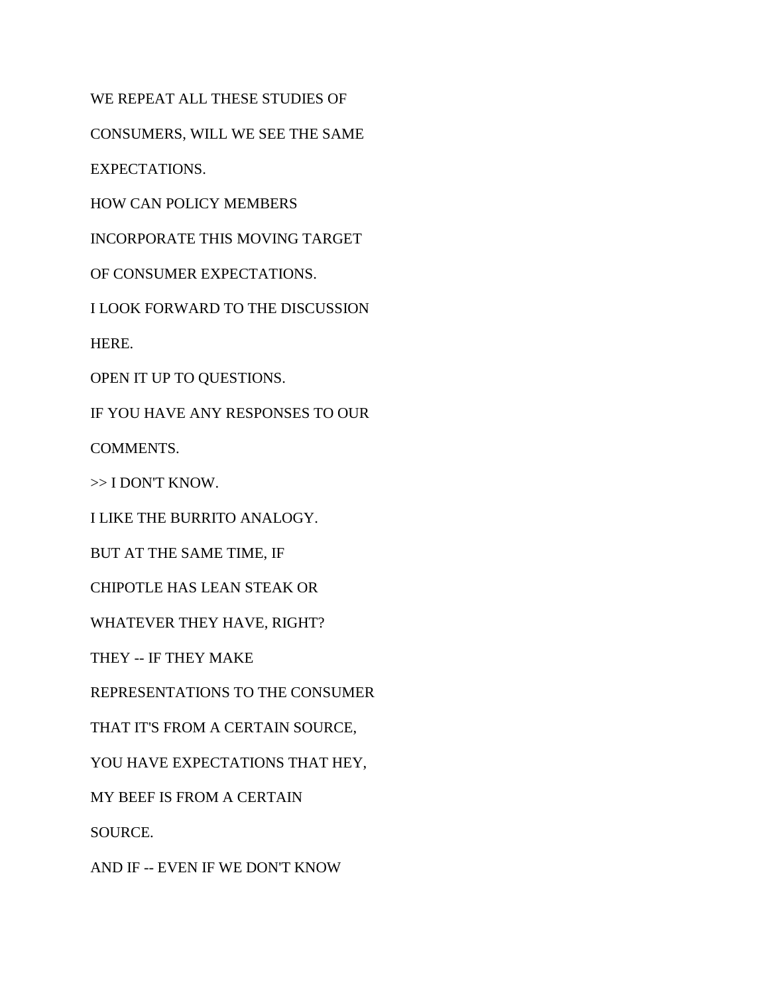WE REPEAT ALL THESE STUDIES OF

CONSUMERS, WILL WE SEE THE SAME

EXPECTATIONS.

HOW CAN POLICY MEMBERS

INCORPORATE THIS MOVING TARGET

OF CONSUMER EXPECTATIONS.

I LOOK FORWARD TO THE DISCUSSION

HERE.

OPEN IT UP TO QUESTIONS.

IF YOU HAVE ANY RESPONSES TO OUR

COMMENTS.

>> I DON'T KNOW.

I LIKE THE BURRITO ANALOGY.

BUT AT THE SAME TIME, IF

CHIPOTLE HAS LEAN STEAK OR

WHATEVER THEY HAVE, RIGHT?

THEY -- IF THEY MAKE

REPRESENTATIONS TO THE CONSUMER

THAT IT'S FROM A CERTAIN SOURCE,

YOU HAVE EXPECTATIONS THAT HEY,

MY BEEF IS FROM A CERTAIN

SOURCE.

AND IF -- EVEN IF WE DON'T KNOW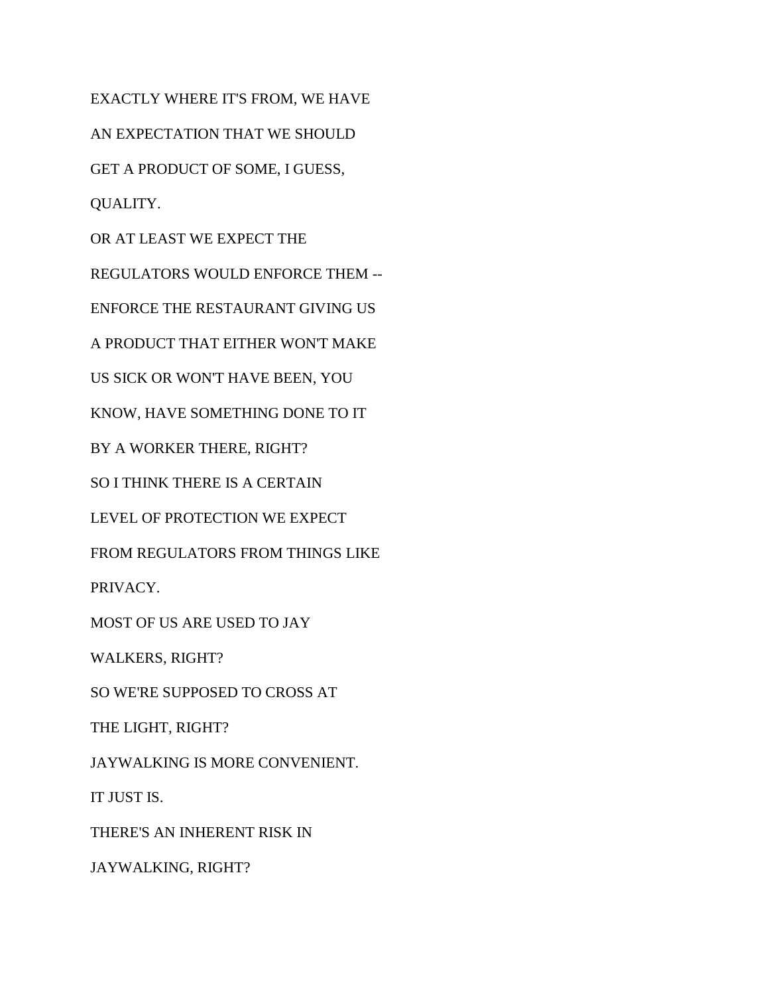EXACTLY WHERE IT'S FROM, WE HAVE AN EXPECTATION THAT WE SHOULD GET A PRODUCT OF SOME, I GUESS, QUALITY. OR AT LEAST WE EXPECT THE REGULATORS WOULD ENFORCE THEM -- ENFORCE THE RESTAURANT GIVING US A PRODUCT THAT EITHER WON'T MAKE US SICK OR WON'T HAVE BEEN, YOU KNOW, HAVE SOMETHING DONE TO IT BY A WORKER THERE, RIGHT? SO I THINK THERE IS A CERTAIN LEVEL OF PROTECTION WE EXPECT FROM REGULATORS FROM THINGS LIKE PRIVACY. MOST OF US ARE USED TO JAY WALKERS, RIGHT? SO WE'RE SUPPOSED TO CROSS AT THE LIGHT, RIGHT? JAYWALKING IS MORE CONVENIENT. IT JUST IS. THERE'S AN INHERENT RISK IN JAYWALKING, RIGHT?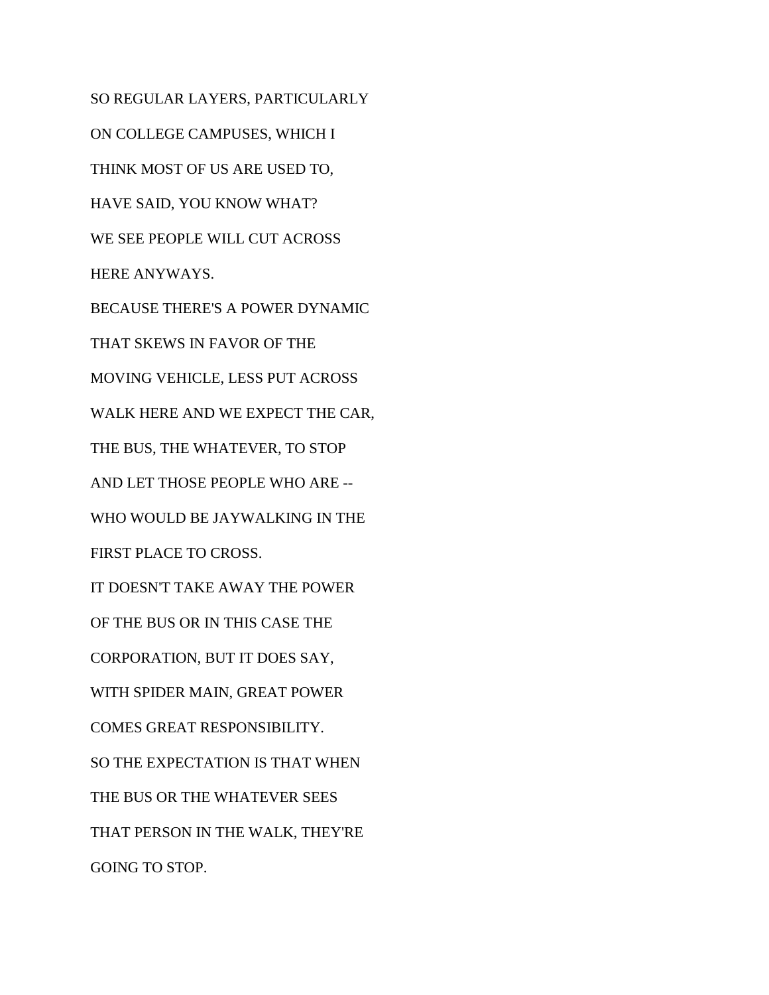SO REGULAR LAYERS, PARTICULARLY ON COLLEGE CAMPUSES, WHICH I THINK MOST OF US ARE USED TO, HAVE SAID, YOU KNOW WHAT? WE SEE PEOPLE WILL CUT ACROSS HERE ANYWAYS. BECAUSE THERE'S A POWER DYNAMIC THAT SKEWS IN FAVOR OF THE MOVING VEHICLE, LESS PUT ACROSS WALK HERE AND WE EXPECT THE CAR, THE BUS, THE WHATEVER, TO STOP AND LET THOSE PEOPLE WHO ARE -- WHO WOULD BE JAYWALKING IN THE FIRST PLACE TO CROSS. IT DOESN'T TAKE AWAY THE POWER OF THE BUS OR IN THIS CASE THE CORPORATION, BUT IT DOES SAY, WITH SPIDER MAIN, GREAT POWER COMES GREAT RESPONSIBILITY. SO THE EXPECTATION IS THAT WHEN THE BUS OR THE WHATEVER SEES THAT PERSON IN THE WALK, THEY'RE GOING TO STOP.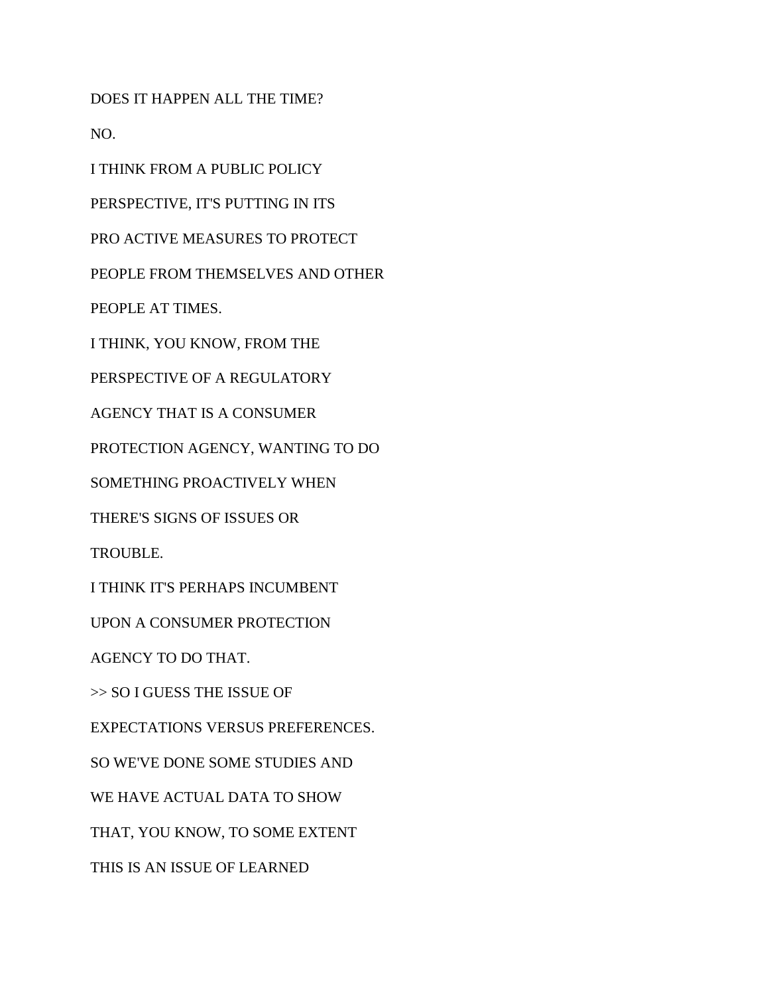DOES IT HAPPEN ALL THE TIME?

NO.

I THINK FROM A PUBLIC POLICY

PERSPECTIVE, IT'S PUTTING IN ITS

PRO ACTIVE MEASURES TO PROTECT

PEOPLE FROM THEMSELVES AND OTHER

PEOPLE AT TIMES.

I THINK, YOU KNOW, FROM THE

PERSPECTIVE OF A REGULATORY

AGENCY THAT IS A CONSUMER

PROTECTION AGENCY, WANTING TO DO

SOMETHING PROACTIVELY WHEN

THERE'S SIGNS OF ISSUES OR

TROUBLE.

I THINK IT'S PERHAPS INCUMBENT

UPON A CONSUMER PROTECTION

AGENCY TO DO THAT.

>> SO I GUESS THE ISSUE OF

EXPECTATIONS VERSUS PREFERENCES.

SO WE'VE DONE SOME STUDIES AND

WE HAVE ACTUAL DATA TO SHOW

THAT, YOU KNOW, TO SOME EXTENT

THIS IS AN ISSUE OF LEARNED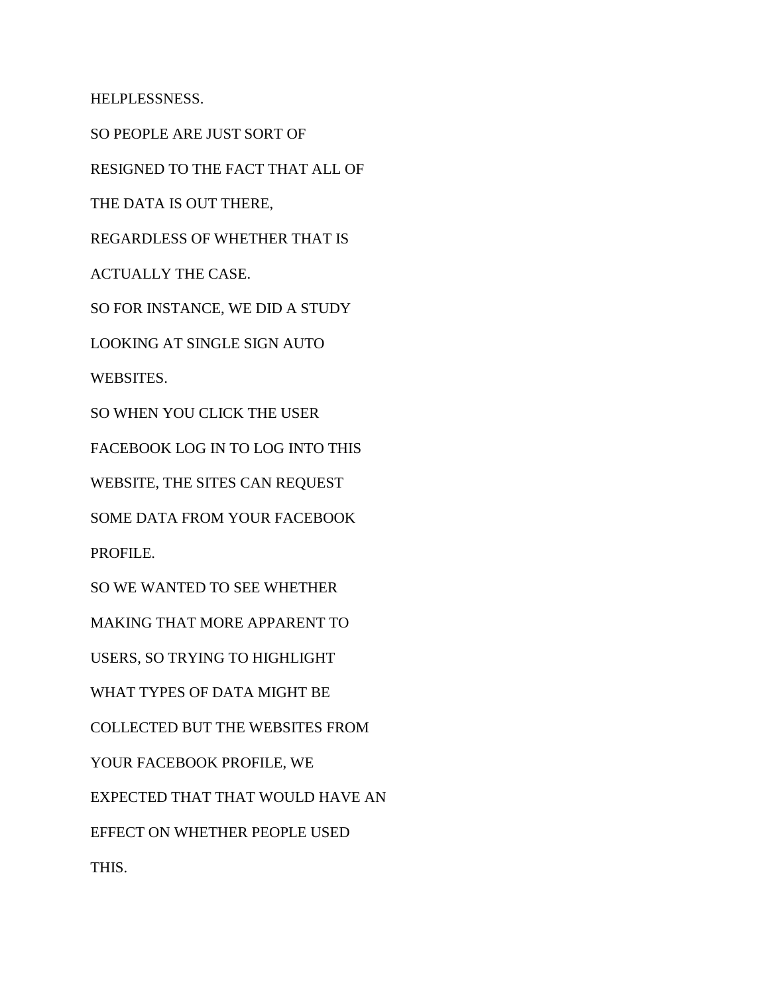HELPLESSNESS.

SO PEOPLE ARE JUST SORT OF

RESIGNED TO THE FACT THAT ALL OF

THE DATA IS OUT THERE,

REGARDLESS OF WHETHER THAT IS

ACTUALLY THE CASE.

SO FOR INSTANCE, WE DID A STUDY

LOOKING AT SINGLE SIGN AUTO

WEBSITES.

SO WHEN YOU CLICK THE USER

FACEBOOK LOG IN TO LOG INTO THIS

WEBSITE, THE SITES CAN REQUEST

SOME DATA FROM YOUR FACEBOOK

PROFILE.

SO WE WANTED TO SEE WHETHER

MAKING THAT MORE APPARENT TO

USERS, SO TRYING TO HIGHLIGHT

WHAT TYPES OF DATA MIGHT BE

COLLECTED BUT THE WEBSITES FROM

YOUR FACEBOOK PROFILE, WE

EXPECTED THAT THAT WOULD HAVE AN

EFFECT ON WHETHER PEOPLE USED

THIS.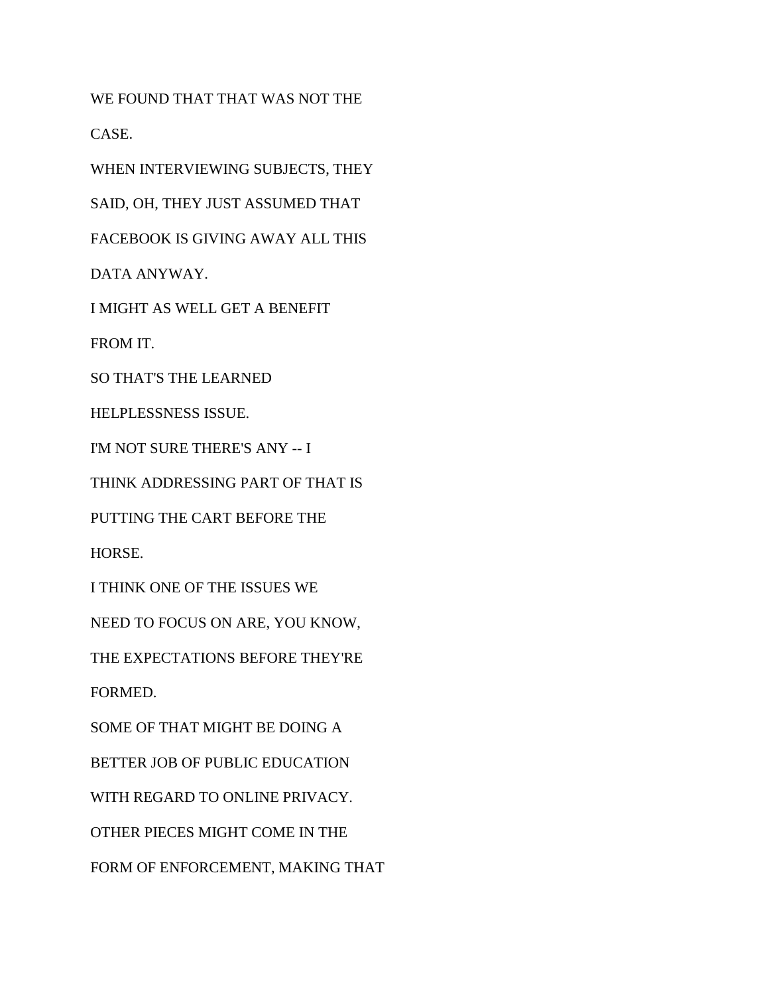WE FOUND THAT THAT WAS NOT THE

CASE.

WHEN INTERVIEWING SUBJECTS, THEY

SAID, OH, THEY JUST ASSUMED THAT

FACEBOOK IS GIVING AWAY ALL THIS

DATA ANYWAY.

I MIGHT AS WELL GET A BENEFIT

FROM IT.

SO THAT'S THE LEARNED

HELPLESSNESS ISSUE.

I'M NOT SURE THERE'S ANY -- I

THINK ADDRESSING PART OF THAT IS

PUTTING THE CART BEFORE THE

HORSE.

I THINK ONE OF THE ISSUES WE

NEED TO FOCUS ON ARE, YOU KNOW,

THE EXPECTATIONS BEFORE THEY'RE

FORMED.

SOME OF THAT MIGHT BE DOING A

BETTER JOB OF PUBLIC EDUCATION

WITH REGARD TO ONLINE PRIVACY.

OTHER PIECES MIGHT COME IN THE

FORM OF ENFORCEMENT, MAKING THAT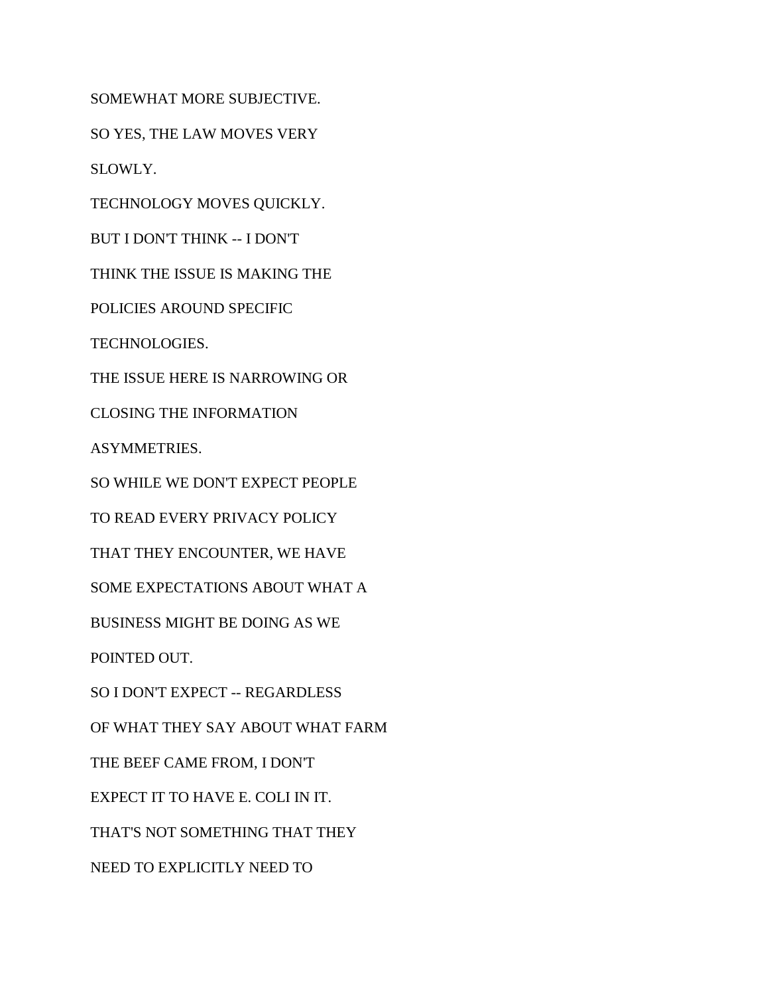SOMEWHAT MORE SUBJECTIVE.

SO YES, THE LAW MOVES VERY

SLOWLY.

TECHNOLOGY MOVES QUICKLY.

BUT I DON'T THINK -- I DON'T

THINK THE ISSUE IS MAKING THE

POLICIES AROUND SPECIFIC

TECHNOLOGIES.

THE ISSUE HERE IS NARROWING OR

CLOSING THE INFORMATION

ASYMMETRIES.

SO WHILE WE DON'T EXPECT PEOPLE

TO READ EVERY PRIVACY POLICY

THAT THEY ENCOUNTER, WE HAVE

SOME EXPECTATIONS ABOUT WHAT A

BUSINESS MIGHT BE DOING AS WE

POINTED OUT.

SO I DON'T EXPECT -- REGARDLESS

OF WHAT THEY SAY ABOUT WHAT FARM

THE BEEF CAME FROM, I DON'T

EXPECT IT TO HAVE E. COLI IN IT.

THAT'S NOT SOMETHING THAT THEY

NEED TO EXPLICITLY NEED TO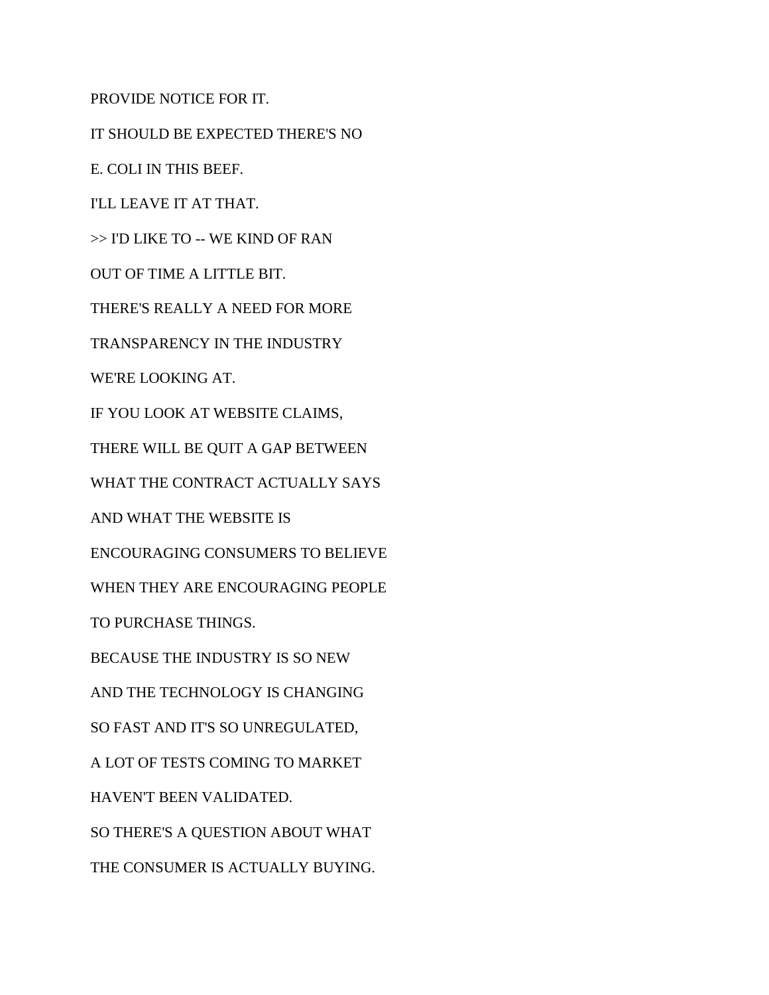PROVIDE NOTICE FOR IT.

IT SHOULD BE EXPECTED THERE'S NO

E. COLI IN THIS BEEF.

I'LL LEAVE IT AT THAT.

>> I'D LIKE TO -- WE KIND OF RAN

OUT OF TIME A LITTLE BIT.

THERE'S REALLY A NEED FOR MORE

TRANSPARENCY IN THE INDUSTRY

WE'RE LOOKING AT.

IF YOU LOOK AT WEBSITE CLAIMS,

THERE WILL BE QUIT A GAP BETWEEN

WHAT THE CONTRACT ACTUALLY SAYS

AND WHAT THE WEBSITE IS

ENCOURAGING CONSUMERS TO BELIEVE

WHEN THEY ARE ENCOURAGING PEOPLE

TO PURCHASE THINGS.

BECAUSE THE INDUSTRY IS SO NEW

AND THE TECHNOLOGY IS CHANGING

SO FAST AND IT'S SO UNREGULATED,

A LOT OF TESTS COMING TO MARKET

HAVEN'T BEEN VALIDATED.

SO THERE'S A QUESTION ABOUT WHAT

THE CONSUMER IS ACTUALLY BUYING.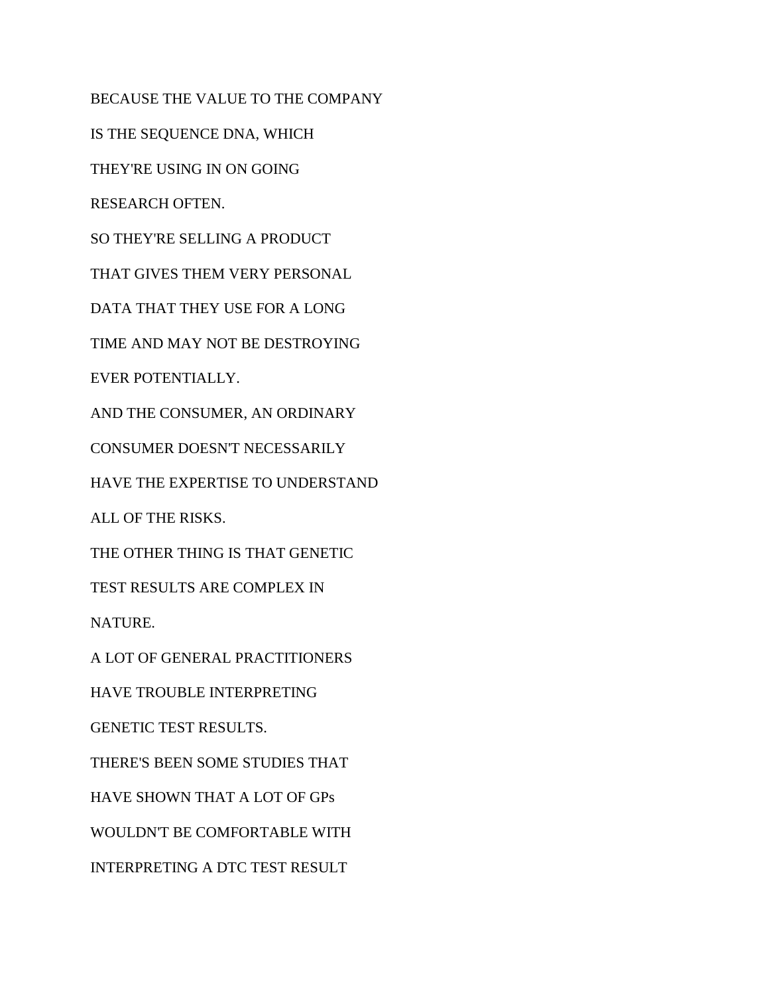BECAUSE THE VALUE TO THE COMPANY IS THE SEQUENCE DNA, WHICH THEY'RE USING IN ON GOING RESEARCH OFTEN. SO THEY'RE SELLING A PRODUCT THAT GIVES THEM VERY PERSONAL DATA THAT THEY USE FOR A LONG TIME AND MAY NOT BE DESTROYING EVER POTENTIALLY. AND THE CONSUMER, AN ORDINARY CONSUMER DOESN'T NECESSARILY HAVE THE EXPERTISE TO UNDERSTAND ALL OF THE RISKS. THE OTHER THING IS THAT GENETIC TEST RESULTS ARE COMPLEX IN NATURE. A LOT OF GENERAL PRACTITIONERS HAVE TROUBLE INTERPRETING GENETIC TEST RESULTS. THERE'S BEEN SOME STUDIES THAT HAVE SHOWN THAT A LOT OF GPs WOULDN'T BE COMFORTABLE WITH INTERPRETING A DTC TEST RESULT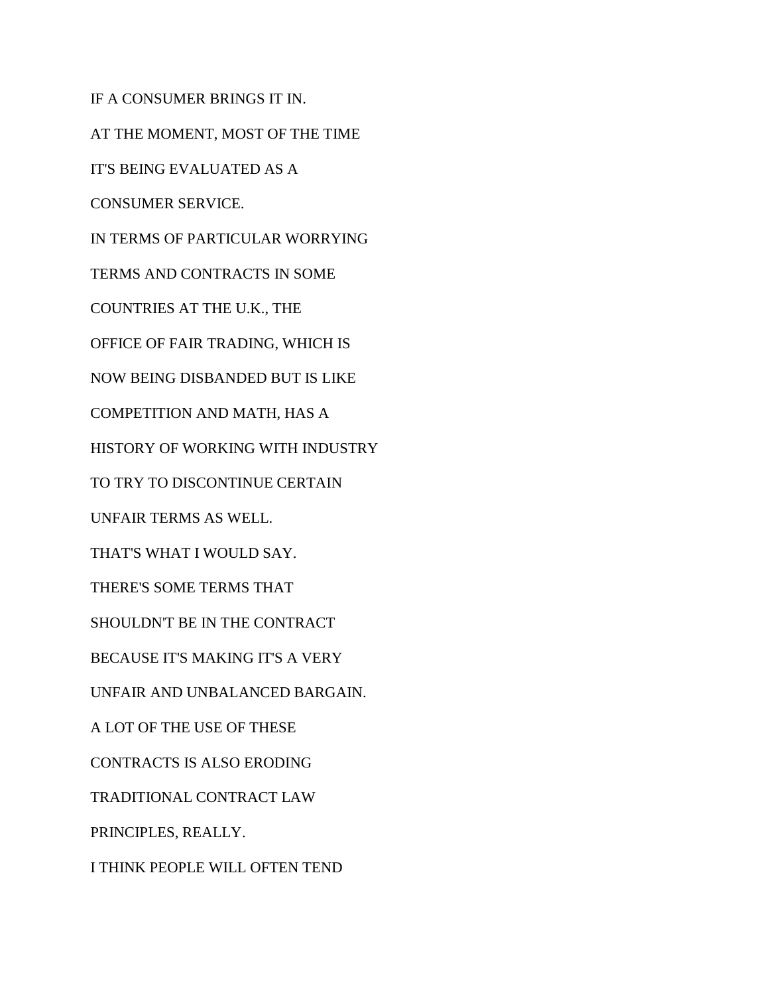IF A CONSUMER BRINGS IT IN. AT THE MOMENT, MOST OF THE TIME IT'S BEING EVALUATED AS A CONSUMER SERVICE. IN TERMS OF PARTICULAR WORRYING TERMS AND CONTRACTS IN SOME COUNTRIES AT THE U.K., THE OFFICE OF FAIR TRADING, WHICH IS NOW BEING DISBANDED BUT IS LIKE COMPETITION AND MATH, HAS A HISTORY OF WORKING WITH INDUSTRY TO TRY TO DISCONTINUE CERTAIN UNFAIR TERMS AS WELL. THAT'S WHAT I WOULD SAY. THERE'S SOME TERMS THAT SHOULDN'T BE IN THE CONTRACT BECAUSE IT'S MAKING IT'S A VERY UNFAIR AND UNBALANCED BARGAIN. A LOT OF THE USE OF THESE CONTRACTS IS ALSO ERODING TRADITIONAL CONTRACT LAW PRINCIPLES, REALLY. I THINK PEOPLE WILL OFTEN TEND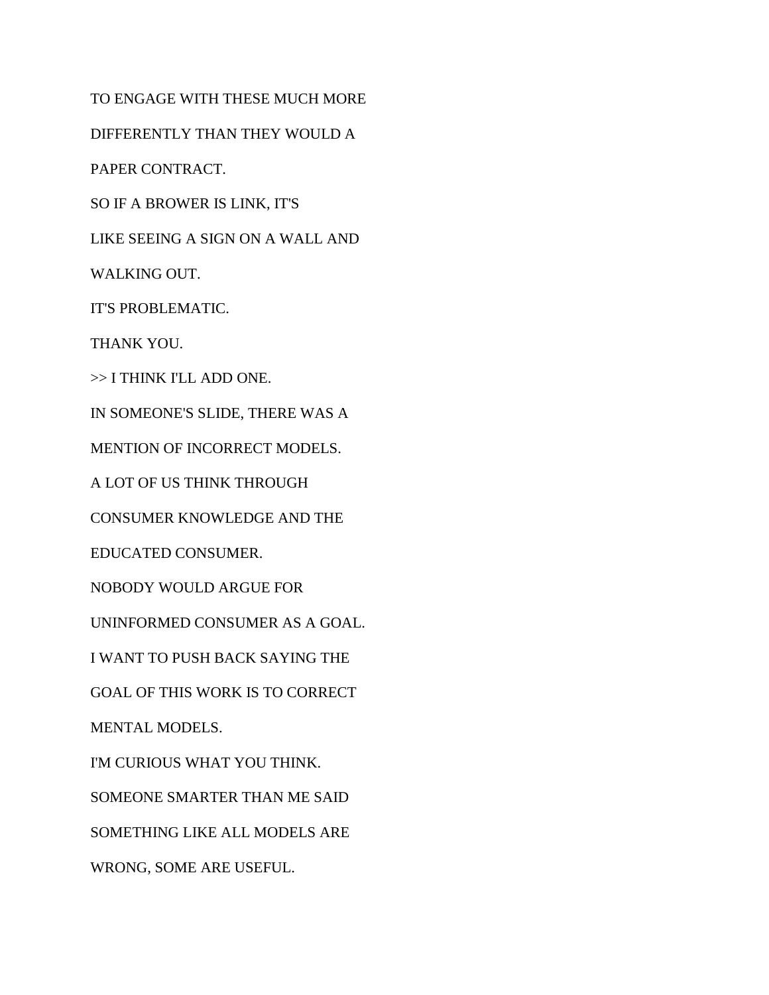TO ENGAGE WITH THESE MUCH MORE DIFFERENTLY THAN THEY WOULD A PAPER CONTRACT. SO IF A BROWER IS LINK, IT'S LIKE SEEING A SIGN ON A WALL AND WALKING OUT. IT'S PROBLEMATIC. THANK YOU. >> I THINK I'LL ADD ONE. IN SOMEONE'S SLIDE, THERE WAS A MENTION OF INCORRECT MODELS. A LOT OF US THINK THROUGH CONSUMER KNOWLEDGE AND THE EDUCATED CONSUMER. NOBODY WOULD ARGUE FOR UNINFORMED CONSUMER AS A GOAL. I WANT TO PUSH BACK SAYING THE GOAL OF THIS WORK IS TO CORRECT MENTAL MODELS. I'M CURIOUS WHAT YOU THINK. SOMEONE SMARTER THAN ME SAID SOMETHING LIKE ALL MODELS ARE WRONG, SOME ARE USEFUL.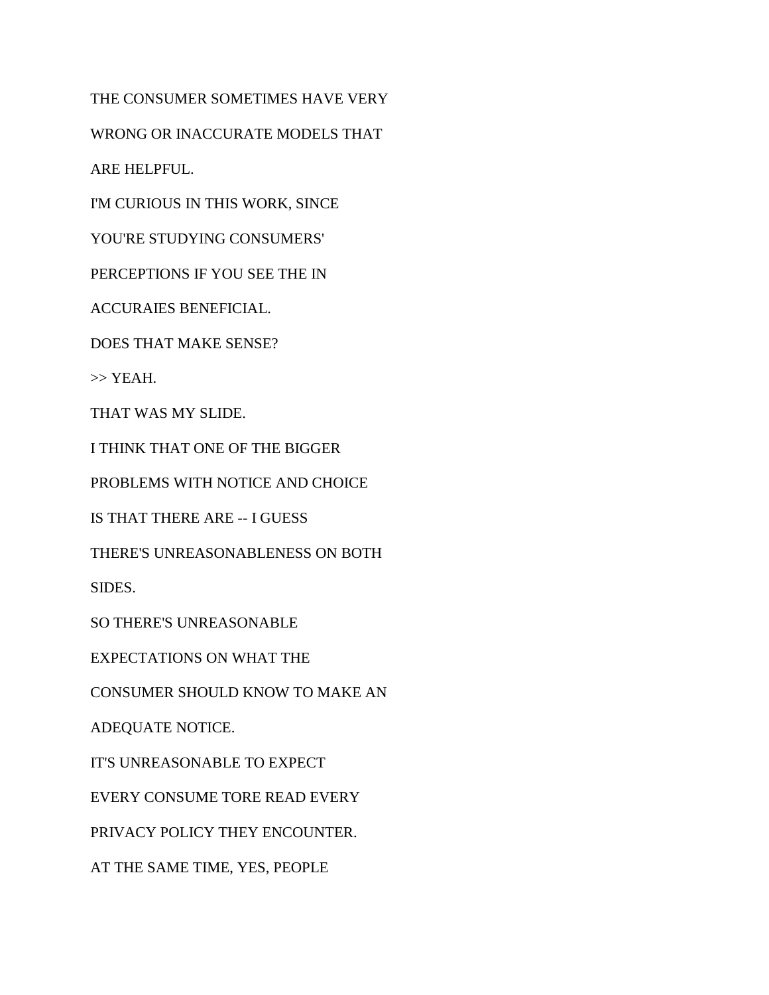THE CONSUMER SOMETIMES HAVE VERY

WRONG OR INACCURATE MODELS THAT

ARE HELPFUL.

I'M CURIOUS IN THIS WORK, SINCE

YOU'RE STUDYING CONSUMERS'

PERCEPTIONS IF YOU SEE THE IN

ACCURAIES BENEFICIAL.

DOES THAT MAKE SENSE?

>> YEAH.

THAT WAS MY SLIDE.

I THINK THAT ONE OF THE BIGGER

PROBLEMS WITH NOTICE AND CHOICE

IS THAT THERE ARE -- I GUESS

THERE'S UNREASONABLENESS ON BOTH

SIDES.

SO THERE'S UNREASONABLE

EXPECTATIONS ON WHAT THE

CONSUMER SHOULD KNOW TO MAKE AN

ADEQUATE NOTICE.

IT'S UNREASONABLE TO EXPECT

EVERY CONSUME TORE READ EVERY

PRIVACY POLICY THEY ENCOUNTER.

AT THE SAME TIME, YES, PEOPLE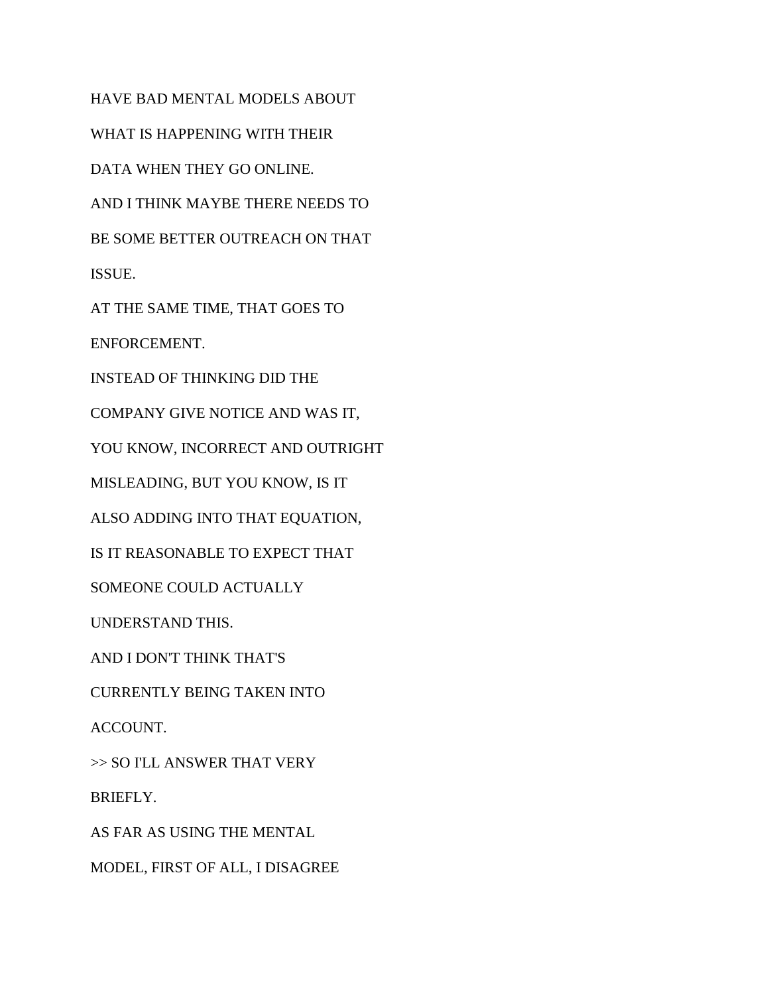HAVE BAD MENTAL MODELS ABOUT WHAT IS HAPPENING WITH THEIR DATA WHEN THEY GO ONLINE. AND I THINK MAYBE THERE NEEDS TO BE SOME BETTER OUTREACH ON THAT ISSUE. AT THE SAME TIME, THAT GOES TO ENFORCEMENT. INSTEAD OF THINKING DID THE COMPANY GIVE NOTICE AND WAS IT, YOU KNOW, INCORRECT AND OUTRIGHT MISLEADING, BUT YOU KNOW, IS IT ALSO ADDING INTO THAT EQUATION, IS IT REASONABLE TO EXPECT THAT SOMEONE COULD ACTUALLY UNDERSTAND THIS. AND I DON'T THINK THAT'S CURRENTLY BEING TAKEN INTO ACCOUNT. >> SO I'LL ANSWER THAT VERY

BRIEFLY.

AS FAR AS USING THE MENTAL

MODEL, FIRST OF ALL, I DISAGREE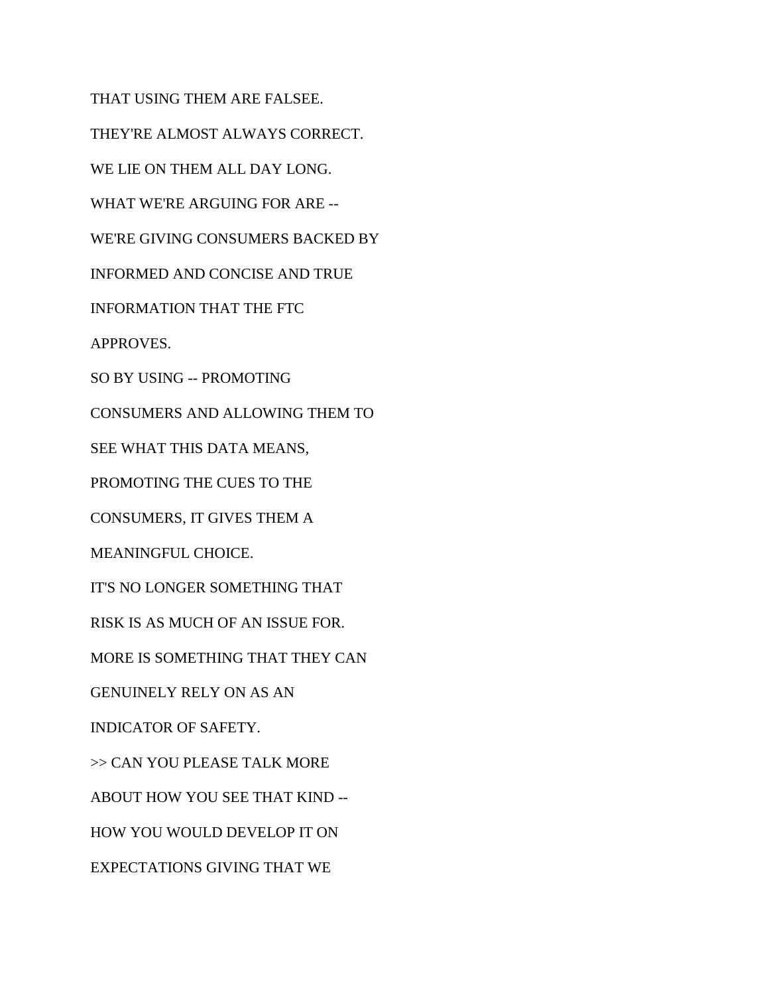THAT USING THEM ARE FALSEE. THEY'RE ALMOST ALWAYS CORRECT. WE LIE ON THEM ALL DAY LONG. WHAT WE'RE ARGUING FOR ARE -- WE'RE GIVING CONSUMERS BACKED BY INFORMED AND CONCISE AND TRUE INFORMATION THAT THE FTC APPROVES. SO BY USING -- PROMOTING CONSUMERS AND ALLOWING THEM TO SEE WHAT THIS DATA MEANS, PROMOTING THE CUES TO THE CONSUMERS, IT GIVES THEM A MEANINGFUL CHOICE. IT'S NO LONGER SOMETHING THAT RISK IS AS MUCH OF AN ISSUE FOR. MORE IS SOMETHING THAT THEY CAN GENUINELY RELY ON AS AN INDICATOR OF SAFETY. >> CAN YOU PLEASE TALK MORE ABOUT HOW YOU SEE THAT KIND -- HOW YOU WOULD DEVELOP IT ON EXPECTATIONS GIVING THAT WE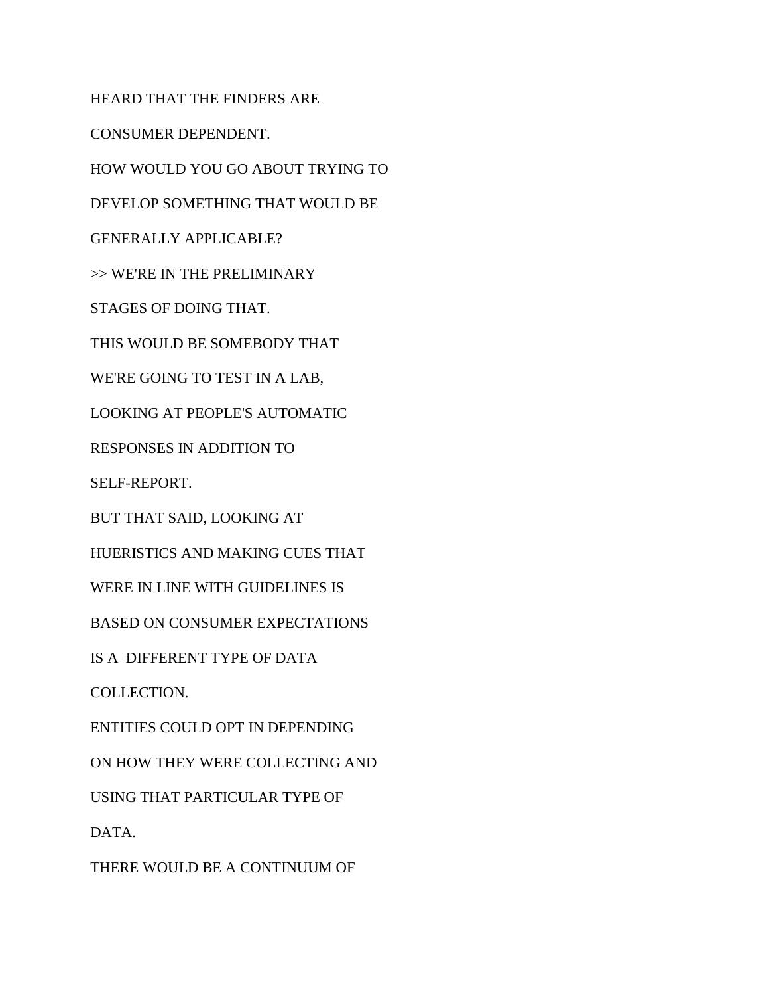HEARD THAT THE FINDERS ARE CONSUMER DEPENDENT. HOW WOULD YOU GO ABOUT TRYING TO DEVELOP SOMETHING THAT WOULD BE GENERALLY APPLICABLE? >> WE'RE IN THE PRELIMINARY STAGES OF DOING THAT. THIS WOULD BE SOMEBODY THAT WE'RE GOING TO TEST IN A LAB, LOOKING AT PEOPLE'S AUTOMATIC RESPONSES IN ADDITION TO SELF-REPORT. BUT THAT SAID, LOOKING AT HUERISTICS AND MAKING CUES THAT WERE IN LINE WITH GUIDELINES IS BASED ON CONSUMER EXPECTATIONS IS A DIFFERENT TYPE OF DATA COLLECTION. ENTITIES COULD OPT IN DEPENDING ON HOW THEY WERE COLLECTING AND USING THAT PARTICULAR TYPE OF

DATA.

THERE WOULD BE A CONTINUUM OF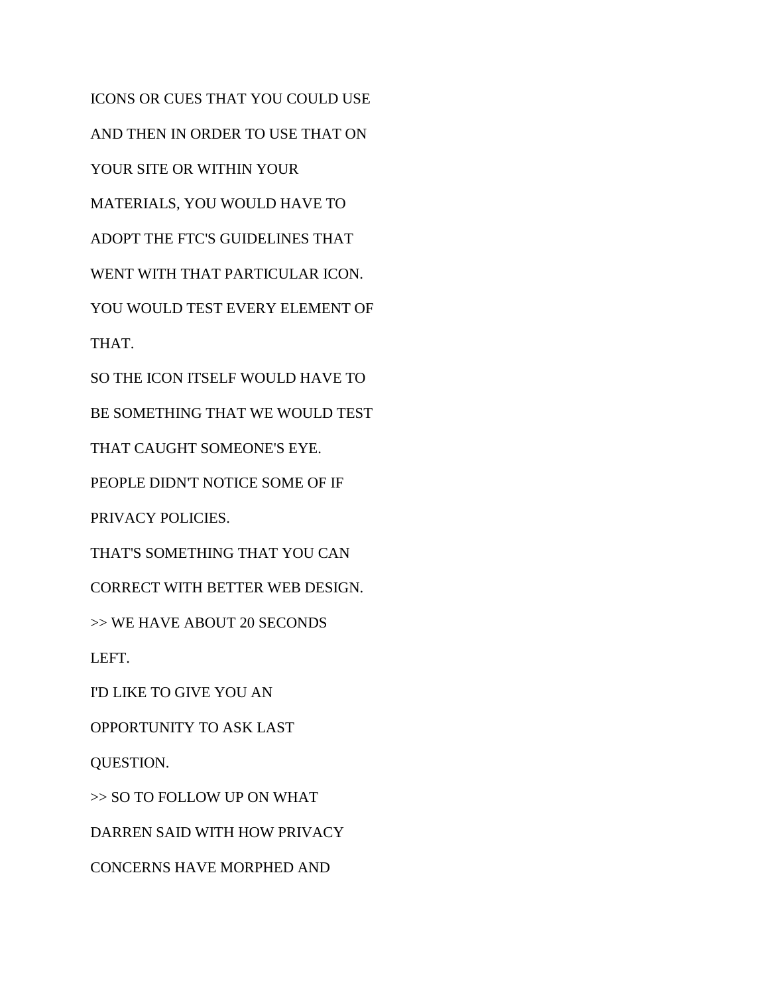ICONS OR CUES THAT YOU COULD USE AND THEN IN ORDER TO USE THAT ON YOUR SITE OR WITHIN YOUR MATERIALS, YOU WOULD HAVE TO ADOPT THE FTC'S GUIDELINES THAT WENT WITH THAT PARTICULAR ICON. YOU WOULD TEST EVERY ELEMENT OF THAT. SO THE ICON ITSELF WOULD HAVE TO BE SOMETHING THAT WE WOULD TEST THAT CAUGHT SOMEONE'S EYE. PEOPLE DIDN'T NOTICE SOME OF IF PRIVACY POLICIES. THAT'S SOMETHING THAT YOU CAN CORRECT WITH BETTER WEB DESIGN. >> WE HAVE ABOUT 20 SECONDS LEFT. I'D LIKE TO GIVE YOU AN OPPORTUNITY TO ASK LAST QUESTION. >> SO TO FOLLOW UP ON WHAT DARREN SAID WITH HOW PRIVACY CONCERNS HAVE MORPHED AND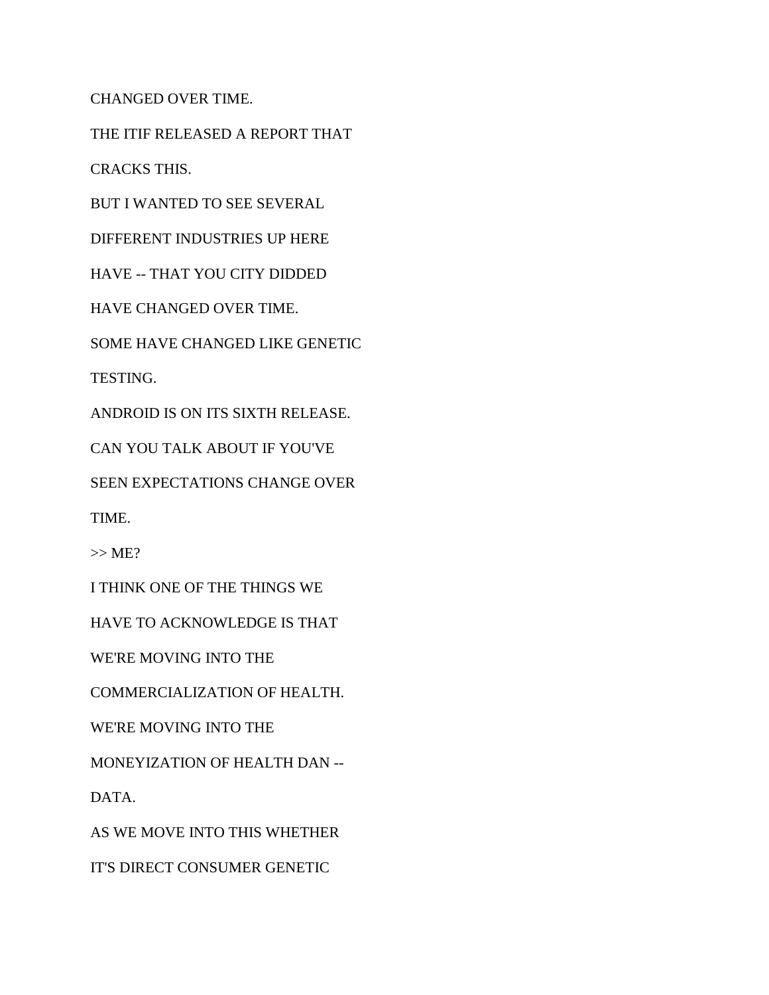CHANGED OVER TIME.

THE ITIF RELEASED A REPORT THAT

CRACKS THIS.

BUT I WANTED TO SEE SEVERAL

DIFFERENT INDUSTRIES UP HERE

HAVE -- THAT YOU CITY DIDDED

HAVE CHANGED OVER TIME.

SOME HAVE CHANGED LIKE GENETIC

TESTING.

ANDROID IS ON ITS SIXTH RELEASE.

CAN YOU TALK ABOUT IF YOU'VE

SEEN EXPECTATIONS CHANGE OVER

TIME.

 $>> ME?$ 

I THINK ONE OF THE THINGS WE

HAVE TO ACKNOWLEDGE IS THAT

WE'RE MOVING INTO THE

COMMERCIALIZATION OF HEALTH.

WE'RE MOVING INTO THE

MONEYIZATION OF HEALTH DAN --

DATA.

AS WE MOVE INTO THIS WHETHER

IT'S DIRECT CONSUMER GENETIC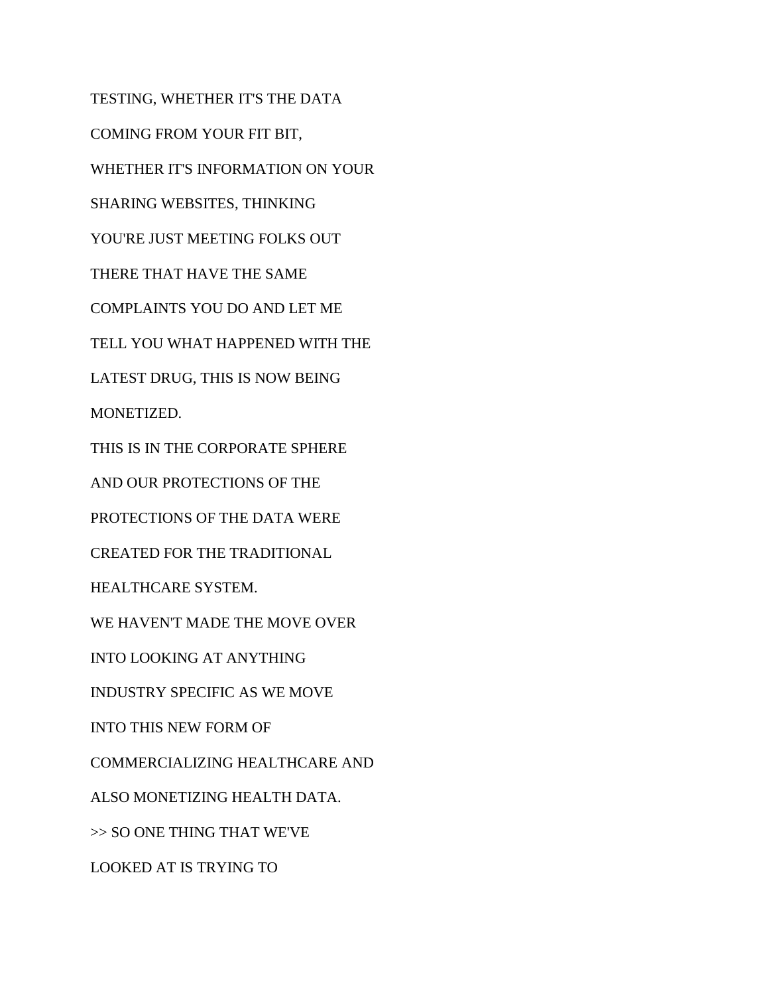TESTING, WHETHER IT'S THE DATA COMING FROM YOUR FIT BIT, WHETHER IT'S INFORMATION ON YOUR SHARING WEBSITES, THINKING YOU'RE JUST MEETING FOLKS OUT THERE THAT HAVE THE SAME COMPLAINTS YOU DO AND LET ME TELL YOU WHAT HAPPENED WITH THE LATEST DRUG, THIS IS NOW BEING MONETIZED. THIS IS IN THE CORPORATE SPHERE AND OUR PROTECTIONS OF THE PROTECTIONS OF THE DATA WERE CREATED FOR THE TRADITIONAL HEALTHCARE SYSTEM. WE HAVEN'T MADE THE MOVE OVER INTO LOOKING AT ANYTHING INDUSTRY SPECIFIC AS WE MOVE INTO THIS NEW FORM OF COMMERCIALIZING HEALTHCARE AND ALSO MONETIZING HEALTH DATA. >> SO ONE THING THAT WE'VE LOOKED AT IS TRYING TO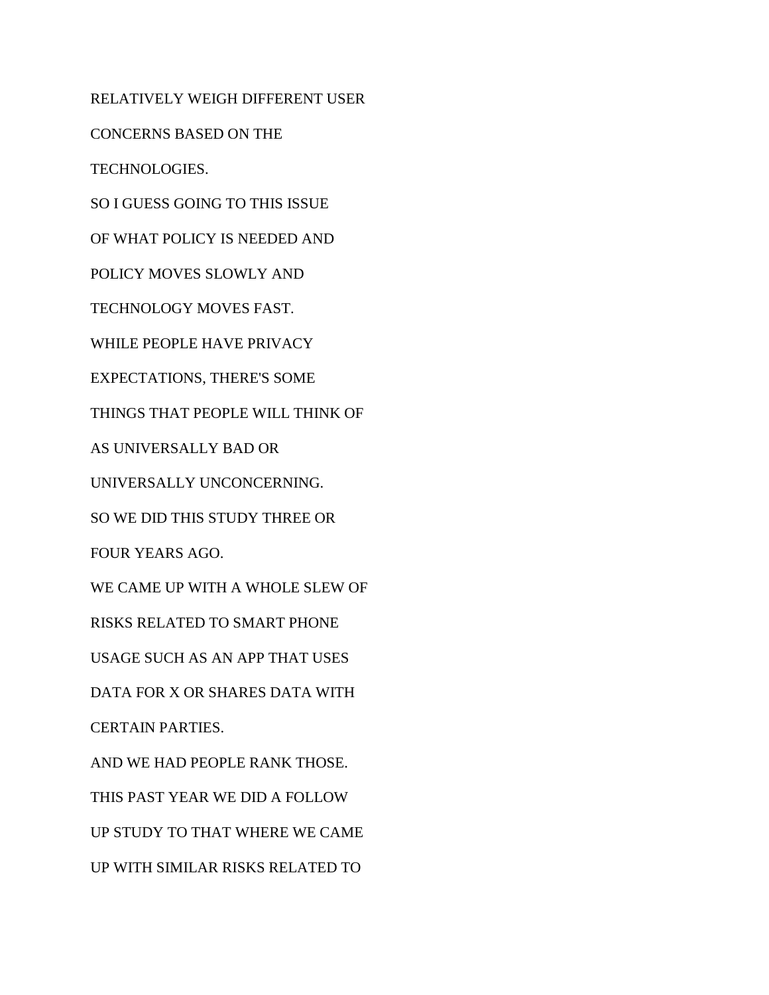RELATIVELY WEIGH DIFFERENT USER CONCERNS BASED ON THE TECHNOLOGIES. SO I GUESS GOING TO THIS ISSUE OF WHAT POLICY IS NEEDED AND POLICY MOVES SLOWLY AND TECHNOLOGY MOVES FAST. WHILE PEOPLE HAVE PRIVACY EXPECTATIONS, THERE'S SOME THINGS THAT PEOPLE WILL THINK OF AS UNIVERSALLY BAD OR UNIVERSALLY UNCONCERNING. SO WE DID THIS STUDY THREE OR FOUR YEARS AGO. WE CAME UP WITH A WHOLE SLEW OF RISKS RELATED TO SMART PHONE USAGE SUCH AS AN APP THAT USES DATA FOR X OR SHARES DATA WITH CERTAIN PARTIES. AND WE HAD PEOPLE RANK THOSE. THIS PAST YEAR WE DID A FOLLOW UP STUDY TO THAT WHERE WE CAME UP WITH SIMILAR RISKS RELATED TO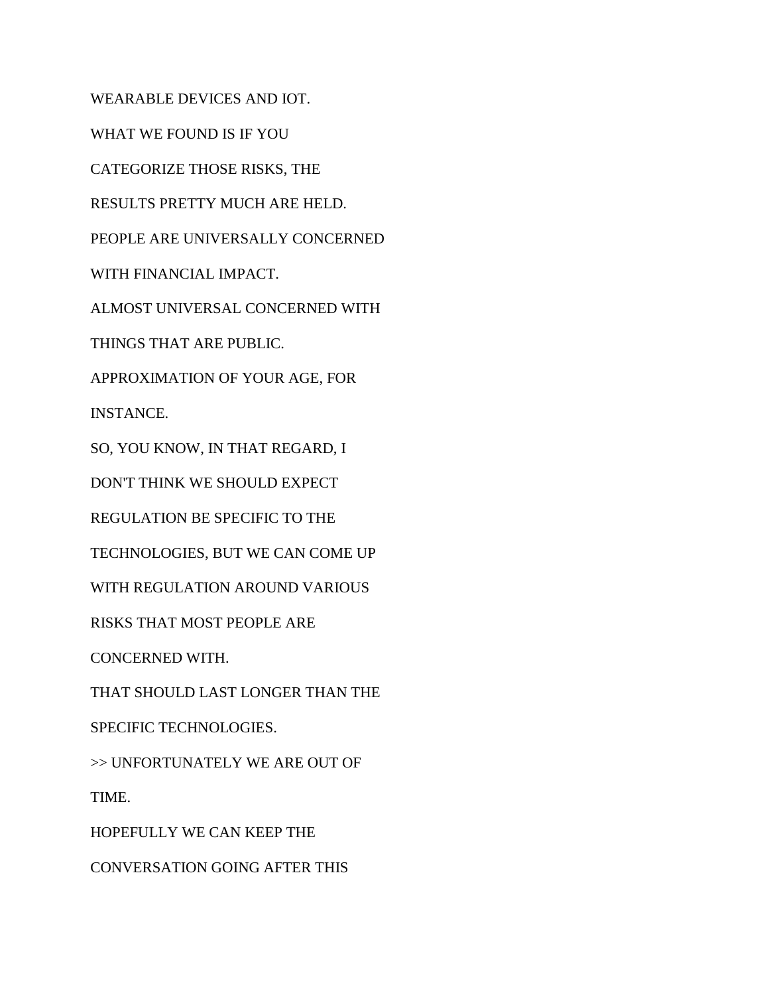WEARABLE DEVICES AND IOT. WHAT WE FOUND IS IF YOU CATEGORIZE THOSE RISKS, THE RESULTS PRETTY MUCH ARE HELD. PEOPLE ARE UNIVERSALLY CONCERNED WITH FINANCIAL IMPACT. ALMOST UNIVERSAL CONCERNED WITH THINGS THAT ARE PUBLIC. APPROXIMATION OF YOUR AGE, FOR INSTANCE. SO, YOU KNOW, IN THAT REGARD, I DON'T THINK WE SHOULD EXPECT REGULATION BE SPECIFIC TO THE TECHNOLOGIES, BUT WE CAN COME UP WITH REGULATION AROUND VARIOUS RISKS THAT MOST PEOPLE ARE CONCERNED WITH. THAT SHOULD LAST LONGER THAN THE SPECIFIC TECHNOLOGIES. >> UNFORTUNATELY WE ARE OUT OF TIME.

HOPEFULLY WE CAN KEEP THE

CONVERSATION GOING AFTER THIS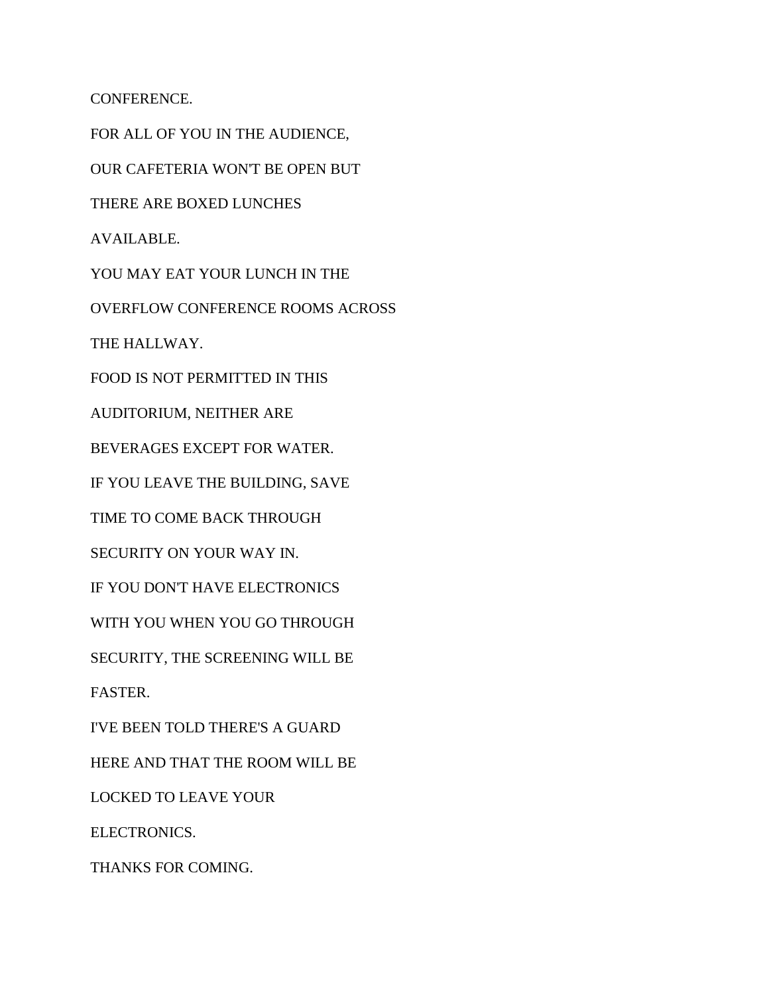CONFERENCE.

FOR ALL OF YOU IN THE AUDIENCE, OUR CAFETERIA WON'T BE OPEN BUT THERE ARE BOXED LUNCHES AVAILABLE. YOU MAY EAT YOUR LUNCH IN THE OVERFLOW CONFERENCE ROOMS ACROSS THE HALLWAY. FOOD IS NOT PERMITTED IN THIS AUDITORIUM, NEITHER ARE BEVERAGES EXCEPT FOR WATER. IF YOU LEAVE THE BUILDING, SAVE TIME TO COME BACK THROUGH SECURITY ON YOUR WAY IN. IF YOU DON'T HAVE ELECTRONICS WITH YOU WHEN YOU GO THROUGH SECURITY, THE SCREENING WILL BE FASTER. I'VE BEEN TOLD THERE'S A GUARD HERE AND THAT THE ROOM WILL BE LOCKED TO LEAVE YOUR ELECTRONICS.

THANKS FOR COMING.